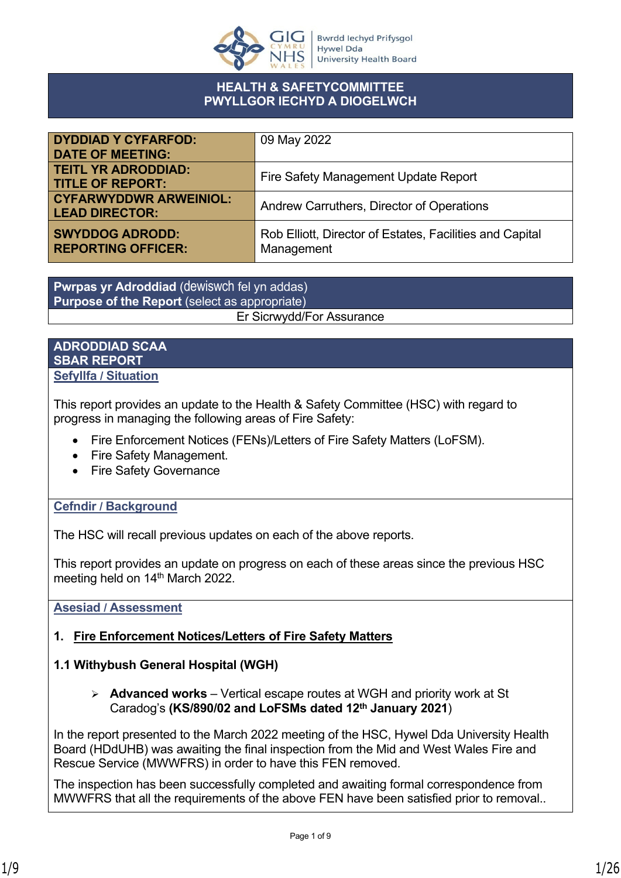

#### **HEALTH & SAFETYCOMMITTEE PWYLLGOR IECHYD A DIOGELWCH**

| <b>DYDDIAD Y CYFARFOD:</b>                             | 09 May 2022                                                            |
|--------------------------------------------------------|------------------------------------------------------------------------|
| <b>DATE OF MEETING:</b>                                |                                                                        |
| <b>TEITL YR ADRODDIAD:</b><br><b>TITLE OF REPORT:</b>  | Fire Safety Management Update Report                                   |
| <b>CYFARWYDDWR ARWEINIOL:</b><br><b>LEAD DIRECTOR:</b> | Andrew Carruthers, Director of Operations                              |
| <b>SWYDDOG ADRODD:</b><br><b>REPORTING OFFICER:</b>    | Rob Elliott, Director of Estates, Facilities and Capital<br>Management |

**Pwrpas yr Adroddiad** (dewiswch fel yn addas) **Purpose of the Report** (select as appropriate) Er Sicrwydd/For Assurance

#### **ADRODDIAD SCAA SBAR REPORT Sefyllfa / Situation**

This report provides an update to the Health & Safety Committee (HSC) with regard to progress in managing the following areas of Fire Safety:

- Fire Enforcement Notices (FENs)/Letters of Fire Safety Matters (LoFSM).
- Fire Safety Management.
- Fire Safety Governance

### **Cefndir / Background**

The HSC will recall previous updates on each of the above reports.

This report provides an update on progress on each of these areas since the previous HSC meeting held on 14<sup>th</sup> March 2022.

### **Asesiad / Assessment**

### **1. Fire Enforcement Notices/Letters of Fire Safety Matters**

### **1.1 Withybush General Hospital (WGH)**

➢ **Advanced works** – Vertical escape routes at WGH and priority work at St Caradog's **(KS/890/02 and LoFSMs dated 12th January 2021**)

In the report presented to the March 2022 meeting of the HSC, Hywel Dda University Health Board (HDdUHB) was awaiting the final inspection from the Mid and West Wales Fire and Rescue Service (MWWFRS) in order to have this FEN removed.

The inspection has been successfully completed and awaiting formal correspondence from MWWFRS that all the requirements of the above FEN have been satisfied prior to removal..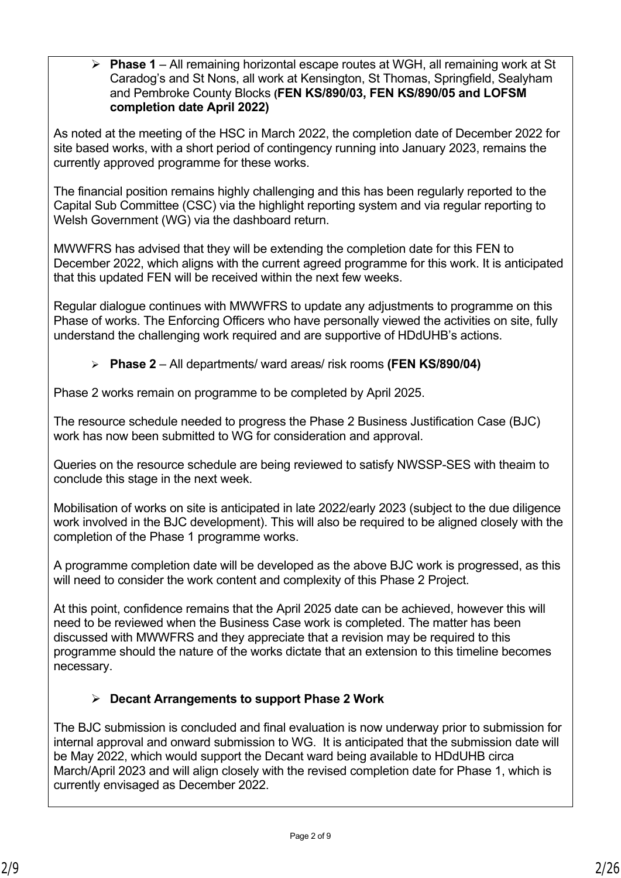➢ **Phase 1** – All remaining horizontal escape routes at WGH, all remaining work at St Caradog's and St Nons, all work at Kensington, St Thomas, Springfield, Sealyham and Pembroke County Blocks **(FEN KS/890/03, FEN KS/890/05 and LOFSM completion date April 2022)**

As noted at the meeting of the HSC in March 2022, the completion date of December 2022 for site based works, with a short period of contingency running into January 2023, remains the currently approved programme for these works.

The financial position remains highly challenging and this has been regularly reported to the Capital Sub Committee (CSC) via the highlight reporting system and via regular reporting to Welsh Government (WG) via the dashboard return.

MWWFRS has advised that they will be extending the completion date for this FEN to December 2022, which aligns with the current agreed programme for this work. It is anticipated that this updated FEN will be received within the next few weeks.

Regular dialogue continues with MWWFRS to update any adjustments to programme on this Phase of works. The Enforcing Officers who have personally viewed the activities on site, fully understand the challenging work required and are supportive of HDdUHB's actions.

➢ **Phase 2** – All departments/ ward areas/ risk rooms **(FEN KS/890/04)**

Phase 2 works remain on programme to be completed by April 2025.

The resource schedule needed to progress the Phase 2 Business Justification Case (BJC) work has now been submitted to WG for consideration and approval.

Queries on the resource schedule are being reviewed to satisfy NWSSP-SES with theaim to conclude this stage in the next week.

Mobilisation of works on site is anticipated in late 2022/early 2023 (subject to the due diligence work involved in the BJC development). This will also be required to be aligned closely with the completion of the Phase 1 programme works.

A programme completion date will be developed as the above BJC work is progressed, as this will need to consider the work content and complexity of this Phase 2 Project.

At this point, confidence remains that the April 2025 date can be achieved, however this will need to be reviewed when the Business Case work is completed. The matter has been discussed with MWWFRS and they appreciate that a revision may be required to this programme should the nature of the works dictate that an extension to this timeline becomes necessary.

## ➢ **Decant Arrangements to support Phase 2 Work**

The BJC submission is concluded and final evaluation is now underway prior to submission for internal approval and onward submission to WG. It is anticipated that the submission date will be May 2022, which would support the Decant ward being available to HDdUHB circa March/April 2023 and will align closely with the revised completion date for Phase 1, which is currently envisaged as December 2022.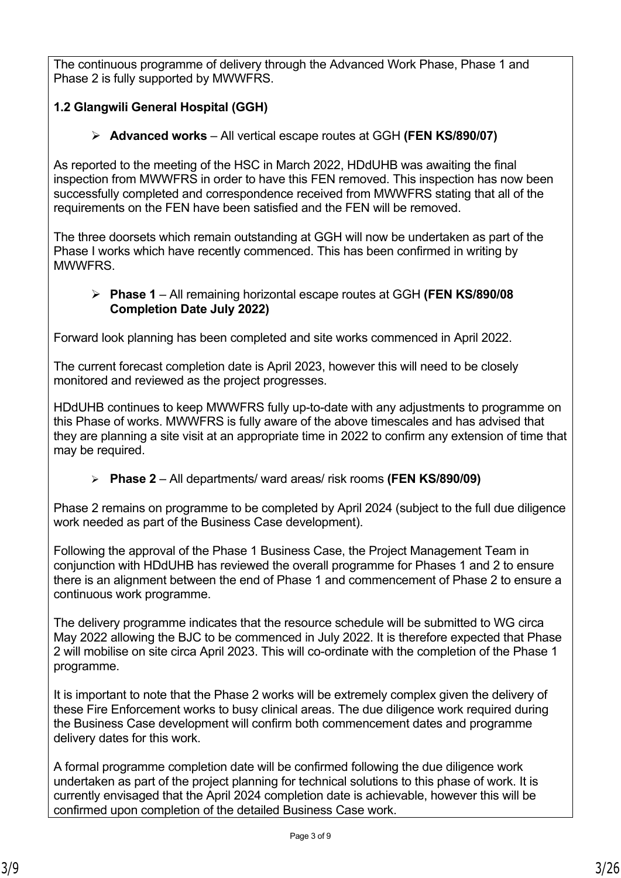The continuous programme of delivery through the Advanced Work Phase, Phase 1 and Phase 2 is fully supported by MWWFRS.

## **1.2 Glangwili General Hospital (GGH)**

## ➢ **Advanced works** – All vertical escape routes at GGH **(FEN KS/890/07)**

As reported to the meeting of the HSC in March 2022, HDdUHB was awaiting the final inspection from MWWFRS in order to have this FEN removed. This inspection has now been successfully completed and correspondence received from MWWFRS stating that all of the requirements on the FEN have been satisfied and the FEN will be removed.

The three doorsets which remain outstanding at GGH will now be undertaken as part of the Phase I works which have recently commenced. This has been confirmed in writing by MWWFRS.

## ➢ **Phase 1** – All remaining horizontal escape routes at GGH **(FEN KS/890/08 Completion Date July 2022)**

Forward look planning has been completed and site works commenced in April 2022.

The current forecast completion date is April 2023, however this will need to be closely monitored and reviewed as the project progresses.

HDdUHB continues to keep MWWFRS fully up-to-date with any adjustments to programme on this Phase of works. MWWFRS is fully aware of the above timescales and has advised that they are planning a site visit at an appropriate time in 2022 to confirm any extension of time that may be required.

➢ **Phase 2** – All departments/ ward areas/ risk rooms **(FEN KS/890/09)**

Phase 2 remains on programme to be completed by April 2024 (subject to the full due diligence work needed as part of the Business Case development).

Following the approval of the Phase 1 Business Case, the Project Management Team in conjunction with HDdUHB has reviewed the overall programme for Phases 1 and 2 to ensure there is an alignment between the end of Phase 1 and commencement of Phase 2 to ensure a continuous work programme.

The delivery programme indicates that the resource schedule will be submitted to WG circa May 2022 allowing the BJC to be commenced in July 2022. It is therefore expected that Phase 2 will mobilise on site circa April 2023. This will co-ordinate with the completion of the Phase 1 programme.

It is important to note that the Phase 2 works will be extremely complex given the delivery of these Fire Enforcement works to busy clinical areas. The due diligence work required during the Business Case development will confirm both commencement dates and programme delivery dates for this work.

A formal programme completion date will be confirmed following the due diligence work undertaken as part of the project planning for technical solutions to this phase of work. It is currently envisaged that the April 2024 completion date is achievable, however this will be confirmed upon completion of the detailed Business Case work.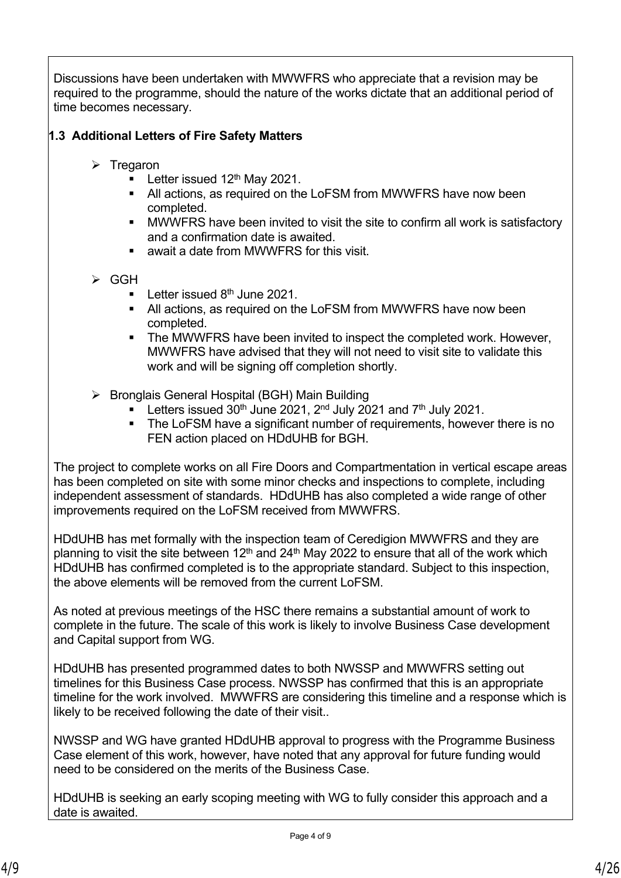Discussions have been undertaken with MWWFRS who appreciate that a revision may be required to the programme, should the nature of the works dictate that an additional period of time becomes necessary.

## **1.3 Additional Letters of Fire Safety Matters**

- ➢ Tregaron
	- **•** Letter issued  $12<sup>th</sup>$  May 2021.
	- All actions, as required on the LoFSM from MWWFRS have now been completed.
	- MWWFRS have been invited to visit the site to confirm all work is satisfactory and a confirmation date is awaited.
	- await a date from MWWFRS for this visit.
- ➢ GGH
	- **•** Letter issued  $8<sup>th</sup>$  June 2021.
	- All actions, as required on the LoFSM from MWWFRS have now been completed.
	- The MWWFRS have been invited to inspect the completed work. However, MWWFRS have advised that they will not need to visit site to validate this work and will be signing off completion shortly.
- ➢ Bronglais General Hospital (BGH) Main Building
	- **EXECTER Letters issued 30th June 2021, 2nd July 2021 and 7th July 2021.**
	- The LoFSM have a significant number of requirements, however there is no FEN action placed on HDdUHB for BGH.

The project to complete works on all Fire Doors and Compartmentation in vertical escape areas has been completed on site with some minor checks and inspections to complete, including independent assessment of standards. HDdUHB has also completed a wide range of other improvements required on the LoFSM received from MWWFRS.

HDdUHB has met formally with the inspection team of Ceredigion MWWFRS and they are planning to visit the site between 12<sup>th</sup> and 24<sup>th</sup> May 2022 to ensure that all of the work which HDdUHB has confirmed completed is to the appropriate standard. Subject to this inspection, the above elements will be removed from the current LoFSM.

As noted at previous meetings of the HSC there remains a substantial amount of work to complete in the future. The scale of this work is likely to involve Business Case development and Capital support from WG.

HDdUHB has presented programmed dates to both NWSSP and MWWFRS setting out timelines for this Business Case process. NWSSP has confirmed that this is an appropriate timeline for the work involved. MWWFRS are considering this timeline and a response which is likely to be received following the date of their visit..

NWSSP and WG have granted HDdUHB approval to progress with the Programme Business Case element of this work, however, have noted that any approval for future funding would need to be considered on the merits of the Business Case.

HDdUHB is seeking an early scoping meeting with WG to fully consider this approach and a date is awaited.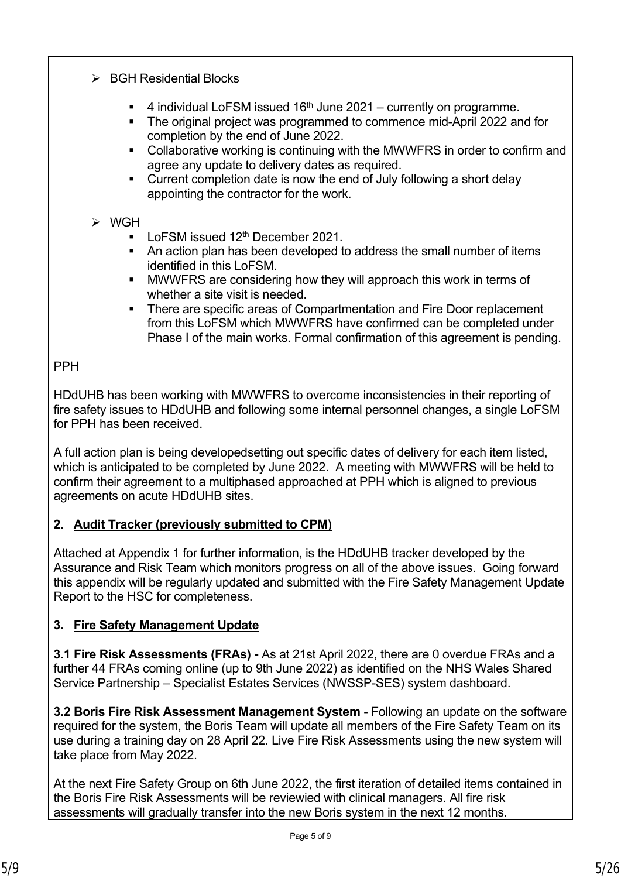- ➢ BGH Residential Blocks
	- 4 individual LoFSM issued  $16<sup>th</sup>$  June 2021 currently on programme.
	- The original project was programmed to commence mid-April 2022 and for completion by the end of June 2022.
	- Collaborative working is continuing with the MWWFRS in order to confirm and agree any update to delivery dates as required.
	- Current completion date is now the end of July following a short delay appointing the contractor for the work.
- ➢ WGH
	- LoFSM issued 12<sup>th</sup> December 2021.
	- An action plan has been developed to address the small number of items identified in this LoFSM.
	- MWWFRS are considering how they will approach this work in terms of whether a site visit is needed.
	- There are specific areas of Compartmentation and Fire Door replacement from this LoFSM which MWWFRS have confirmed can be completed under Phase I of the main works. Formal confirmation of this agreement is pending.

PPH

HDdUHB has been working with MWWFRS to overcome inconsistencies in their reporting of fire safety issues to HDdUHB and following some internal personnel changes, a single LoFSM for PPH has been received.

A full action plan is being developedsetting out specific dates of delivery for each item listed, which is anticipated to be completed by June 2022. A meeting with MWWFRS will be held to confirm their agreement to a multiphased approached at PPH which is aligned to previous agreements on acute HDdUHB sites.

## **2. Audit Tracker (previously submitted to CPM)**

Attached at Appendix 1 for further information, is the HDdUHB tracker developed by the Assurance and Risk Team which monitors progress on all of the above issues. Going forward this appendix will be regularly updated and submitted with the Fire Safety Management Update Report to the HSC for completeness.

# **3. Fire Safety Management Update**

**3.1 Fire Risk Assessments (FRAs) -** As at 21st April 2022, there are 0 overdue FRAs and a further 44 FRAs coming online (up to 9th June 2022) as identified on the NHS Wales Shared Service Partnership – Specialist Estates Services (NWSSP-SES) system dashboard.

**3.2 Boris Fire Risk Assessment Management System** - Following an update on the software required for the system, the Boris Team will update all members of the Fire Safety Team on its use during a training day on 28 April 22. Live Fire Risk Assessments using the new system will take place from May 2022.

At the next Fire Safety Group on 6th June 2022, the first iteration of detailed items contained in the Boris Fire Risk Assessments will be reviewied with clinical managers. All fire risk assessments will gradually transfer into the new Boris system in the next 12 months.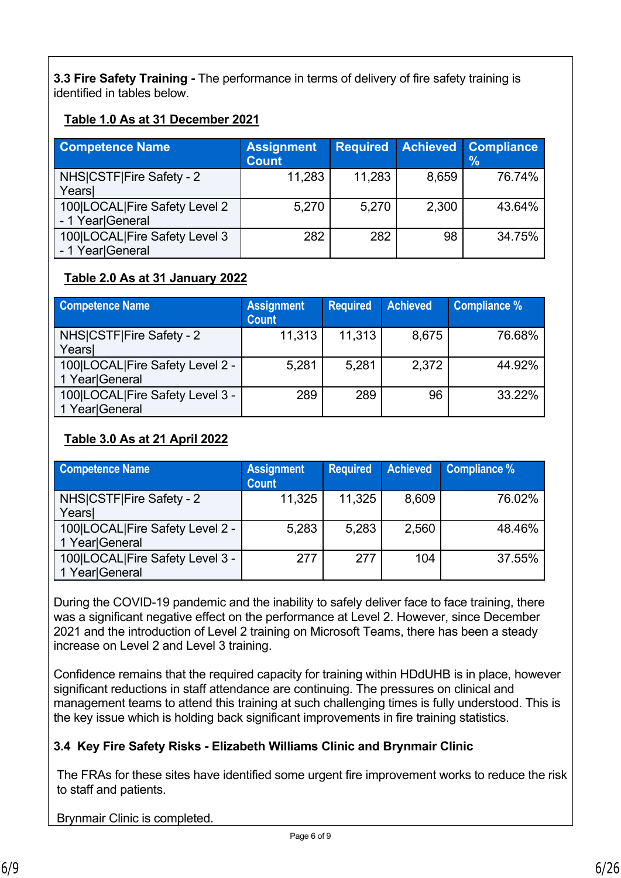**3.3 Fire Safety Training -** The performance in terms of delivery of fire safety training is identified in tables below.

## **Table 1.0 As at 31 December 2021**

| <b>Competence Name</b>        | <b>Assignment</b><br><b>Count</b> | <b>Required</b> |       | <b>Achieved Compliance</b><br>$\%$ |
|-------------------------------|-----------------------------------|-----------------|-------|------------------------------------|
| NHS CSTF Fire Safety - 2      | 11,283                            | 11,283          | 8,659 | 76.74%                             |
| Years                         |                                   |                 |       |                                    |
| 100 LOCAL Fire Safety Level 2 | 5,270                             | 5,270           | 2,300 | 43.64%                             |
| - 1 Year General              |                                   |                 |       |                                    |
| 100 LOCAL Fire Safety Level 3 | 282                               | 282             | 98    | 34.75%                             |
| - 1 Year General              |                                   |                 |       |                                    |

## **Table 2.0 As at 31 January 2022**

| <b>Competence Name</b>                            | <b>Assignment</b><br><b>Count</b> | <b>Required</b> | <b>Achieved</b> | <b>Compliance %</b> |  |  |  |
|---------------------------------------------------|-----------------------------------|-----------------|-----------------|---------------------|--|--|--|
| NHS CSTF Fire Safety - 2<br>Years                 | 11,313                            | 11,313          | 8,675           | 76.68%              |  |  |  |
| 100 LOCAL Fire Safety Level 2 -<br>1 Year General | 5,281                             | 5,281           | 2,372           | 44.92%              |  |  |  |
| 100 LOCAL Fire Safety Level 3 -<br>1 Year General | 289                               | 289             | 96              | 33.22%              |  |  |  |

## **Table 3.0 As at 21 April 2022**

| <b>Competence Name</b>                            | <b>Assignment</b><br><b>Count</b> | <b>Required</b> | <b>Achieved</b> | Compliance % |  |  |  |
|---------------------------------------------------|-----------------------------------|-----------------|-----------------|--------------|--|--|--|
| NHS CSTF Fire Safety - 2                          | 11,325                            | 11,325          | 8,609           | 76.02%       |  |  |  |
| Years                                             |                                   |                 |                 |              |  |  |  |
| 100 LOCAL Fire Safety Level 2 -<br>1 Year General | 5,283                             | 5,283           | 2,560           | 48.46%       |  |  |  |
| 100 LOCAL Fire Safety Level 3 -<br>1 Year General | 277                               | 277             | 104             | 37.55%       |  |  |  |

During the COVID-19 pandemic and the inability to safely deliver face to face training, there was a significant negative effect on the performance at Level 2. However, since December 2021 and the introduction of Level 2 training on Microsoft Teams, there has been a steady increase on Level 2 and Level 3 training.

Confidence remains that the required capacity for training within HDdUHB is in place, however significant reductions in staff attendance are continuing. The pressures on clinical and management teams to attend this training at such challenging times is fully understood. This is the key issue which is holding back significant improvements in fire training statistics.

## **3.4 Key Fire Safety Risks - Elizabeth Williams Clinic and Brynmair Clinic**

The FRAs for these sites have identified some urgent fire improvement works to reduce the risk to staff and patients.

Brynmair Clinic is completed.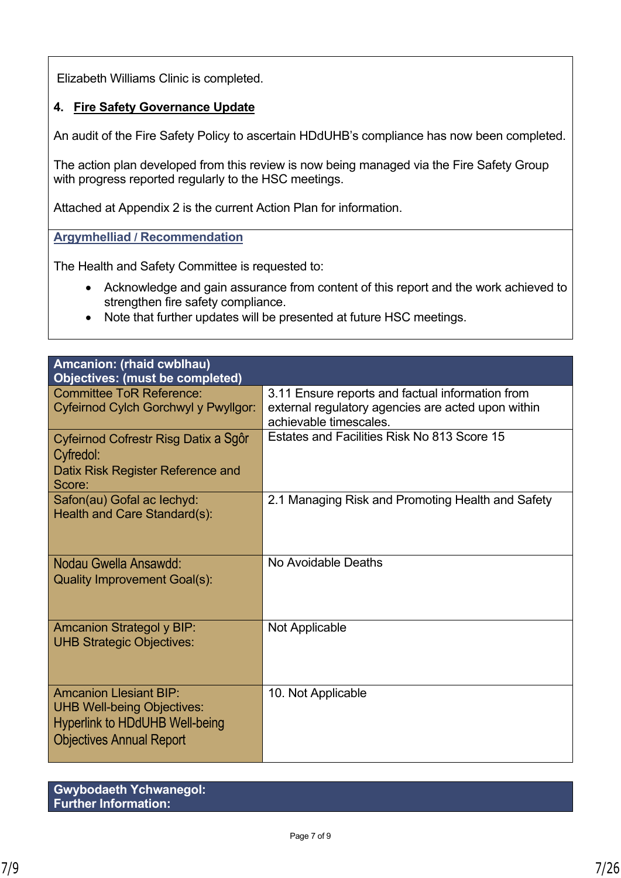Elizabeth Williams Clinic is completed.

## **4. Fire Safety Governance Update**

An audit of the Fire Safety Policy to ascertain HDdUHB's compliance has now been completed.

The action plan developed from this review is now being managed via the Fire Safety Group with progress reported regularly to the HSC meetings.

Attached at Appendix 2 is the current Action Plan for information.

**Argymhelliad / Recommendation**

The Health and Safety Committee is requested to:

- Acknowledge and gain assurance from content of this report and the work achieved to strengthen fire safety compliance.
- Note that further updates will be presented at future HSC meetings.

| Amcanion: (rhaid cwblhau)                                                                                                                      |                                                                                                                                  |
|------------------------------------------------------------------------------------------------------------------------------------------------|----------------------------------------------------------------------------------------------------------------------------------|
| <b>Objectives: (must be completed)</b>                                                                                                         |                                                                                                                                  |
| <b>Committee ToR Reference:</b><br>Cyfeirnod Cylch Gorchwyl y Pwyllgor:                                                                        | 3.11 Ensure reports and factual information from<br>external regulatory agencies are acted upon within<br>achievable timescales. |
| Cyfeirnod Cofrestr Risg Datix a Sgôr<br>Cyfredol:<br>Datix Risk Register Reference and<br>Score:                                               | Estates and Facilities Risk No 813 Score 15                                                                                      |
| Safon(au) Gofal ac lechyd:<br>Health and Care Standard(s):                                                                                     | 2.1 Managing Risk and Promoting Health and Safety                                                                                |
| Nodau Gwella Ansawdd:<br><b>Quality Improvement Goal(s):</b>                                                                                   | No Avoidable Deaths                                                                                                              |
| <b>Amcanion Strategol y BIP:</b><br><b>UHB Strategic Objectives:</b>                                                                           | Not Applicable                                                                                                                   |
| <b>Amcanion Llesiant BIP:</b><br><b>UHB Well-being Objectives:</b><br><b>Hyperlink to HDdUHB Well-being</b><br><b>Objectives Annual Report</b> | 10. Not Applicable                                                                                                               |

| <b>Gwybodaeth Ychwanegol:</b> |  |
|-------------------------------|--|
| Further Information:          |  |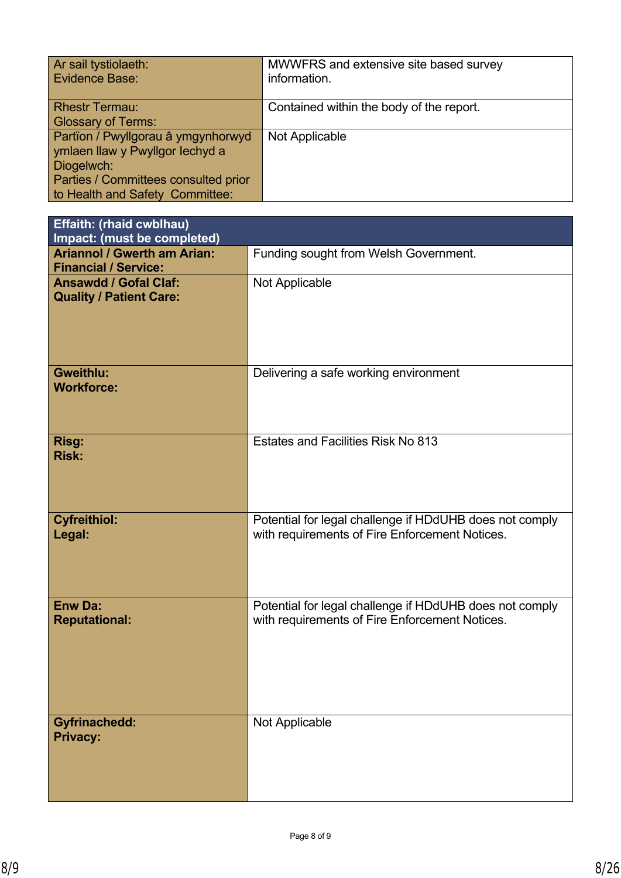| Ar sail tystiolaeth:                 | MWWFRS and extensive site based survey   |
|--------------------------------------|------------------------------------------|
| Evidence Base:                       | information.                             |
| <b>Rhestr Termau:</b>                | Contained within the body of the report. |
| <b>Glossary of Terms:</b>            |                                          |
| Partïon / Pwyllgorau â ymgynhorwyd   | Not Applicable                           |
| ymlaen llaw y Pwyllgor lechyd a      |                                          |
| Diogelwch:                           |                                          |
| Parties / Committees consulted prior |                                          |
| to Health and Safety Committee:      |                                          |

| Effaith: (rhaid cwblhau)<br>Impact: (must be completed)           |                                                                                                           |
|-------------------------------------------------------------------|-----------------------------------------------------------------------------------------------------------|
| <b>Ariannol / Gwerth am Arian:</b><br><b>Financial / Service:</b> | Funding sought from Welsh Government.                                                                     |
| <b>Ansawdd / Gofal Claf:</b><br><b>Quality / Patient Care:</b>    | Not Applicable                                                                                            |
| <b>Gweithlu:</b><br><b>Workforce:</b>                             | Delivering a safe working environment                                                                     |
| Risg:<br><b>Risk:</b>                                             | Estates and Facilities Risk No 813                                                                        |
| <b>Cyfreithiol:</b><br>Legal:                                     | Potential for legal challenge if HDdUHB does not comply<br>with requirements of Fire Enforcement Notices. |
| <b>Enw Da:</b><br><b>Reputational:</b>                            | Potential for legal challenge if HDdUHB does not comply<br>with requirements of Fire Enforcement Notices. |
| <b>Gyfrinachedd:</b><br><b>Privacy:</b>                           | Not Applicable                                                                                            |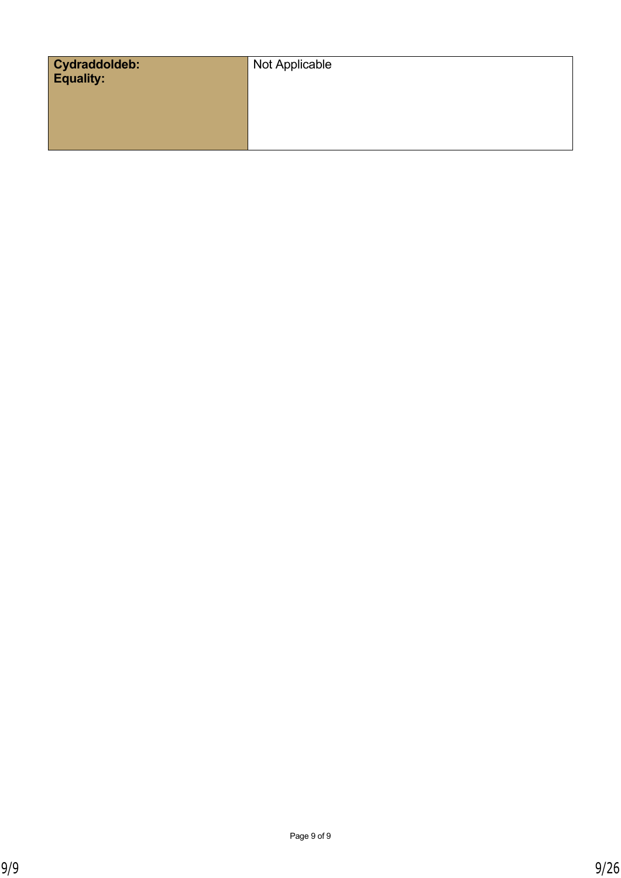| Cydraddoldeb:<br>Equality: | Not Applicable |
|----------------------------|----------------|
|                            |                |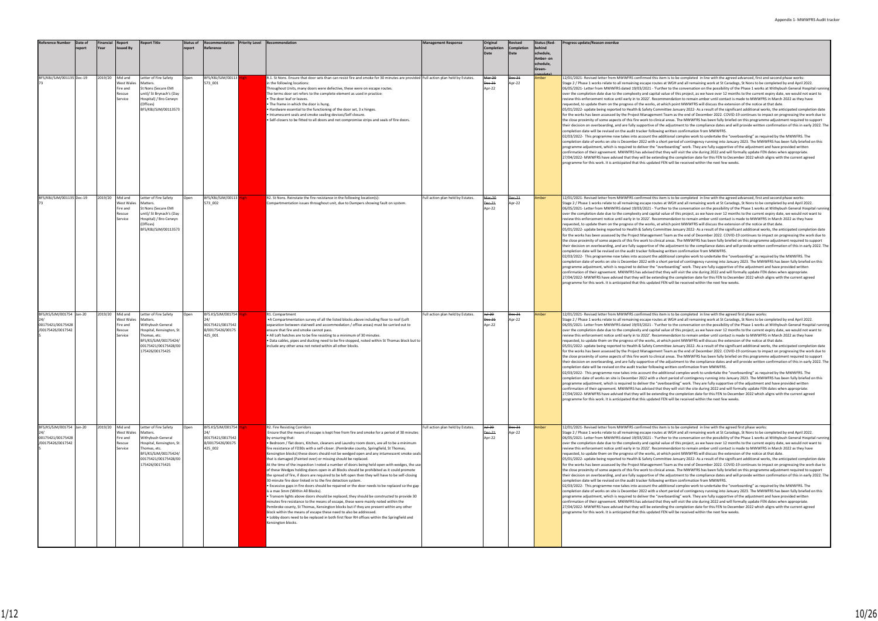| <b>Reference Number</b>                                            | Date of<br>eport <sup>.</sup> | inancial<br>rear | Report<br>ssued Bv                                            | <b>Report Title</b>                                                                                                                                                   | Status of<br>report | Recommendation<br>Reference                                               | <b>Priority Level Recommendation</b>                                                                                                                                                                                                                                                                                                                                                                                                                                                                                                                                                                                                                                                                                                                                                                                                                                                                                                                                                                                                                                                                                                                                                                                                                                                                                                                                                                                                                                              | <b>Management Response</b>        | Original<br>Completion<br>Date    | Revised<br>Completion<br>Date | <b>Status (Red-</b><br>schedule,<br>Amber- on<br>chedule,<br>ireen- | Progress update/Reason overdue                                                                                                                                                                                                                                                                                                                                                                                                                                                                                                                                                                                                                                                                                                                                                                                                                                                                                                                                                                                                                                                                                                                                                                                                                                                                                                                                                                                                                                                                                                                                                                                                                                                                                                                                                                                                                                                                                                                                                                                                                                                                                                                                                                                                                                                                                                                                                                                                                                                                                                                                                                       |
|--------------------------------------------------------------------|-------------------------------|------------------|---------------------------------------------------------------|-----------------------------------------------------------------------------------------------------------------------------------------------------------------------|---------------------|---------------------------------------------------------------------------|-----------------------------------------------------------------------------------------------------------------------------------------------------------------------------------------------------------------------------------------------------------------------------------------------------------------------------------------------------------------------------------------------------------------------------------------------------------------------------------------------------------------------------------------------------------------------------------------------------------------------------------------------------------------------------------------------------------------------------------------------------------------------------------------------------------------------------------------------------------------------------------------------------------------------------------------------------------------------------------------------------------------------------------------------------------------------------------------------------------------------------------------------------------------------------------------------------------------------------------------------------------------------------------------------------------------------------------------------------------------------------------------------------------------------------------------------------------------------------------|-----------------------------------|-----------------------------------|-------------------------------|---------------------------------------------------------------------|------------------------------------------------------------------------------------------------------------------------------------------------------------------------------------------------------------------------------------------------------------------------------------------------------------------------------------------------------------------------------------------------------------------------------------------------------------------------------------------------------------------------------------------------------------------------------------------------------------------------------------------------------------------------------------------------------------------------------------------------------------------------------------------------------------------------------------------------------------------------------------------------------------------------------------------------------------------------------------------------------------------------------------------------------------------------------------------------------------------------------------------------------------------------------------------------------------------------------------------------------------------------------------------------------------------------------------------------------------------------------------------------------------------------------------------------------------------------------------------------------------------------------------------------------------------------------------------------------------------------------------------------------------------------------------------------------------------------------------------------------------------------------------------------------------------------------------------------------------------------------------------------------------------------------------------------------------------------------------------------------------------------------------------------------------------------------------------------------------------------------------------------------------------------------------------------------------------------------------------------------------------------------------------------------------------------------------------------------------------------------------------------------------------------------------------------------------------------------------------------------------------------------------------------------------------------------------------------------|
| BFS/KBJ/SJM/001135 Dec-19                                          |                               | 2019/20          | Mid and<br>West Wales<br>Fire and<br>Rescue<br>Service        | Letter of Fire Safety<br>Matters.<br>St Nons (Secure EMI<br>unit)/ St Brynach's (Day<br>Hospital) / Bro Cerwyn<br>(Offices)<br>BFS/KBJ/SJM/00113573                   | Open                | BFS/KBJ/SJM/00113<br>573 001                                              | R.1. St Nons. Ensure that door sets than can resist fire and smoke for 30 minutes are provided Full action plan held by Estates.<br>in the following locations:<br>hroughout Units, many doors were defective, these were on escape routes.<br>The terms door set refers to the complete element as used in practice:<br>. The door leaf or leaves.<br>The frame in which the door is hung.<br>Hardware essential to the functioning of the door set, 3 x hinges.<br>Intumescent seals and smoke sealing devices/Self closure.<br>. Self-closers to be fitted to all doors and not compromise strips and seals of fire doors.                                                                                                                                                                                                                                                                                                                                                                                                                                                                                                                                                                                                                                                                                                                                                                                                                                                     |                                   | Mar-20<br><b>Dec-21</b><br>Apr-22 | Dec-21<br>Apr-22              | Amber                                                               | 12/01/2021- Revised letter from MWWFRS confirmed this item is to be completed in line with the agreed advanced, first and second phase works:<br>Stage 2 / Phase 1 works relate to all remaining escape routes at WGH and all remaining work at St Caradogs, St Nons to be completed by end April 2022.<br>06/05/2021- Letter from MWWFRS dated 19/03/2021 - 'Further to the conversation on the possibility of the Phase 1 works at Withybush General Hospital runni<br>over the completion date due to the complexity and capital value of this project, as we have over 12 months to the current expiry date, we would not want to<br>review this enforcement notice until early in to 2022'. Recommendation to remain amber until contact is made to MWWFRS in March 2022 as they have<br>requested, to update them on the progress of the works, at which point MWWFRS will discuss the extension of the notice at that date.<br>05/01/2022- update being reported to Health & Safety Committee January 2022- As a result of the significant additional works, the anticipated completion date<br>for the works has been assessed by the Project Management Team as the end of December 2022. COVID-19 continues to impact on progressing the work due to<br>the close proximity of some aspects of this fire work to clinical areas. The MWWFRS has been fully briefed on this programme adjustment required to support<br>their decision on overboarding, and are fully supportive of the adjustment to the compliance dates and will provide written confirmation of this in early 2022. T<br>completion date will be revised on the audit tracker following written confirmation from MWWFRS.<br>02/03/2022- This programme now takes into account the additional complex work to undertake the "overboarding" as required by the MWWFRS. The<br>completion date of works on site is December 2022 with a short period of contingency running into January 2023. The MWWFRS has been fully briefed on this<br>programme adjustment, which is required to deliver the "overboarding" work. They are fully supportive of the adjustment and have provided written<br>confirmation of their agreement. MWWFRS has advised that they will visit the site during 2022 and will formally update FEN dates when appropriate.<br>27/04/2022- MWWFRS have advised that they will be extending the completion date for this FEN to December 2022 which aligns with the current agreed<br>programme for this work. It is anticipated that this updated FEN will be received within the next few weeks. |
| BFS/KBJ/SJM/001135 Dec-19                                          |                               | 2019/20          | Mid and<br><b>Nest Wales</b><br>Fire and<br>Rescue<br>Service | Letter of Fire Safety<br>Matters.<br>St Nons (Secure EMI<br>unit)/ St Brynach's (Day<br>Hospital) / Bro Cerwyn<br>(Offices)<br>BFS/KBJ/SJM/00113573                   | Open                | BFS/KBJ/SJM/00113<br>573 002                                              | R2. St Nons. Reinstate the fire resistance in the following location(s):<br>Compartmentation issues throughout unit, due to Dampers showing fault on system.                                                                                                                                                                                                                                                                                                                                                                                                                                                                                                                                                                                                                                                                                                                                                                                                                                                                                                                                                                                                                                                                                                                                                                                                                                                                                                                      | Full action plan held by Estates. | Mar-20<br>Dec-21<br>Apr-22        | Dec-21<br>Apr-22              | <b>Imber</b>                                                        | 12/01/2021- Revised letter from MWWFRS confirmed this item is to be completed in line with the agreed advanced, first and second phase works:<br>Stage 2 / Phase 1 works relate to all remaining escape routes at WGH and all remaining work at St Caradogs, St Nons to be completed by end April 2022.<br>06/05/2021- Letter from MWWFRS dated 19/03/2021 - 'Further to the conversation on the possibility of the Phase 1 works at Withybush General Hospital runni<br>over the completion date due to the complexity and capital value of this project, as we have over 12 months to the current expiry date, we would not want to<br>review this enforcement notice until early in to 2022'. Recommendation to remain amber until contact is made to MWWFRS in March 2022 as they have<br>requested, to update them on the progress of the works, at which point MWWFRS will discuss the extension of the notice at that date.<br>05/01/2022- update being reported to Health & Safety Committee January 2022- As a result of the significant additional works, the anticipated completion date<br>for the works has been assessed by the Project Management Team as the end of December 2022. COVID-19 continues to impact on progressing the work due to<br>the close proximity of some aspects of this fire work to clinical areas. The MWWFRS has been fully briefed on this programme adjustment required to support<br>their decision on overboarding, and are fully supportive of the adjustment to the compliance dates and will provide written confirmation of this in early 2022. T<br>completion date will be revised on the audit tracker following written confirmation from MWWFRS.<br>02/03/2022- This programme now takes into account the additional complex work to undertake the "overboarding" as required by the MWWFRS. The<br>completion date of works on site is December 2022 with a short period of contingency running into January 2023. The MWWFRS has been fully briefed on this<br>programme adjustment, which is required to deliver the "overboarding" work. They are fully supportive of the adjustment and have provided written<br>confirmation of their agreement. MWWFRS has advised that they will visit the site during 2022 and will formally update FEN dates when appropriate.<br>27/04/2022- MWWFRS have advised that they will be extending the completion date for this FEN to December 2022 which aligns with the current agreed<br>programme for this work. It is anticipated that this updated FEN will be received within the next few weeks. |
| BFS/KS/SJM/001754 Jan-20<br>00175421/00175428<br>/00175426/0017542 |                               | 2019/20          | Mid and<br>West Wales<br>Fire and<br>Rescue<br>Service        | Letter of Fire Safety<br>Matters.<br>Withybush General<br>Hospital, Kensington, St<br>Thomas, etc.<br>BFS/KS/SJM/00175424/<br>00175421/00175428/00<br>175426/00175425 | Open                | BFS.KS/SJM/001754<br>00175421/0017542<br>8/00175426/00175<br>425 001      | R1. Compartment<br>•A Compartmentation survey of all the listed blocks above including floor to roof (Loft<br>separation between stairwell and accommodation / office areas) must be carried out to<br>ensure that fire and smoke cannot pass.<br>. All Loft hatches are to be fire resisting to a minimum of 30 minutes.<br>· Data cables, pipes and ducting need to be fire stopped, noted within St Thomas block but to<br>include any other area not noted within all other blocks.                                                                                                                                                                                                                                                                                                                                                                                                                                                                                                                                                                                                                                                                                                                                                                                                                                                                                                                                                                                           | Full action plan held by Estates. | Jul-20<br>Dec-21<br>Apr-22        | Dec-21<br>Apr-22              | Amber                                                               | 12/01/2021- Revised letter from MWWFRS confirmed this item is to be completed in line with the agreed first phase works:<br>Stage 2 / Phase 1 works relate to all remaining escape routes at WGH and all remaining work at St Caradogs, St Nons to be completed by end April 2022.<br>06/05/2021- Letter from MWWFRS dated 19/03/2021 - 'Further to the conversation on the possibility of the Phase 1 works at Withybush General Hospital runni<br>over the completion date due to the complexity and capital value of this project, as we have over 12 months to the current expiry date, we would not want to<br>review this enforcement notice until early in to 2022'. Recommendation to remain amber until contact is made to MWWFRS in March 2022 as they have<br>requested, to update them on the progress of the works, at which point MWWFRS will discuss the extension of the notice at that date.<br>05/01/2022- update being reported to Health & Safety Committee January 2022- As a result of the significant additional works, the anticipated completion date<br>for the works has been assessed by the Project Management Team as the end of December 2022. COVID-19 continues to impact on progressing the work due to<br>the close proximity of some aspects of this fire work to clinical areas. The MWWFRS has been fully briefed on this programme adjustment required to support<br>their decision on overboarding, and are fully supportive of the adjustment to the compliance dates and will provide written confirmation of this in early 2022. T<br>completion date will be revised on the audit tracker following written confirmation from MWWFRS.<br>02/03/2022- This programme now takes into account the additional complex work to undertake the "overboarding" as required by the MWWFRS. The<br>completion date of works on site is December 2022 with a short period of contingency running into January 2023. The MWWFRS has been fully briefed on this<br>programme adjustment, which is required to deliver the "overboarding" work. They are fully supportive of the adjustment and have provided written<br>confirmation of their agreement. MWWFRS has advised that they will visit the site during 2022 and will formally update FEN dates when appropriate.<br>27/04/2022- MWWFRS have advised that they will be extending the completion date for this FEN to December 2022 which aligns with the current agreed<br>programme for this work. It is anticipated that this updated FEN will be received within the next few weeks.                      |
| BFS/KS/SJM/001754 Jan-20<br>00175421/00175428<br>/00175426/0017542 |                               | 2019/20 Mid and  | West Wales<br>Fire and<br>Rescue<br>Service                   | Letter of Fire Safety<br>Matters.<br>Withybush General<br>Hospital, Kensington, St<br>Thomas, etc.<br>BFS/KS/SJM/00175424/<br>00175421/00175428/00<br>175426/00175425 | Open                | BFS.KS/SJM/001754 High<br>00175421/0017542<br>8/00175426/00175<br>425_002 | R2. Fire Resisting Corridors<br>Ensure that the means of escape is kept free from fire and smoke for a period of 30 minutes<br>by ensuring that:<br>· Bedroom / flat doors, Kitchen, cleaners and Laundry room doors, are all to be a minimum<br>fire resistance of FD30s with a self-closer. (Pembroke county, Springfield, St Thomas,<br>Kensington blocks) these doors should not be wedged open and any intumescent smoke seals<br>that is damaged (Painted over) or missing should be replaced.<br>At the time of the inspection I noted a number of doors being held open with wedges, the use<br>of these Wedges holding doors open in all Blocks should be prohibited as it could promote<br>the spread of fire, if doors are required to be left open then they will have to be self-closing<br>30-minute fire door linked in to the fire detection system.<br>• Excessive gaps in fire doors should be repaired or the door needs to be replaced so the gap<br>is a max 3mm (Within All Blocks).<br>• Transom lights above doors should be replaced, they should be constructed to provide 30<br>minutes fire resistance to the means of escape, these were mainly noted within the<br>Pembroke county, St Thomas, Kensington blocks but if they are present within any other<br>block within the means of escape these need to also be addressed.<br>• Lobby doors need to be replaced in both first floor RH offices within the Springfield and<br>Kensington blocks. | Full action plan held by Estates. | Jul-20<br>Dec-21<br>Apr-22        | Dec-21<br>Apr-22              | Amber                                                               | 12/01/2021- Revised letter from MWWFRS confirmed this item is to be completed in line with the agreed first phase works:<br>Stage 2 / Phase 1 works relate to all remaining escape routes at WGH and all remaining work at St Caradogs, St Nons to be completed by end April 2022.<br>06/05/2021- Letter from MWWFRS dated 19/03/2021 - 'Further to the conversation on the possibility of the Phase 1 works at Withybush General Hospital runni<br>over the completion date due to the complexity and capital value of this project, as we have over 12 months to the current expiry date, we would not want to<br>review this enforcement notice until early in to 2022'. Recommendation to remain amber until contact is made to MWWFRS in March 2022 as they have<br>requested, to update them on the progress of the works, at which point MWWFRS will discuss the extension of the notice at that date.<br>05/01/2022- update being reported to Health & Safety Committee January 2022- As a result of the significant additional works, the anticipated completion date<br>for the works has been assessed by the Project Management Team as the end of December 2022. COVID-19 continues to impact on progressing the work due to<br>the close proximity of some aspects of this fire work to clinical areas. The MWWFRS has been fully briefed on this programme adjustment required to support<br>their decision on overboarding, and are fully supportive of the adjustment to the compliance dates and will provide written confirmation of this in early 2022. T<br>completion date will be revised on the audit tracker following written confirmation from MWWFRS.<br>02/03/2022- This programme now takes into account the additional complex work to undertake the "overboarding" as required by the MWWFRS. The<br>completion date of works on site is December 2022 with a short period of contingency running into January 2023. The MWWFRS has been fully briefed on this<br>programme adjustment, which is required to deliver the "overboarding" work. They are fully supportive of the adjustment and have provided written<br>confirmation of their agreement. MWWFRS has advised that they will visit the site during 2022 and will formally update FEN dates when appropriate.<br>27/04/2022- MWWFRS have advised that they will be extending the completion date for this FEN to December 2022 which aligns with the current agreed<br>programme for this work. It is anticipated that this updated FEN will be received within the next few weeks.                      |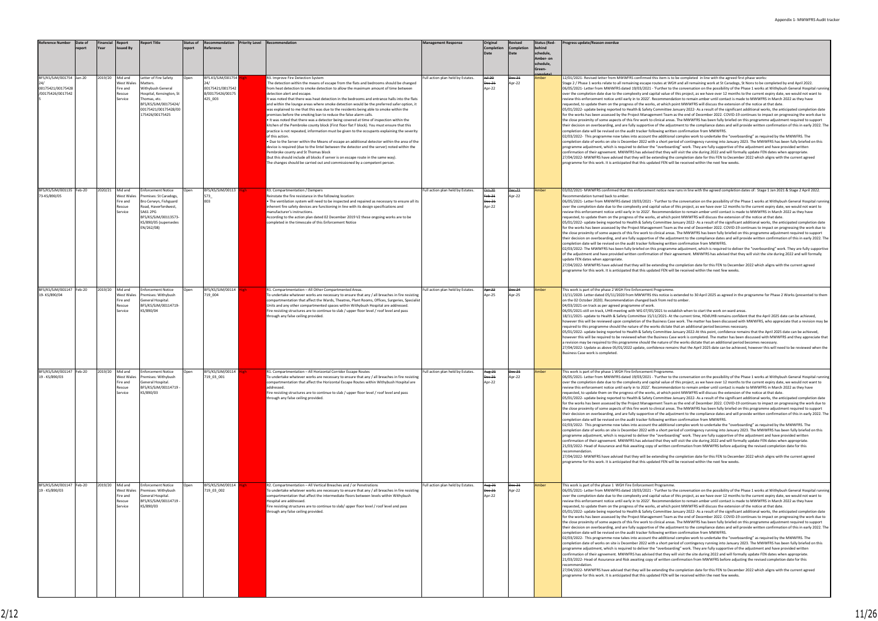#### em is to be completed in line with the agreed first phase works:

s at WGH and all remaining work at St Caradogs, St Nons to be completed by end April 2022. 06/05/2021- Letter from MWWFRS dated 19/03/2021 - 'Further to the conversation on the possibility of the Phase 1 works at Withybush General Hospital running<br>over the completion date due to the complexity and capital value mendation to remain amber until contact is made to MWWFRS in March 2022 as they have requested, to update them on the progress of the works, at which point MWWFRS will discuss the extension of the notice at that date.

men pont morthly and disease the extension of the notice at that date.<br>Ittee January 2022- As a result of the significant additional works, the anticipated completion date Team as the end of December 2022. COVID-19 continues to impact on progressing the work due to the close proximity of some aspects of this fire work to clinical areas. The MWWFRS has been fully briefed on this programme adjustment required to support their decision on overboarding, and are fully supportive of the adjustment to the compliance dates and will provide written confirmation of this in early 2022. The<br>completion date will be revised on the audit tracker follo

.<br>ditional complex work to undertake the "overboarding" as required by the MWWFRS. The ort period of contingency running into January 2023. The MWWFRS has been fully briefed on this rboarding" work. They are fully supportive of the adjustment and have provided written they will visit the site during 2022 and will formally update FEN dates when appropriate. 27/04/2022- MWWFRS have advised that they will be extending the completion date for this FEN to December 2022 which aligns with the current agreed FEN will be received within the next few weeks.

ice now runs in line with the agreed completion dates of: Stage 1 Jan 2021 & Stage 2 April 2022.

ner to the conversation on the possibility of the Phase 1 works at Withybush General Hospital runn alue of this project, as we have over 12 months to the current expiry date, we would not want to mendation to remain amber until contact is made to MWWFRS in March 2022 as they have hich point MWWFRS will discuss the extension of the notice at that date.

 $\frac{1}{2}$  in the January 2022- As a result of the significant additional works, the anticipated completion date for the works has been assessed by the Project Management Team as the end of December 2022. COVID-19 continues to impact on progressing the work due to al areas. The MWWFRS has been fully briefed on this programme adjustment required to support their decision on overboarding, and are fully supportive of the adjustment to the compliance dates and will provide written confirmation of this in early 2022. The .<br>written confirmation from MWWFRS

.<br>Pramme adjustment, which is required to deliver the "overboarding" work. They are fully supportiv of the adjustment and have provided written confirmation of their agreement. MWWFRS has advised that they will visit the site during 2022 and will formally

ling the completion date for this FEN to December 2022 which aligns with the current agreed programme for this is anticipated the this is in this text that the text of the text of the Text will be received within the next few weeks.

tice is extended to 30 April 2025 as agreed in the programme for Phase 2 Works (presented to then on the distance.<br>m red to amber

to establish when to start the work on ward areas.

21- At the current time. HDdUHB remains confident that the April 2025 date can be achieved. ess Case work. The matter has been discussed with MWWFRS, who appreciate that a revision may be required to the metric the second the works different the works different that is different than additional period becomes necessary.

nittee January 2022-At this point, confidence remains that the April 2025 date can be achieved, ess Case work is completed. The matter has been discussed with MWWFRS and they appreciate that ture of the works dictate that an additional period becomes necessary.

e remains that the April 2025 date can be achieved, however this will need to be reviewed when the

amme:<br>her to the conversation on the possibility of the Phase 1 works at Withybush General Hospital ru alue of this project, as we have over 12 months to the current expiry date, we would not want to imendation to remain amber until contact is made to MWWFRS in March 2022 as they have which point MWWFRS will discuss the extension of the notice at that date.

 $\frac{1}{2}$  nittee January 2022- As a result of the significant additional works, the anticipated completion date for the works has been assessed by the Project Management Team as the end of December 2022. COVID-19 continues to impact on progressing the work due to the calose areas. The MWWFRS has been fully briefed on this programme adjustment required to support their decision on our decision on our and are fully supported and a dividendance data.<br>Latisment to the compliance dates and will provide written confirmation of this in early 2022. The written confirmation from MWWFRS

<sub>0</sub><br>ditional complex work to undertake the "overboarding" as required by the MWWFRS. The completion date of works on site is december 2022 with a short period of contingency running into January 2023. The MWWFRS has been fully briefed on this erboarding" work. They are fully supportive of the adjustment and have provided written confirmation of their agreement. MWWFRS has advised that they will visit the site during 2022 and will formally update FEN dates when appropriate. .<br>2113- itten confirmation from MWWFRS before adjusting the revised completion date for this

2022- Ing the completion date for this FEN to December 2022 which aligns with the current agreed FEN will be received within the next few weeks.

.<br>In the from Market from the constituent of the Phase 1 works at Withybush General Hospital run ralue of this project, as we have over 12 months to the current expiry date, we would not want to mendation to remain amber until contact is made to MWWFRS in March 2022 as they have requested, to update them on the progress of the works, at which point MWWFRS will discuss the extension of the notice at that date.

onich point wiw with stwill discuss the extension of the notice at that date.<br>nittee January 2022- As a result of the significant additional works, the anticipated completion date Team as the end of December 2022. COVID-19 continues to impact on progressing the work due to the close proximity of some aspects of the close proximity of the close process.<br>The MWWFRS has been fully briefed on this programme adjustment required to support their decision of the compliance dates and will provide written confirmation of this in early 2022. The adjustment to the compliance dates and will provide written confirmation of this in early 2022. The written confirmation from MWWFRS

02022- This commission nonrurry now take.<br>Ittional complex work to undertake the "overboarding" as required by the MWWFRS. The ort period of contingency running into January 2023. The MWWFRS has been fully briefed on this programme adjustment, which is required to deliver the total in the mass of the intervention of the adjustment and have provided written they will visit the site during 2022 and will formally update FEN dates when appropriate. e 2023- tten confirmation from MWWFRS before adjusting the revised completion date for this

ting the completion date for this FEN to December 2022 which aligns with the current agreed provide for the formulation the sext few weeks.

| <b>Reference Number</b>                                            | Date of<br>report | <b>Financial</b><br>Year | <b>Report</b><br>Issued By                             | <b>Report Title</b>                                                                                                                                                             | <b>Status of</b><br>report | Recommendation<br>Reference                                               | <b>Priority Level</b> | Recommendation                                                                                                                                                                                                                                                                                                                                                                                                                                                                                                                                                                                                                                                                                                                                                                                                                                                                                                                                                                                                                                                                                                                                                                                                                                                                                                                | <b>Management Response</b>        | Original<br><b>Completion</b><br>Date     | Revised<br>Completion<br>Date | <b>Status (Red-</b><br>behind<br>schedule,<br>Amber- on<br>schedule,<br>Green- | Progress update/Reason overdue                                                                                                                                                                                                                                                                                                                                                                                                                                                                                                                                                                                                                                                                                                                                                                                                                                                                                                                                                                                                                                                                                                                                                                                                                                |
|--------------------------------------------------------------------|-------------------|--------------------------|--------------------------------------------------------|---------------------------------------------------------------------------------------------------------------------------------------------------------------------------------|----------------------------|---------------------------------------------------------------------------|-----------------------|-------------------------------------------------------------------------------------------------------------------------------------------------------------------------------------------------------------------------------------------------------------------------------------------------------------------------------------------------------------------------------------------------------------------------------------------------------------------------------------------------------------------------------------------------------------------------------------------------------------------------------------------------------------------------------------------------------------------------------------------------------------------------------------------------------------------------------------------------------------------------------------------------------------------------------------------------------------------------------------------------------------------------------------------------------------------------------------------------------------------------------------------------------------------------------------------------------------------------------------------------------------------------------------------------------------------------------|-----------------------------------|-------------------------------------------|-------------------------------|--------------------------------------------------------------------------------|---------------------------------------------------------------------------------------------------------------------------------------------------------------------------------------------------------------------------------------------------------------------------------------------------------------------------------------------------------------------------------------------------------------------------------------------------------------------------------------------------------------------------------------------------------------------------------------------------------------------------------------------------------------------------------------------------------------------------------------------------------------------------------------------------------------------------------------------------------------------------------------------------------------------------------------------------------------------------------------------------------------------------------------------------------------------------------------------------------------------------------------------------------------------------------------------------------------------------------------------------------------|
| BFS/KS/SJM/001754 Jan-20<br>00175421/00175428<br>/00175426/0017542 |                   | 2019/20                  | Mid and<br>West Wales<br>Fire and<br>Rescue<br>Service | Letter of Fire Safety<br>Matters.<br>Withybush General<br>Hospital, Kensington, St<br>Thomas, etc.<br>BFS/KS/SJM/00175424/<br>00175421/00175428/00<br>175426/00175425           | Open                       | BFS.KS/SJM/001754 High<br>00175421/0017542<br>8/00175426/00175<br>425_003 |                       | R3. Improve Fire Detection System<br>The detection within the means of escape from the flats and bedrooms should be changed<br>from heat detection to smoke detection to allow the maximum amount of time between<br>detection alert and escape.<br>It was noted that there was heat detection in the bedrooms and entrance halls into the flats<br>and within the lounge areas where smoke detection would be the preferred safer option, it<br>was explained to me that this was due to the residents being able to smoke within the<br>premises before the smoking ban to reduce the false alarm calls.<br>. It was noted that there was a detector being covered at time of inspection within the<br>kitchen of the Pembroke county block (First floor flat F block). You must ensure that this<br>practice is not repeated, information must be given to the occupants explaining the severity<br>of this action.<br>Due to the Server within the Means of escape an additional detector within the area of the<br>device is required (due to the lintel between the detector and the server) noted within the<br>Pembroke county and St Thomas block<br>(but this should include all blocks if server is on escape route in the same way).<br>The changes should be carried out and commissioned by a competent person. | Full action plan held by Estates. | <del>Jul-20</del><br>Dec-21<br>Apr-22     | Dec-21<br>Apr-22              | Amber                                                                          | 12/01/2021- Revised letter from MWWFRS confirmed this item is to<br>Stage 2 / Phase 1 works relate to all remaining escape routes at WGI<br>06/05/2021- Letter from MWWFRS dated 19/03/2021 - 'Further to th<br>over the completion date due to the complexity and capital value of<br>review this enforcement notice until early in to 2022'. Recommendat<br>requested, to update them on the progress of the works, at which po<br>05/01/2022- update being reported to Health & Safety Committee Ja<br>for the works has been assessed by the Project Management Team a<br>the close proximity of some aspects of this fire work to clinical areas.<br>their decision on overboarding, and are fully supportive of the adjust<br>completion date will be revised on the audit tracker following writter<br>02/03/2022- This programme now takes into account the additional<br>completion date of works on site is December 2022 with a short peri-<br>programme adjustment, which is required to deliver the "overboardi<br>confirmation of their agreement. MWWFRS has advised that they wi<br>27/04/2022- MWWFRS have advised that they will be extending the<br>programme for this work. It is anticipated that this updated FEN will                  |
| BFS/KS/SJM/001135 Feb-20<br>73-KS/890/05                           |                   | 2020/21                  | Mid and<br>West Wales<br>Fire and<br>Rescue<br>Service | <b>Enforcement Notice</b><br>Premises: St Caradogs,<br>Bro Cerwyn, Fishguard<br>Road, Haverfordwest,<br>SA61 2PG<br>BFS/KS/SJM/00113573-<br>KS/890/05 (supersedes<br>EN/262/08) | Open                       | BFS/KS/SJM/00113<br>573<br>003                                            |                       | R3. Compartmentation / Dampers<br>Reinstate the fire resistance in the following location:<br>The ventilation system will need to be inspected and repaired as necessary to ensure all its<br>inherent fire safety devices are functioning in line with its design specifications and<br>manufacturer's instructions.<br>According to the action plan dated 02 December 2019 V2 these ongoing works are to be<br>completed in the timescale of this Enforcement Notice                                                                                                                                                                                                                                                                                                                                                                                                                                                                                                                                                                                                                                                                                                                                                                                                                                                        | Full action plan held by Estates. | <b>Oct-20</b><br>eb-21<br>ec-21<br>Apr-22 | Dec-21<br>Apr-22              | Amber                                                                          | 03/02/2021- MWWFRS confirmed that this enforcement notice now<br>Recommendation turned back to amber.<br>06/05/2021- Letter from MWWFRS dated 19/03/2021 - 'Further to th<br>over the completion date due to the complexity and capital value of<br>review this enforcement notice until early in to 2022'. Recommendat<br>requested, to update them on the progress of the works, at which po<br>05/01/2022- update being reported to Health & Safety Committee Ja<br>for the works has been assessed by the Project Management Team a<br>the close proximity of some aspects of this fire work to clinical areas.<br>their decision on overboarding, and are fully supportive of the adjust<br>completion date will be revised on the audit tracker following writter<br>02/03/2022- The MWWFRS has been fully briefed on this programm<br>of the adjustment and have provided written confirmation of their ag<br>update FEN dates when appropriate.<br>27/04/2022- MWWFRS have advised that they will be extending the<br>programme for this work. It is anticipated that this updated FEN will                                                                                                                                                           |
| BFS/KS/SJM/001147 Feb-20<br>19-KS/890/04                           |                   | 2019/20                  | Mid and<br>West Wales<br>Fire and<br>escue<br>Service  | <b>Enforcement Notice</b><br>Premises: Withybush<br>General Hospital.<br>BFS/KS/SJM/00114719-<br>KS/890/04                                                                      | Open                       | BFS/KS/SJM/00114<br>719_004                                               |                       | R1. Compartmentation - All Other Compartmented Areas.<br>To undertake whatever works are necessary to ensure that any / all breaches in fire resisting<br>compartmentation that affect the Wards, Theatres, Plant Rooms, Offices, Surgeries, Specialist<br>Units and any other compartmented spaces within Withybush Hospital are addressed.<br>Fire resisting structures are to continue to slab / upper floor level / roof level and pass<br>through any false ceiling provided.                                                                                                                                                                                                                                                                                                                                                                                                                                                                                                                                                                                                                                                                                                                                                                                                                                            | Full action plan held by Estates  | Apr 22<br>Apr-25                          | ec-24<br>Apr-25               | Amber                                                                          | This work is part of the phase 2 WGH Fire Enforcement Programme.<br>13/11/2020- Letter dated 05/11/2020 from MWWFRS this notice is e<br>on the 02 October 2020). Recommendation changed back from red to<br>04/03/2021-on track as per agreed programme of work.<br>06/05/2021-still on track, UHB meeting with WG 07/05/2021 to estal<br>18/11/2021- update to Health & Safety Committee 15/11/2021- At tl<br>however this will be reviewed upon completion of the Business Case<br>required to this programme should the nature of the works dictate th<br>05/01/2022- update being reported to Health & Safety Committee Ja<br>however this will be required to be reviewed when the Business Case<br>a revision may be required to this programme should the nature of t<br>27/04/2022- Update as above 05/01/2022 update, confidence remai<br>Business Case work is completed.                                                                                                                                                                                                                                                                                                                                                                           |
| BFS/KS/SJM/001147 Feb-20<br>19 - KS/890/03                         |                   | 2019/20                  | Mid and<br>West Wales<br>Fire and<br>Rescue<br>Service | <b>Enforcement Notice</b><br>Premises: Withybush<br>General Hospital.<br>BFS/KS/SJM/00114719 -<br>KS/890/03                                                                     | Open                       | BFS/KS/SJM/00114 High<br>719_03_001                                       |                       | R1. Compartmentation - All Horizontal Corridor Escape Routes<br>To undertake whatever works are necessary to ensure that any / all breaches in fire resisting<br>compartmentation that affect the Horizontal Escape Routes within Withybush Hospital are<br>addressed.<br>Fire resisting structures are to continue to slab / upper floor level / roof level and pass<br>through any false ceiling provided.                                                                                                                                                                                                                                                                                                                                                                                                                                                                                                                                                                                                                                                                                                                                                                                                                                                                                                                  | Full action plan held by Estates. | <del>Aug-21</del><br>Dec-21<br>Apr-22     | Dec-21<br>Apr-22              | Amber                                                                          | This work is part of the phase 1 WGH Fire Enforcement Programme.<br>06/05/2021- Letter from MWWFRS dated 19/03/2021 - 'Further to th<br>over the completion date due to the complexity and capital value of<br>review this enforcement notice until early in to 2022'. Recommendat<br>requested, to update them on the progress of the works, at which po<br>05/01/2022- update being reported to Health & Safety Committee Ja<br>for the works has been assessed by the Project Management Team a<br>the close proximity of some aspects of this fire work to clinical areas.<br>their decision on overboarding, and are fully supportive of the adjust<br>completion date will be revised on the audit tracker following writter<br>02/03/2022- This programme now takes into account the additional<br>completion date of works on site is December 2022 with a short peri-<br>programme adjustment, which is required to deliver the "overboardi<br>confirmation of their agreement. MWWFRS has advised that they wi<br>21/03/2022- Head of Assurance and Risk awaiting copy of written co<br>recommendation.<br>27/04/2022- MWWFRS have advised that they will be extending the<br>programme for this work. It is anticipated that this updated FEN will |
| BFS/KS/SJM/001147 Feb-20<br>19 - KS/890/03                         |                   | 2019/20                  | Mid and<br>West Wales<br>Fire and<br>Rescue<br>Service | Enforcement Notice<br>Premises: Withybush<br>General Hospital.<br>BFS/KS/SJM/00114719<br>KS/890/03                                                                              | Open                       | BFS/KS/SJM/00114 High<br>719_03_002                                       |                       | R2. Compartmentation - All Vertical Breaches and / or Penetrations<br>To undertake whatever works are necessary to ensure that any / all breaches in fire resisting<br>compartmentation that affect the intermediate floors between levels within Withybush<br>Hospital are addressed.<br>Fire resisting structures are to continue to slab/ upper floor level / roof level and pass<br>through any false ceiling provided.                                                                                                                                                                                                                                                                                                                                                                                                                                                                                                                                                                                                                                                                                                                                                                                                                                                                                                   | Full action plan held by Estates. | Aug-21<br>Dec-21<br>Apr-22                | Dec-21<br>Apr-22              | Amber                                                                          | This work is part of the phase 1 WGH Fire Enforcement Programme.<br>06/05/2021- Letter from MWWFRS dated 19/03/2021 - 'Further to th<br>over the completion date due to the complexity and capital value of<br>review this enforcement notice until early in to 2022'. Recommendat<br>requested, to update them on the progress of the works, at which po<br>05/01/2022- update being reported to Health & Safety Committee Ja<br>for the works has been assessed by the Project Management Team a<br>the close proximity of some aspects of this fire work to clinical areas.<br>their decision on overboarding, and are fully supportive of the adjust<br>completion date will be revised on the audit tracker following writter<br>02/03/2022- This programme now takes into account the additional<br>completion date of works on site is December 2022 with a short peri-<br>programme adjustment, which is required to deliver the "overboardi<br>confirmation of their agreement. MWWFRS has advised that they wi<br>21/03/2022- Head of Assurance and Risk awaiting copy of written co<br>recommendation.<br>27/04/2022- MWWFRS have advised that they will be extending the<br>programme for this work. It is anticipated that this updated FEN will |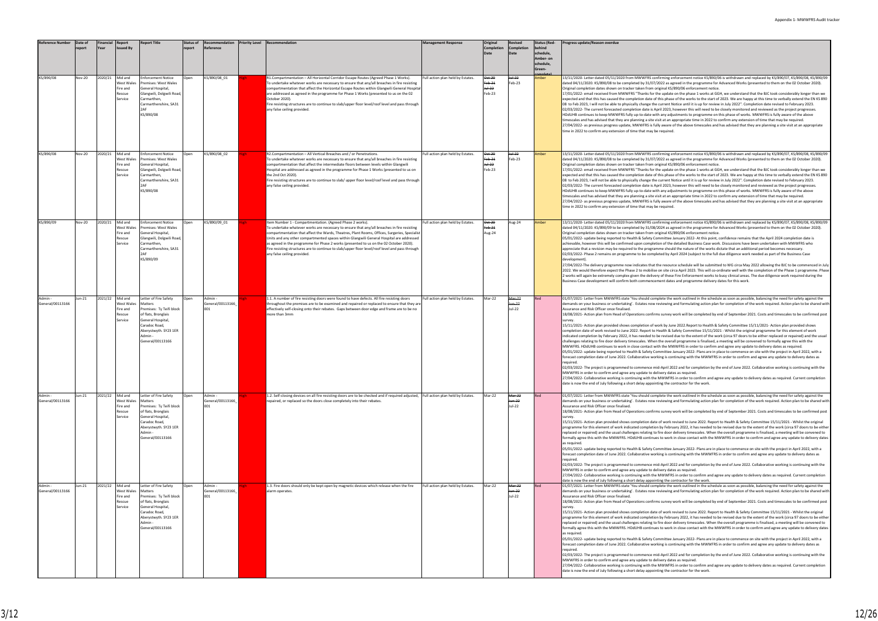| <b>Reference Number</b>   | Date of<br>eport | Financial<br>Year | Report<br>ssued Bv                                            | <b>Report Title</b>                                                                                                                                                                   | <b>Status of</b><br>report | Recommendation<br>Reference        | <b>Priority Level</b> | Recommendation                                                                                                                                                                                                                                                                                                                                                                                                                                                                                                                                                                  | <b>Management Response</b>        | Original<br>Completion                | Revised<br>Completion<br>Date | <b>Status (Red-</b><br>schedule,<br>Amber- on<br>schedule,<br>Green- | Progress update/Reason overdue                                                                                                                                                                                                                                                                                                                                                                                                                                                                                                                                                                                                                                                                                                                                                                                                                                                                                                                                                                                                                                                                                                                                                                                                                                                                                                                                                                                                                                                                                                                                                                                                                                                                                                                                                                                                                                                                                                                                                                                                                                                                                                                                                                 |
|---------------------------|------------------|-------------------|---------------------------------------------------------------|---------------------------------------------------------------------------------------------------------------------------------------------------------------------------------------|----------------------------|------------------------------------|-----------------------|---------------------------------------------------------------------------------------------------------------------------------------------------------------------------------------------------------------------------------------------------------------------------------------------------------------------------------------------------------------------------------------------------------------------------------------------------------------------------------------------------------------------------------------------------------------------------------|-----------------------------------|---------------------------------------|-------------------------------|----------------------------------------------------------------------|------------------------------------------------------------------------------------------------------------------------------------------------------------------------------------------------------------------------------------------------------------------------------------------------------------------------------------------------------------------------------------------------------------------------------------------------------------------------------------------------------------------------------------------------------------------------------------------------------------------------------------------------------------------------------------------------------------------------------------------------------------------------------------------------------------------------------------------------------------------------------------------------------------------------------------------------------------------------------------------------------------------------------------------------------------------------------------------------------------------------------------------------------------------------------------------------------------------------------------------------------------------------------------------------------------------------------------------------------------------------------------------------------------------------------------------------------------------------------------------------------------------------------------------------------------------------------------------------------------------------------------------------------------------------------------------------------------------------------------------------------------------------------------------------------------------------------------------------------------------------------------------------------------------------------------------------------------------------------------------------------------------------------------------------------------------------------------------------------------------------------------------------------------------------------------------------|
| KS/890/08                 | <b>Nov-20</b>    | 2020/21           | Mid and<br>West Wales<br>Fire and<br>Rescue<br>Service        | <b>Enforcement Notice</b><br>Premises: West Wales<br>General Hospital,<br>Glangwili, Dolgwili Road<br>Carmarthen,<br>Carmarthenshire, SA31<br>KS/890/08                               | Open                       | KS/890/08 01                       |                       | R1.Compartmentation - All Horizontal Corridor Escape Routes (Agreed Phase 1 Works).<br>To undertake whatever works are necessary to ensure that any/all breaches in fire resisting<br>compartmentation that affect the Horizontal Escape Routes within Glangwili General Hospita<br>are addressed as agreed in the programme for Phase 1 Works (presented to us on the 02<br>October 2020).<br>Fire resisting structures are to continue to slab/upper floor level/roof level and pass through<br>any false ceiling provided.                                                   | Full action plan held by Estates. | Oct-20<br>Feb-21<br>$+ +22$<br>Feb-23 | <del>Jul-22</del><br>Feb-23   | Amber                                                                | 13/11/2020- Letter dated 05/11/2020 from MWWFRS confirming enforcement notice KS/890/06 is withdrawn and replaced by KS/890/07, KS/890/08, KS/890/08, KS/890/08<br>dated 04/11/2020. KS/890/08 to be completed by 31/07/2022 as agreed in the programme for Advanced Works (presented to them on the 02 October 2020).<br>Original completion dates shown on tracker taken from original KS/890/06 enforcement notice.<br>17/01/2022- email received from MWWFRS "Thanks for the update on the phase 1 works at GGH, we understand that the BJC took considerably longer than we<br>expected and that this has caused the completion date of this phase of the works to the start of 2023. We are happy at this time to verbally extend the EN KS 89<br>08 to Feb 2023, I will not be able to physically change the current Notice until it is up for review in July 2022". Completion date revised to February 2023.<br>02/03/2022- The current forecasted completion date is April 2023, however this will need to be closely monitored and reviewed as the project progresses.<br>HDdUHB continues to keep MWWFRS fully up-to-date with any adjustments to programme on this phase of works. MWWFRS is fully aware of the above<br>timescales and has advised that they are planning a site visit at an appropriate time in 2022 to confirm any extension of time that may be required.<br>27/04/2022- as previous progress update, MWWFRS is fully aware of the above timescales and has advised that they are planning a site visit at an appropriate<br>time in 2022 to confirm any extension of time that may be required.                                                                                                                                                                                                                                                                                                                                                                                                                                                                                                                                                              |
| KS/890/08                 | Nov-20           | 2020/21           | Mid and<br>West Wales<br>Fire and<br>Rescue<br>Service        | <b>Enforcement Notice</b><br>Premises: West Wales<br>General Hospital,<br>Glangwili, Dolgwili Road,<br>Carmarthen,<br>Carmarthenshire, SA31<br><b>DAF</b><br>KS/890/08                | Open                       | KS/890/08 02                       |                       | R2.Compartmentation - All Vertical Breaches and / or Penetrations.<br>To undertake whatever works are necessary to ensure that any/all breaches in fire resisting<br>compartmentation that affect the intermediate floors between levels within Glangwili<br>Hospital are addressed as agreed in the programme for Phase 1 Works (presented to us on<br>the 2nd Oct 2020).<br>Fire resisting structures are to continue to slab/ upper floor level/roof level and pass through<br>any false ceiling provided.                                                                   | ull action plan held by Estates.  | Oct-20<br>Feb-21<br>$+ +22$<br>Feb-23 | <del>Jul-22</del><br>eb-23    | <b>Amber</b>                                                         | 13/11/2020- Letter dated 05/11/2020 from MWWFRS confirming enforcement notice KS/890/06 is withdrawn and replaced by KS/890/07, KS/890/08, KS/890/08, KS/890/08<br>dated 04/11/2020. KS/890/08 to be completed by 31/07/2022 as agreed in the programme for Advanced Works (presented to them on the 02 October 2020).<br>Original completion dates shown on tracker taken from original KS/890/06 enforcement notice.<br>17/01/2022- email received from MWWFRS "Thanks for the update on the phase 1 works at GGH, we understand that the BJC took considerably longer than we<br>expected and that this has caused the completion date of this phase of the works to the start of 2023. We are happy at this time to verbally extend the EN KS 89<br>08 to Feb 2023, I will not be able to physically change the current Notice until it is up for review in July 2022". Completion date revised to February 2023.<br>02/03/2022- The current forecasted completion date is April 2023, however this will need to be closely monitored and reviewed as the project progresses.<br>HDdUHB continues to keep MWWFRS fully up-to-date with any adjustments to programme on this phase of works. MWWFRS is fully aware of the above<br>timescales and has advised that they are planning a site visit at an appropriate time in 2022 to confirm any extension of time that may be required.<br>27/04/2022- as previous progress update, MWWFRS is fully aware of the above timescales and has advised that they are planning a site visit at an appropriate<br>time in 2022 to confirm any extension of time that may be required.                                                                                                                                                                                                                                                                                                                                                                                                                                                                                                                                                              |
| KS/890/09                 | Nov-20           | 2020/21           | Mid and<br><b>Nest Wales</b><br>Fire and<br>Rescue<br>Service | <b>Enforcement Notice</b><br>Premises: West Wales<br>General Hospital,<br>Glangwili, Dolgwili Road,<br>Carmarthen,<br>Carmarthenshire, SA31<br>KS/890/09                              | Open                       | KS/890/09_01                       |                       | tem Number 1 - Compartmentation. (Agreed Phase 2 works).<br>To undertake whatever works are necessary to ensure that any/all breaches in fire resisting<br>compartmentation that affect the Wards, Theatres, Plant Rooms, Offices, Surgeries, Specialis<br>Units and any other compartmented spaces within Glangwili General Hospital are addressed<br>as agreed in the programme for Phase 2 works (presented to us on the 02 October 2020).<br>Fire resisting structures are to continue to slab/upper floor level/roof level and pass through<br>any false ceiling provided. | ull action plan held by Estates.  | Oct-20<br>Feb-21<br>Aug-24            | Aug-24                        | Amber                                                                | 13/11/2020- Letter dated 05/11/2020 from MWWFRS confirming enforcement notice KS/890/06 is withdrawn and replaced by KS/890/07, KS/890/08, KS/890/08, KS/890/08<br>dated 04/11/2020. KS/890/09 to be completed by 31/08/2024 as agreed in the programme for Advanced Works (presented to them on the 02 October 2020).<br>Original completion dates shown on tracker taken from original KS/890/06 enforcement notice.<br>05/01/2022- update being reported to Health & Safety Committee January 2022- At this point, confidence remains that the April 2024 completion date is<br>achievable, however this will be confirmed upon completion of the detailed Business Case work. Discussions have been undertaken with MWWFRS who<br>appreciate that a revision may be required to the programme should the nature of the works dictate that an additional period becomes necessary.<br>02/03/2022- Phase 2 remains on programme to be completed by April 2024 (subject to the full due diligence work needed as part of the Business Case<br>development).<br>27/04/2022-The delivery programme now indicates that the resource schedule will be submitted to WG circa May 2022 allowing the BJC to be commenced in Ju<br>2022. We would therefore expect the Phase 2 to mobilise on site circa April 2023. This will co-ordinate well with the completion of the Phase 1 programme. Pha<br>2 works will again be extremely complex given the delivery of these Fire Enforcement works to busy clinical areas. The due diligence work required during the<br>Business Case development will confirm both commencement dates and programme delivery dates for this work.                                                                                                                                                                                                                                                                                                                                                                                                                                                                                                                      |
| Admin<br>General/00113166 | Jun-21           | 2021/22           | Mid and<br>West Wales<br>Fire and<br>Rescue<br>Service        | Letter of Fire Safety<br>Matters<br>Premises: Ty Teifi block<br>of flats, Bronglais<br><b>General Hospital</b><br>Caradoc Road,<br>Aberystwyth. SY23 1ER<br>Admin<br>General/00113166 | Open                       | Admin -<br>General/00113166<br>001 |                       | 1.1. A number of fire resisting doors were found to have defects. All fire resisting doors<br>throughout the premises are to be examined and repaired or replaced to ensure that they are<br>effectively self-closing onto their rebates. Gaps between door edge and frame are to be no<br>more than 3mm                                                                                                                                                                                                                                                                        | Full action plan held by Estates. | Mar-22                                | Mar-22<br>lun-22<br>Jul-22    |                                                                      | 01/07/2021- Letter from MWWFRS state 'You should complete the work outlined in the schedule as soon as possible, balancing the need for safety against the<br>demands on your business or undertaking'. Estates now reviewing and formulating action plan for completion of the work required. Action plan to be shared w<br>Assurance and Risk Officer once finalised.<br>18/08/2021- Action plan from Head of Operations confirms survey work will be completed by end of September 2021. Costs and timescales to be confirmed por<br>survey.<br>15/11/2021- Action plan provided shows completion of work by June 2022.Report to Health & Safety Committee 15/11/2021- Action plan provided shows<br>completion date of work revised to June 2022. Report to Health & Safety Committee 15/11/2021 - Whilst the original programme for this element of work<br>indicated completion by February 2022, it has needed to be revised due to the extent of the work (circa 97 doors to be either replaced or repaired) and the usua<br>challenges relating to fire door delivery timescales. When the overall programme is finalised, a meeting will be convened to formally agree this with the<br>MWWFRS. HDdUHB continues to work in close contact with the MWWFRS in order to confirm and agree any update to delivery dates as required.<br>05/01/2022- update being reported to Health & Safety Committee January 2022- Plans are in place to commence on site with the project in April 2022, with a<br>forecast completion date of June 2022. Collaborative working is continuing with the MWWFRS in order to confirm and agree any update to delivery dates as<br>required.<br>02/03/2022- The project is programmed to commence mid-April 2022 and for completion by the end of June 2022. Collaborative working is continuing with the<br>MWWFRS in order to confirm and agree any update to delivery dates as required.<br>27/04/2022- Collaborative working is continuing with the MWWFRS in order to confirm and agree any update to delivery dates as required. Current completion<br>date is now the end of July following a short delay appointing the contractor for the work. |
| Admin<br>General/00113166 | Jun-21           | 2021/22           | Mid and<br>West Wales<br>Fire and<br>Rescue<br>Service        | Letter of Fire Safety<br>Matters<br>Premises: Ty Teifi block<br>of flats, Bronglais<br>General Hospital<br>Caradoc Road,<br>Aberystwyth. SY23 1ER<br>Admin<br>General/00113166        | Open                       | Admin -<br>General/00113166<br>001 |                       | 1.2. Self-closing devices on all fire resisting doors are to be checked and if required adjusted, Full action plan held by Estates.<br>repaired, or replaced so the doors close completely into their rebates.                                                                                                                                                                                                                                                                                                                                                                  |                                   | Mar-22                                | Mar-22<br>un-22<br>Jul-22     |                                                                      | 01/07/2021- Letter from MWWFRS state 'You should complete the work outlined in the schedule as soon as possible, balancing the need for safety against the<br>demands on your business or undertaking'. Estates now reviewing and formulating action plan for completion of the work required. Action plan to be shared w<br>Assurance and Risk Officer once finalised.<br>18/08/2021- Action plan from Head of Operations confirms survey work will be completed by end of September 2021. Costs and timescales to be confirmed po:<br>survey.<br>15/11/2021- Action plan provided shows completion date of work revised to June 2022. Report to Health & Safety Committee 15/11/2021 - Whilst the original<br>programme for this element of work indicated completion by February 2022, it has needed to be revised due to the extent of the work (circa 97 doors to be eith<br>replaced or repaired) and the usual challenges relating to fire door delivery timescales. When the overall programme is finalised, a meeting will be convened to<br>formally agree this with the MWWFRS. HDdUHB continues to work in close contact with the MWWFRS in order to confirm and agree any update to delivery dat<br>as required.<br>05/01/2022- update being reported to Health & Safety Committee January 2022- Plans are in place to commence on site with the project in April 2022, with a<br>forecast completion date of June 2022. Collaborative working is continuing with the MWWFRS in order to confirm and agree any update to delivery dates as<br>required.<br>02/03/2022- The project is programmed to commence mid-April 2022 and for completion by the end of June 2022. Collaborative working is continuing with the<br>MWWFRS in order to confirm and agree any update to delivery dates as required.<br>27/04/2022- Collaborative working is continuing with the MWWFRS in order to confirm and agree any update to delivery dates as required. Current completion<br>date is now the end of July following a short delay appointing the contractor for the work.                                                                                                               |
| General/00113166          | un-21            | 2021/22           | Mid and<br>West Wales<br>Fire and<br>Rescue<br>Service        | Letter of Fire Safety<br>Matters<br>Premises: Ty Teifi block<br>of flats, Bronglais<br>General Hospital<br>Caradoc Road,<br>Aberystwyth. SY23 1ER<br>Admin<br>General/00113166        | Open                       | Admin ·<br>General/00113166<br>001 |                       | L.3. Fire doors should only be kept open by magnetic devices which release when the fire<br>alarm operates.                                                                                                                                                                                                                                                                                                                                                                                                                                                                     | Full action plan held by Estates. | Mar-22                                | Mar-22<br>lun 22<br>Jul-22    |                                                                      | 01/07/2021- Letter from MWWFRS state 'You should complete the work outlined in the schedule as soon as possible, balancing the need for safety against the<br>demands on your business or undertaking'. Estates now reviewing and formulating action plan for completion of the work required. Action plan to be shared w<br>Assurance and Risk Officer once finalised.<br>18/08/2021- Action plan from Head of Operations confirms survey work will be completed by end of September 2021. Costs and timescales to be confirmed po:<br>15/11/2021- Action plan provided shows completion date of work revised to June 2022. Report to Health & Safety Committee 15/11/2021 - Whilst the original<br>programme for this element of work indicated completion by February 2022, it has needed to be revised due to the extent of the work (circa 97 doors to be eith<br>replaced or repaired) and the usual challenges relating to fire door delivery timescales. When the overall programme is finalised, a meeting will be convened to<br>formally agree this with the MWWFRS. HDdUHB continues to work in close contact with the MWWFRS in order to confirm and agree any update to delivery dat<br>as required.<br>05/01/2022- update being reported to Health & Safety Committee January 2022- Plans are in place to commence on site with the project in April 2022, with a<br>forecast completion date of June 2022. Collaborative working is continuing with the MWWFRS in order to confirm and agree any update to delivery dates as<br>required.<br>02/03/2022- The project is programmed to commence mid-April 2022 and for completion by the end of June 2022. Collaborative working is continuing with the<br>MWWFRS in order to confirm and agree any update to delivery dates as required.<br>27/04/2022- Collaborative working is continuing with the MWWFRS in order to confirm and agree any update to delivery dates as required. Current completion<br>date is now the end of July following a short delay appointing the contractor for the work.                                                                                                                          |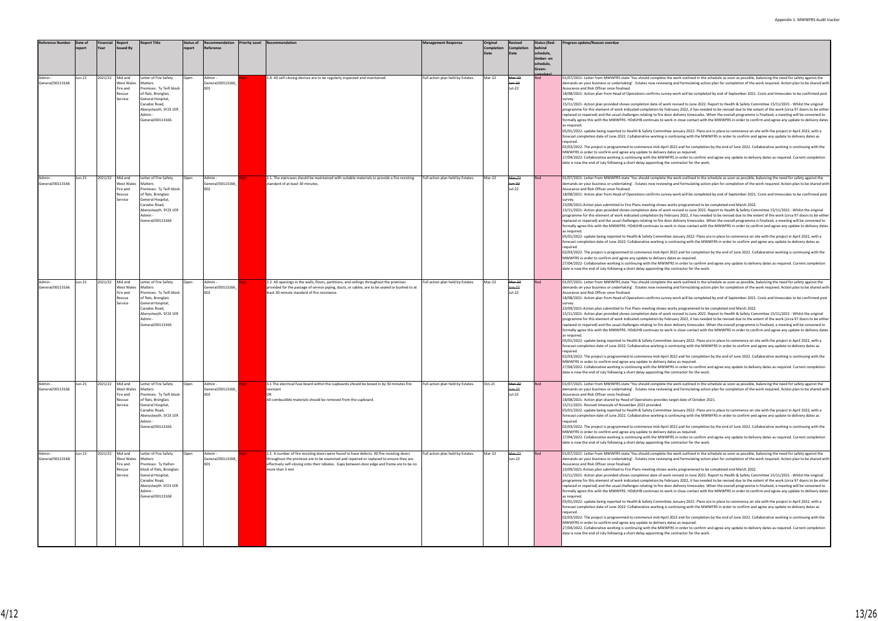| Reference Number            | Date of<br>report | Financial<br><b>Year</b> | <b>Report</b><br>ssued By                                     | <b>Report Title</b>                                                                                                                                                                    | <b>Status of</b><br>report | Recommendation<br>Reference        | <b>Priority Level</b> | Recommendation                                                                                                                                                                                                                                                                                       | <b>Management Response</b>        | Original<br>Completion | Revised<br>Completion<br>Date         | <b>Status (Red-</b><br>ehind<br>schedule,<br>Amber- on<br>schedule,<br>Green- | Progress update/Reason overdue                                                                                                                                                                                                                                                                                                                                                                                                                                                                                                                                                                                                                                                                                                                                                                                                                                                                                                                                                                                                                                                                                                                                                                                                                                                                                                                                                                                                                                                                                                                                                                                                                                                                                                                                                                                                                                                                                                                                                                                                                                                                                                                                                                    |
|-----------------------------|-------------------|--------------------------|---------------------------------------------------------------|----------------------------------------------------------------------------------------------------------------------------------------------------------------------------------------|----------------------------|------------------------------------|-----------------------|------------------------------------------------------------------------------------------------------------------------------------------------------------------------------------------------------------------------------------------------------------------------------------------------------|-----------------------------------|------------------------|---------------------------------------|-------------------------------------------------------------------------------|---------------------------------------------------------------------------------------------------------------------------------------------------------------------------------------------------------------------------------------------------------------------------------------------------------------------------------------------------------------------------------------------------------------------------------------------------------------------------------------------------------------------------------------------------------------------------------------------------------------------------------------------------------------------------------------------------------------------------------------------------------------------------------------------------------------------------------------------------------------------------------------------------------------------------------------------------------------------------------------------------------------------------------------------------------------------------------------------------------------------------------------------------------------------------------------------------------------------------------------------------------------------------------------------------------------------------------------------------------------------------------------------------------------------------------------------------------------------------------------------------------------------------------------------------------------------------------------------------------------------------------------------------------------------------------------------------------------------------------------------------------------------------------------------------------------------------------------------------------------------------------------------------------------------------------------------------------------------------------------------------------------------------------------------------------------------------------------------------------------------------------------------------------------------------------------------------|
| General/00113166            | Jun-21            | 2021/22                  | Mid and<br>West Wales<br>Fire and<br><b>Rescue</b><br>Service | etter of Fire Safety<br>Matters<br>Premises: Ty Teifi block<br>of flats, Bronglais<br>General Hospital,<br>Caradoc Road,<br>Aberystwyth. SY23 1ER<br>Admin -<br>General/00113166       | Open                       | Admin<br>General/00113166<br>001   |                       | 1.4. All self-closing devices are to be regularly inspected and maintained.                                                                                                                                                                                                                          | Full action plan held by Estates. | Mar-22                 | Mar-22<br>Jun-22<br>Jul-22            | Red                                                                           | 01/07/2021- Letter from MWWFRS state 'You should complete the work outlined in the schedule as soon as possible, balancing the need for safety against the<br>demands on your business or undertaking'. Estates now reviewing and formulating action plan for completion of the work required. Action plan to be shared w<br>Assurance and Risk Officer once finalised.<br>18/08/2021- Action plan from Head of Operations confirms survey work will be completed by end of September 2021. Costs and timescales to be confirmed por<br>survev<br>15/11/2021- Action plan provided shows completion date of work revised to June 2022. Report to Health & Safety Committee 15/11/2021 - Whilst the original<br>programme for this element of work indicated completion by February 2022, it has needed to be revised due to the extent of the work (circa 97 doors to be eith<br>replaced or repaired) and the usual challenges relating to fire door delivery timescales. When the overall programme is finalised, a meeting will be convened to<br>formally agree this with the MWWFRS. HDdUHB continues to work in close contact with the MWWFRS in order to confirm and agree any update to delivery dat<br>as required.<br>05/01/2022- update being reported to Health & Safety Committee January 2022- Plans are in place to commence on site with the project in April 2022, with a<br>forecast completion date of June 2022. Collaborative working is continuing with the MWWFRS in order to confirm and agree any update to delivery dates as<br>required.<br>02/03/2022- The project is programmed to commence mid-April 2022 and for completion by the end of June 2022. Collaborative working is continuing with the<br>MWWFRS in order to confirm and agree any update to delivery dates as required.<br>27/04/2022- Collaborative working is continuing with the MWWFRS in order to confirm and agree any update to delivery dates as required. Current completion<br>date is now the end of July following a short delay appointing the contractor for the work.                                                                                                                   |
| Admin-<br>General/00113166  | Jun-21            | 2021/22                  | Mid and<br>Nest Wales<br>ire and<br>Rescue<br>Service         | Letter of Fire Safety<br>Matters<br>Premises: Ty Teifi block<br>of flats, Bronglais<br>General Hospital,<br>Caradoc Road,<br>Aberystwyth. SY23 1ER<br><b>Admin</b><br>General/00113166 | Open                       | Admin<br>General/00113166<br>002   |                       | 2.1. The staircases should be maintained with suitable materials to provide a fire resisting<br>standard of at least 30 minutes.                                                                                                                                                                     | Full action plan held by Estates. | Mar-22                 | Mar-22<br>Jun-22<br>Jul-22            |                                                                               | 01/07/2021- Letter from MWWFRS state 'You should complete the work outlined in the schedule as soon as possible, balancing the need for safety against the<br>demands on your business or undertaking'. Estates now reviewing and formulating action plan for completion of the work required. Action plan to be shared w<br>Assurance and Risk Officer once finalised.<br>18/08/2021- Action plan from Head of Operations confirms survey work will be completed by end of September 2021. Costs and timescales to be confirmed por<br>survey.<br>23/09/2021-Action plan submitted to Fire Plans meeting shows works programmed to be completed end March 2022.<br>15/11/2021- Action plan provided shows completion date of work revised to June 2022. Report to Health & Safety Committee 15/11/2021 - Whilst the original<br>programme for this element of work indicated completion by February 2022, it has needed to be revised due to the extent of the work (circa 97 doors to be eith<br>replaced or repaired) and the usual challenges relating to fire door delivery timescales. When the overall programme is finalised, a meeting will be convened to<br>formally agree this with the MWWFRS. HDdUHB continues to work in close contact with the MWWFRS in order to confirm and agree any update to delivery dat<br>as required.<br>05/01/2022- update being reported to Health & Safety Committee January 2022- Plans are in place to commence on site with the project in April 2022, with a<br>forecast completion date of June 2022. Collaborative working is continuing with the MWWFRS in order to confirm and agree any update to delivery dates as<br>required.<br>02/03/2022- The project is programmed to commence mid-April 2022 and for completion by the end of June 2022. Collaborative working is continuing with the<br>MWWFRS in order to confirm and agree any update to delivery dates as required.<br>27/04/2022- Collaborative working is continuing with the MWWFRS in order to confirm and agree any update to delivery dates as required. Current completion<br>date is now the end of July following a short delay appointing the contractor for the work. |
| General/00113166            | un-21             | 2021/22                  | Mid and<br>West Wales<br>ire and<br>Rescue<br>service         | Letter of Fire Safety<br>Matters<br>Premises: Ty Teifi block<br>of flats, Bronglais<br>General Hospital,<br>Caradoc Road,<br>Aberystwyth. SY23 1ER<br>Admin<br>General/00113166        | Open                       | Admin<br>General/00113166<br>002   |                       | 2.2. All openings in the walls, floors, partitions, and ceilings throughout the premises<br>provided for the passage of service piping, ducts, or cables, are to be sealed or bushed to at<br>least 30-minute standard of fire resistance                                                            | Full action plan held by Estates. | Mar-22                 | Mar-22<br>Jun-22<br>Jul-22            |                                                                               | 01/07/2021- Letter from MWWFRS state 'You should complete the work outlined in the schedule as soon as possible, balancing the need for safety against the<br>demands on your business or undertaking'. Estates now reviewing and formulating action plan for completion of the work required. Action plan to be shared w<br>Assurance and Risk Officer once finalised.<br>18/08/2021- Action plan from Head of Operations confirms survey work will be completed by end of September 2021. Costs and timescales to be confirmed por<br>23/09/2021-Action plan submitted to Fire Plans meeting shows works programmed to be completed end March 2022.<br>15/11/2021- Action plan provided shows completion date of work revised to June 2022. Report to Health & Safety Committee 15/11/2021 - Whilst the original<br>programme for this element of work indicated completion by February 2022, it has needed to be revised due to the extent of the work (circa 97 doors to be eith<br>replaced or repaired) and the usual challenges relating to fire door delivery timescales. When the overall programme is finalised, a meeting will be convened to<br>formally agree this with the MWWFRS. HDdUHB continues to work in close contact with the MWWFRS in order to confirm and agree any update to delivery dat<br>as required.<br>05/01/2022- update being reported to Health & Safety Committee January 2022- Plans are in place to commence on site with the project in April 2022, with a<br>forecast completion date of June 2022. Collaborative working is continuing with the MWWFRS in order to confirm and agree any update to delivery dates as<br>required.<br>02/03/2022- The project is programmed to commence mid-April 2022 and for completion by the end of June 2022. Collaborative working is continuing with the<br>MWWFRS in order to confirm and agree any update to delivery dates as required.<br>27/04/2022- Collaborative working is continuing with the MWWFRS in order to confirm and agree any update to delivery dates as required. Current completion<br>date is now the end of July following a short delay appointing the contractor for the work.            |
| Admin -<br>General/00113166 | Jun-21            | 2021/22                  | Mid and<br>West Wales<br>ire and<br>Rescue<br>Service         | Letter of Fire Safety<br>Matters<br>Premises: Ty Teifi block<br>of flats, Bronglais<br>General Hospital,<br>Caradoc Road,<br>Aberystwyth. SY23 1ER<br>Admin -<br>General/00113166      | Open                       | Admin -<br>General/00113166<br>003 |                       | 3.1 The electrical fuse board within the cupboards should be boxed in by 30 minutes fire<br>resistant<br>All combustible materials should be removed from the cupboard                                                                                                                               | Full action plan held by Estates. | Oct-21                 | Mar 22<br><del>Jun-22</del><br>Jul-22 |                                                                               | 01/07/2021- Letter from MWWFRS state 'You should complete the work outlined in the schedule as soon as possible, balancing the need for safety against the<br>demands on your business or undertaking'. Estates now reviewing and formulating action plan for completion of the work required. Action plan to be shared w<br>Assurance and Risk Officer once finalised.<br>18/08/2021- Action plan shared by Head of Operations provides target date of October 2021.<br>15/11/2021- Revised timescale of November 2021 provided.<br>05/01/2022- update being reported to Health & Safety Committee January 2022- Plans are in place to commence on site with the project in April 2022, with a<br>forecast completion date of June 2022. Collaborative working is continuing with the MWWFRS in order to confirm and agree any update to delivery dates as<br>required.<br>02/03/2022- The project is programmed to commence mid-April 2022 and for completion by the end of June 2022. Collaborative working is continuing with the<br>MWWFRS in order to confirm and agree any update to delivery dates as required.<br>27/04/2022- Collaborative working is continuing with the MWWFRS in order to confirm and agree any update to delivery dates as required. Current completion<br>date is now the end of July following a short delay appointing the contractor for the work.                                                                                                                                                                                                                                                                                                                                                                                                                                                                                                                                                                                                                                                                                                                                                                                                              |
| Admin ·<br>General/00113168 | Jun-21            | 2021/22                  | Mid and<br>West Wales<br>Fire and<br><b>Rescue</b><br>Service | Letter of Fire Safety<br>Matters<br>Premises: Ty Hafren<br>block of flats, Bronglais<br>General Hospital,<br>Caradoc Road,<br>Aberystwyth SY23 1ER<br>Admin -<br>General/00113168      | Open                       | Admin<br>General/00113168<br>001   |                       | 1.1. A number of fire resisting doors were found to have defects. All fire resisting doors<br>throughout the premises are to be examined and repaired or replaced to ensure they are<br>effectively self-closing onto their rebates. Gaps between door edge and frame are to be no<br>more than 3 mm | Full action plan held by Estates. | Mar-22                 | Mar-22<br>Jun-22                      |                                                                               | 01/07/2021- Letter from MWWFRS state 'You should complete the work outlined in the schedule as soon as possible, balancing the need for safety against the<br>demands on your business or undertaking'. Estates now reviewing and formulating action plan for completion of the work required. Action plan to be shared w<br>Assurance and Risk Officer once finalised.<br>23/09/2021-Action plan submitted to Fire Plans meeting shows works programmed to be completed end March 2022.<br>15/11/2021- Action plan provided shows completion date of work revised to June 2022. Report to Health & Safety Committee 15/11/2021 - Whilst the original<br>programme for this element of work indicated completion by February 2022, it has needed to be revised due to the extent of the work (circa 97 doors to be eith<br>replaced or repaired) and the usual challenges relating to fire door delivery timescales. When the overall programme is finalised, a meeting will be convened to<br>formally agree this with the MWWFRS. HDdUHB continues to work in close contact with the MWWFRS in order to confirm and agree any update to delivery dat<br>as required.<br>05/01/2022- update being reported to Health & Safety Committee January 2022- Plans are in place to commence on site with the project in April 2022, with a<br>forecast completion date of June 2022. Collaborative working is continuing with the MWWFRS in order to confirm and agree any update to delivery dates as<br>required.<br>02/03/2022- The project is programmed to commence mid-April 2022 and for completion by the end of June 2022. Collaborative working is continuing with the<br>MWWFRS in order to confirm and agree any update to delivery dates as required.<br>27/04/2022- Collaborative working is continuing with the MWWFRS in order to confirm and agree any update to delivery dates as required. Current completion<br>date is now the end of July following a short delay appointing the contractor for the work.                                                                                                                                                                         |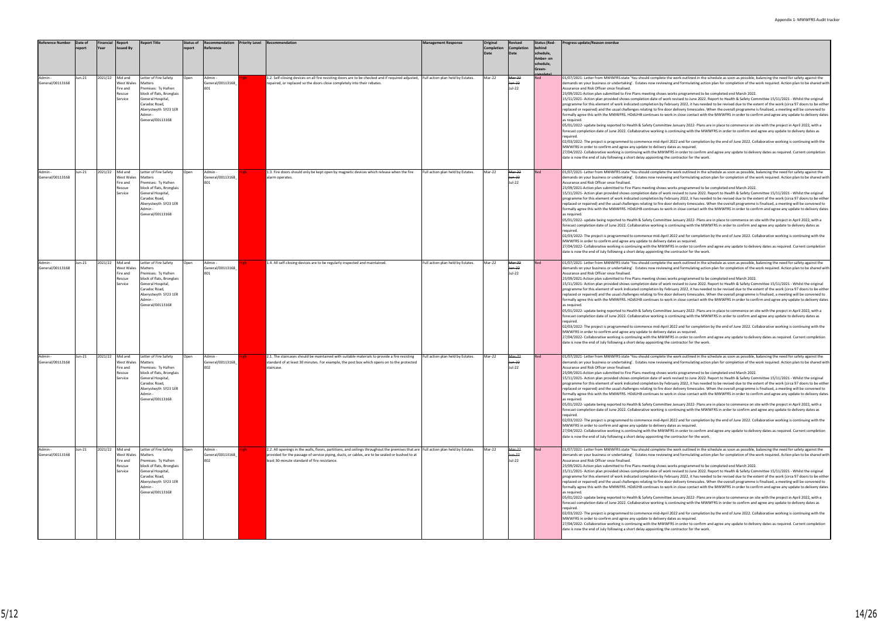| <b>Reference Number</b>     | Date of<br>eport | Financial<br>Year | Report                                                 | <b>Report Title</b>                                                                                                                                                    | <b>Status of</b><br>report | Recommendation<br>Reference        | <b>Priority Level</b> | Recommendation                                                                                                                                                                                                                                                                        | <b>Management Response</b>        | Original<br><b>Completion</b> | Revised<br>Completion<br>Date | <b>Status (Red-</b><br>oehind<br>schedule,<br>Amber- on<br>schedule,<br>Green- | Progress update/Reason overdue                                                                                                                                                                                                                                                                                                                                                                                                                                                                                                                                                                                                                                                                                                                                                                                                                                                                                                                                                                                                                                                                                                                                                                                                                                                                                                                                                                                                                                                                                                                                                                                                                                                                                                                                                                                                                                                                                                                                                                                            |
|-----------------------------|------------------|-------------------|--------------------------------------------------------|------------------------------------------------------------------------------------------------------------------------------------------------------------------------|----------------------------|------------------------------------|-----------------------|---------------------------------------------------------------------------------------------------------------------------------------------------------------------------------------------------------------------------------------------------------------------------------------|-----------------------------------|-------------------------------|-------------------------------|--------------------------------------------------------------------------------|---------------------------------------------------------------------------------------------------------------------------------------------------------------------------------------------------------------------------------------------------------------------------------------------------------------------------------------------------------------------------------------------------------------------------------------------------------------------------------------------------------------------------------------------------------------------------------------------------------------------------------------------------------------------------------------------------------------------------------------------------------------------------------------------------------------------------------------------------------------------------------------------------------------------------------------------------------------------------------------------------------------------------------------------------------------------------------------------------------------------------------------------------------------------------------------------------------------------------------------------------------------------------------------------------------------------------------------------------------------------------------------------------------------------------------------------------------------------------------------------------------------------------------------------------------------------------------------------------------------------------------------------------------------------------------------------------------------------------------------------------------------------------------------------------------------------------------------------------------------------------------------------------------------------------------------------------------------------------------------------------------------------------|
| General/00113168            | Jun-21           | 2021/22           | Mid and<br>West Wales<br>Fire and<br>Rescue<br>Service | Letter of Fire Safety<br>Matters<br>Premises: Ty Hafren<br>block of flats, Bronglais<br>General Hospital,<br>Caradoc Road,<br>Aberystwyth SY23 1ER<br>General/00113168 | Open                       | Admin<br>General/00113168<br>001   |                       | 1.2. Self-closing devices on all fire resisting doors are to be checked and if required adjusted, Full action plan held by Estates.<br>repaired, or replaced so the doors close completely into their rebates.                                                                        |                                   | Mar-22                        | Mar-22<br>lun-22<br>Jul-22    | Red                                                                            | 01/07/2021- Letter from MWWFRS state 'You should complete the work outlined in the schedule as soon as possible, balancing the need for safety against the<br>demands on your business or undertaking'. Estates now reviewing and formulating action plan for completion of the work required. Action plan to be shared w<br>Assurance and Risk Officer once finalised.<br>23/09/2021-Action plan submitted to Fire Plans meeting shows works programmed to be completed end March 2022.<br>15/11/2021- Action plan provided shows completion date of work revised to June 2022. Report to Health & Safety Committee 15/11/2021 - Whilst the original<br>programme for this element of work indicated completion by February 2022, it has needed to be revised due to the extent of the work (circa 97 doors to be eith<br>replaced or repaired) and the usual challenges relating to fire door delivery timescales. When the overall programme is finalised, a meeting will be convened to<br>formally agree this with the MWWFRS. HDdUHB continues to work in close contact with the MWWFRS in order to confirm and agree any update to delivery dat<br>as required.<br>05/01/2022- update being reported to Health & Safety Committee January 2022- Plans are in place to commence on site with the project in April 2022, with a<br>forecast completion date of June 2022. Collaborative working is continuing with the MWWFRS in order to confirm and agree any update to delivery dates as<br>required.<br>02/03/2022- The project is programmed to commence mid-April 2022 and for completion by the end of June 2022. Collaborative working is continuing with the<br>MWWFRS in order to confirm and agree any update to delivery dates as required.<br>27/04/2022- Collaborative working is continuing with the MWWFRS in order to confirm and agree any update to delivery dates as required. Current completion<br>date is now the end of July following a short delay appointing the contractor for the work. |
| General/00113168            | Jun-21           | 2021/22           | Mid and<br>West Wales<br>Fire and<br>Rescue<br>Service | Letter of Fire Safety<br>Matters<br>Premises: Ty Hafren<br>block of flats, Bronglais<br>General Hospital<br>Caradoc Road,<br>Aberystwyth SY23 1ER<br>General/00113168  |                            | Admin -<br>General/00113168        |                       | 1.3. Fire doors should only be kept open by magnetic devices which release when the fire<br>alarm operates.                                                                                                                                                                           | Full action plan held by Estates. | Mar-22                        | Mar-22<br>$un-22$<br>Jul-22   |                                                                                | 01/07/2021- Letter from MWWFRS state 'You should complete the work outlined in the schedule as soon as possible, balancing the need for safety against the<br>demands on your business or undertaking'. Estates now reviewing and formulating action plan for completion of the work required. Action plan to be shared w<br>Assurance and Risk Officer once finalised.<br>23/09/2021-Action plan submitted to Fire Plans meeting shows works programmed to be completed end March 2022.<br>15/11/2021- Action plan provided shows completion date of work revised to June 2022. Report to Health & Safety Committee 15/11/2021 - Whilst the original<br>programme for this element of work indicated completion by February 2022, it has needed to be revised due to the extent of the work (circa 97 doors to be eith<br>replaced or repaired) and the usual challenges relating to fire door delivery timescales. When the overall programme is finalised, a meeting will be convened to<br>formally agree this with the MWWFRS. HDdUHB continues to work in close contact with the MWWFRS in order to confirm and agree any update to delivery dat<br>as required.<br>05/01/2022- update being reported to Health & Safety Committee January 2022- Plans are in place to commence on site with the project in April 2022, with a<br>forecast completion date of June 2022. Collaborative working is continuing with the MWWFRS in order to confirm and agree any update to delivery dates as<br>required.<br>02/03/2022- The project is programmed to commence mid-April 2022 and for completion by the end of June 2022. Collaborative working is continuing with the<br>MWWFRS in order to confirm and agree any update to delivery dates as required.<br>27/04/2022- Collaborative working is continuing with the MWWFRS in order to confirm and agree any update to delivery dates as required. Current completion<br>date is now the end of July following a short delay appointing the contractor for the work. |
| General/00113168            | Jun-21           | 2021/22 Mid and   | Vest Wales<br>Fire and<br>Rescue<br>Service            | Letter of Fire Safety<br>Matters<br>Premises: Ty Hafren<br>block of flats, Bronglais<br>General Hospital<br>Caradoc Road,<br>Aberystwyth SY23 1ER<br>General/00113168  | Open                       | Admin-<br>General/00113168         |                       | 1.4. All self-closing devices are to be regularly inspected and maintained.                                                                                                                                                                                                           | Full action plan held by Estates. | Mar-22                        | Mar-22<br>un-22<br>Jul-22     |                                                                                | 01/07/2021- Letter from MWWFRS state 'You should complete the work outlined in the schedule as soon as possible, balancing the need for safety against the<br>demands on your business or undertaking'. Estates now reviewing and formulating action plan for completion of the work required. Action plan to be shared w<br>Assurance and Risk Officer once finalised.<br>23/09/2021-Action plan submitted to Fire Plans meeting shows works programmed to be completed end March 2022.<br>15/11/2021- Action plan provided shows completion date of work revised to June 2022. Report to Health & Safety Committee 15/11/2021 - Whilst the original<br>programme for this element of work indicated completion by February 2022, it has needed to be revised due to the extent of the work (circa 97 doors to be eith<br>replaced or repaired) and the usual challenges relating to fire door delivery timescales. When the overall programme is finalised, a meeting will be convened to<br>formally agree this with the MWWFRS. HDdUHB continues to work in close contact with the MWWFRS in order to confirm and agree any update to delivery dat<br>as required.<br>05/01/2022- update being reported to Health & Safety Committee January 2022- Plans are in place to commence on site with the project in April 2022, with a<br>forecast completion date of June 2022. Collaborative working is continuing with the MWWFRS in order to confirm and agree any update to delivery dates as<br>required.<br>02/03/2022- The project is programmed to commence mid-April 2022 and for completion by the end of June 2022. Collaborative working is continuing with the<br>MWWFRS in order to confirm and agree any update to delivery dates as required.<br>27/04/2022- Collaborative working is continuing with the MWWFRS in order to confirm and agree any update to delivery dates as required. Current completion<br>date is now the end of July following a short delay appointing the contractor for the work. |
| General/00113168            | Jun-21           | 2021/22           | Mid and<br>West Wales<br>Fire and<br>Rescue<br>Service | Letter of Fire Safety<br>Matters<br>Premises: Ty Hafren<br>block of flats, Bronglais<br>General Hospital,<br>Caradoc Road,<br>Aberystwyth SY23 1ER<br>General/00113168 | Open                       | Admin -<br>General/00113168<br>002 |                       | 2.1. The staircases should be maintained with suitable materials to provide a fire resisting<br>standard of at least 30 minutes. For example, the post box which opens on to the protected<br>staircase.                                                                              | Full action plan held by Estates. | Mar-22                        | Mar-22<br>lun-22<br>Jul-22    |                                                                                | 01/07/2021- Letter from MWWFRS state 'You should complete the work outlined in the schedule as soon as possible, balancing the need for safety against the<br>demands on your business or undertaking'. Estates now reviewing and formulating action plan for completion of the work required. Action plan to be shared w<br>Assurance and Risk Officer once finalised.<br>23/09/2021-Action plan submitted to Fire Plans meeting shows works programmed to be completed end March 2022.<br>15/11/2021- Action plan provided shows completion date of work revised to June 2022. Report to Health & Safety Committee 15/11/2021 - Whilst the original<br>programme for this element of work indicated completion by February 2022, it has needed to be revised due to the extent of the work (circa 97 doors to be eith<br>replaced or repaired) and the usual challenges relating to fire door delivery timescales. When the overall programme is finalised, a meeting will be convened to<br>formally agree this with the MWWFRS. HDdUHB continues to work in close contact with the MWWFRS in order to confirm and agree any update to delivery dat<br>as required.<br>05/01/2022- update being reported to Health & Safety Committee January 2022- Plans are in place to commence on site with the project in April 2022, with a<br>forecast completion date of June 2022. Collaborative working is continuing with the MWWFRS in order to confirm and agree any update to delivery dates as<br>required.<br>02/03/2022- The project is programmed to commence mid-April 2022 and for completion by the end of June 2022. Collaborative working is continuing with the<br>MWWFRS in order to confirm and agree any update to delivery dates as required.<br>27/04/2022- Collaborative working is continuing with the MWWFRS in order to confirm and agree any update to delivery dates as required. Current completion<br>date is now the end of July following a short delay appointing the contractor for the work. |
| Admin -<br>General/00113168 | Jun-21           | 2021/22           | Mid and<br>West Wales<br>Fire and<br>Rescue<br>Service | Letter of Fire Safety<br>Matters<br>Premises: Ty Hafren<br>block of flats, Bronglais<br>General Hospital,<br>Caradoc Road,<br>Aberystwyth SY23 1ER<br>General/00113168 | Open                       | Admin -<br>General/00113168<br>002 |                       | 2.2. All openings in the walls, floors, partitions, and ceilings throughout the premises that are Full action plan held by Estates.<br>provided for the passage of service piping, ducts, or cables, are to be sealed or bushed to at<br>least 30-minute standard of fire resistance. |                                   | Mar-22                        | Mar-22<br>lun 22<br>Jul-22    |                                                                                | 01/07/2021- Letter from MWWFRS state 'You should complete the work outlined in the schedule as soon as possible, balancing the need for safety against the<br>demands on your business or undertaking'. Estates now reviewing and formulating action plan for completion of the work required. Action plan to be shared w<br>Assurance and Risk Officer once finalised.<br>23/09/2021-Action plan submitted to Fire Plans meeting shows works programmed to be completed end March 2022.<br>15/11/2021- Action plan provided shows completion date of work revised to June 2022. Report to Health & Safety Committee 15/11/2021 - Whilst the original<br>programme for this element of work indicated completion by February 2022, it has needed to be revised due to the extent of the work (circa 97 doors to be eith<br>replaced or repaired) and the usual challenges relating to fire door delivery timescales. When the overall programme is finalised, a meeting will be convened to<br>formally agree this with the MWWFRS. HDdUHB continues to work in close contact with the MWWFRS in order to confirm and agree any update to delivery dat<br>as required.<br>05/01/2022- update being reported to Health & Safety Committee January 2022- Plans are in place to commence on site with the project in April 2022, with a<br>forecast completion date of June 2022. Collaborative working is continuing with the MWWFRS in order to confirm and agree any update to delivery dates as<br>required.<br>02/03/2022- The project is programmed to commence mid-April 2022 and for completion by the end of June 2022. Collaborative working is continuing with the<br>MWWFRS in order to confirm and agree any update to delivery dates as required.<br>27/04/2022- Collaborative working is continuing with the MWWFRS in order to confirm and agree any update to delivery dates as required. Current completion<br>date is now the end of July following a short delay appointing the contractor for the work. |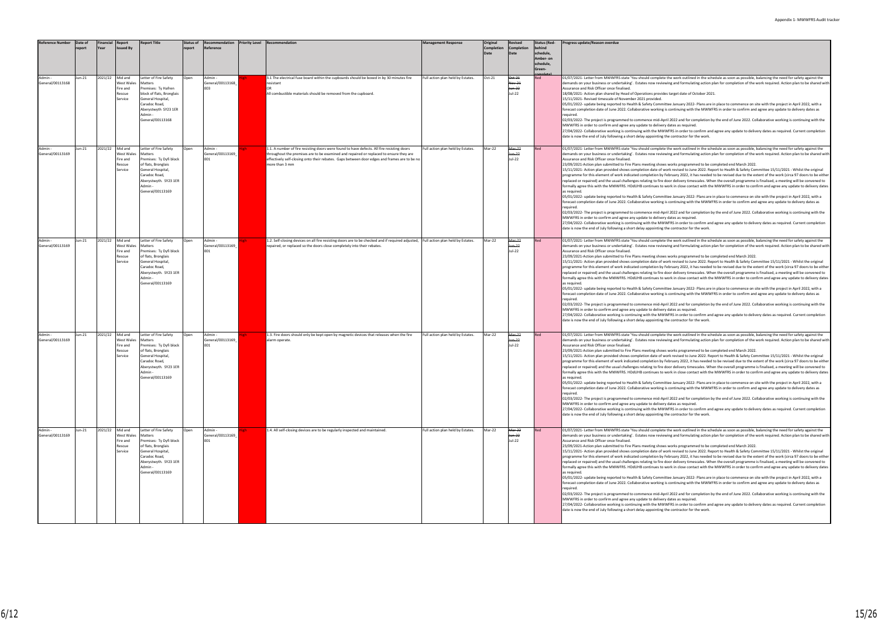| Reference Number            | Date of | Financial<br>Year | Report                                                        | <b>Report Title</b>                                                                                                                                                           | <b>Status of</b><br>report | Recommendation<br>Reference        | <b>Priority Level</b> | Recommendation                                                                                                                                                                                                                                                                                        | <b>Management Response</b>        | Original<br><b>Completion</b> | Revised<br>Completion<br>Date                 | <b>Status (Red-</b><br>schedule, | Progress update/Reason overdue                                                                                                                                                                                                                                                                                                                                                                                                                                                                                                                                                                                                                                                                                                                                                                                                                                                                                                                                                                                                                                                                                                                                                                                                                                                                                                                                                                                                                                                                                                                                                                                                                                                                                                                                                                                                                                                                                                                                                                                            |
|-----------------------------|---------|-------------------|---------------------------------------------------------------|-------------------------------------------------------------------------------------------------------------------------------------------------------------------------------|----------------------------|------------------------------------|-----------------------|-------------------------------------------------------------------------------------------------------------------------------------------------------------------------------------------------------------------------------------------------------------------------------------------------------|-----------------------------------|-------------------------------|-----------------------------------------------|----------------------------------|---------------------------------------------------------------------------------------------------------------------------------------------------------------------------------------------------------------------------------------------------------------------------------------------------------------------------------------------------------------------------------------------------------------------------------------------------------------------------------------------------------------------------------------------------------------------------------------------------------------------------------------------------------------------------------------------------------------------------------------------------------------------------------------------------------------------------------------------------------------------------------------------------------------------------------------------------------------------------------------------------------------------------------------------------------------------------------------------------------------------------------------------------------------------------------------------------------------------------------------------------------------------------------------------------------------------------------------------------------------------------------------------------------------------------------------------------------------------------------------------------------------------------------------------------------------------------------------------------------------------------------------------------------------------------------------------------------------------------------------------------------------------------------------------------------------------------------------------------------------------------------------------------------------------------------------------------------------------------------------------------------------------------|
|                             |         |                   |                                                               |                                                                                                                                                                               |                            |                                    |                       |                                                                                                                                                                                                                                                                                                       |                                   |                               |                                               | Amber- on<br>schedule,<br>Green- |                                                                                                                                                                                                                                                                                                                                                                                                                                                                                                                                                                                                                                                                                                                                                                                                                                                                                                                                                                                                                                                                                                                                                                                                                                                                                                                                                                                                                                                                                                                                                                                                                                                                                                                                                                                                                                                                                                                                                                                                                           |
| General/00113168            | Jun-21  | 2021/22           | Mid and<br><b>Nest Wales</b><br>Fire and<br>Rescue<br>Service | Letter of Fire Safety<br>Matters<br>Premises: Ty Hafren<br>block of flats, Bronglais<br>General Hospital<br>Caradoc Road,<br>Aberystwyth SY23 1ER<br>General/00113168         | Open                       | Admin<br>General/00113168          |                       | 3.1 The electrical fuse board within the cupboards should be boxed in by 30 minutes fire<br>resistant<br>All combustible materials should be removed from the cupboard.                                                                                                                               | Full action plan held by Estates. | Oct-21                        | $-\text{C}t-21$<br>Nov-21<br>Jun-22<br>Jul-22 | Red                              | 01/07/2021- Letter from MWWFRS state 'You should complete the work outlined in the schedule as soon as possible, balancing the need for safety against the<br>demands on your business or undertaking'. Estates now reviewing and formulating action plan for completion of the work required. Action plan to be shared w<br>Assurance and Risk Officer once finalised.<br>18/08/2021- Action plan shared by Head of Operations provides target date of October 2021.<br>15/11/2021- Revised timescale of November 2021 provided.<br>05/01/2022- update being reported to Health & Safety Committee January 2022- Plans are in place to commence on site with the project in April 2022, with a<br>forecast completion date of June 2022. Collaborative working is continuing with the MWWFRS in order to confirm and agree any update to delivery dates as<br>required.<br>02/03/2022- The project is programmed to commence mid-April 2022 and for completion by the end of June 2022. Collaborative working is continuing with the<br>MWWFRS in order to confirm and agree any update to delivery dates as required.<br>27/04/2022- Collaborative working is continuing with the MWWFRS in order to confirm and agree any update to delivery dates as required. Current completion<br>date is now the end of July following a short delay appointing the contractor for the work.                                                                                                                                                                                                                                                                                                                                                                                                                                                                                                                                                                                                                                      |
| General/00113169            | Jun-21  | 2021/22           | Mid and<br><b>Nest Wales</b><br>Fire and<br>Rescue<br>Service | Letter of Fire Safety<br>Matters<br>Premises: Ty Dyfi block<br>of flats, Bronglais<br>General Hospital<br>Caradoc Road,<br>Aberystwyth. SY23 1ER<br>Admin<br>General/00113169 | Open                       | Admin -<br>General/00113169<br>001 |                       | 1.1. A number of fire resisting doors were found to have defects. All fire resisting doors<br>throughout the premises are to be examined and repaired or replaced to ensure they are<br>effectively self-closing onto their rebates. Gaps between door edges and frames are to be n<br>more than 3 mm | Full action plan held by Estates. | Mar-22                        | Mar-22<br>lun-22<br>Jul-22                    |                                  | 01/07/2021- Letter from MWWFRS state 'You should complete the work outlined in the schedule as soon as possible, balancing the need for safety against the<br>demands on your business or undertaking'. Estates now reviewing and formulating action plan for completion of the work required. Action plan to be shared w<br>Assurance and Risk Officer once finalised.<br>23/09/2021-Action plan submitted to Fire Plans meeting shows works programmed to be completed end March 2022.<br>15/11/2021- Action plan provided shows completion date of work revised to June 2022. Report to Health & Safety Committee 15/11/2021 - Whilst the original<br>programme for this element of work indicated completion by February 2022, it has needed to be revised due to the extent of the work (circa 97 doors to be eith<br>replaced or repaired) and the usual challenges relating to fire door delivery timescales. When the overall programme is finalised, a meeting will be convened to<br>formally agree this with the MWWFRS. HDdUHB continues to work in close contact with the MWWFRS in order to confirm and agree any update to delivery dat<br>as required.<br>05/01/2022- update being reported to Health & Safety Committee January 2022- Plans are in place to commence on site with the project in April 2022, with a<br>forecast completion date of June 2022. Collaborative working is continuing with the MWWFRS in order to confirm and agree any update to delivery dates as<br>required.<br>02/03/2022- The project is programmed to commence mid-April 2022 and for completion by the end of June 2022. Collaborative working is continuing with the<br>MWWFRS in order to confirm and agree any update to delivery dates as required.<br>27/04/2022- Collaborative working is continuing with the MWWFRS in order to confirm and agree any update to delivery dates as required. Current completion<br>date is now the end of July following a short delay appointing the contractor for the work. |
| General/00113169            | Jun-21  | 2021/22 Mid and   | Nest Wales<br>ire and<br>Rescue<br>Service                    | Letter of Fire Safety<br>Matters<br>Premises: Ty Dyfi block<br>of flats, Bronglais<br>General Hospital<br>Caradoc Road,<br>Aberystwyth. SY23 1ER<br>General/00113169          | Open                       | Admin -<br>General/00113169<br>001 |                       | 1.2. Self-closing devices on all fire resisting doors are to be checked and if required adjusted, Full action plan held by Estates.<br>repaired, or replaced so the doors close completely into their rebates.                                                                                        |                                   | Mar-22                        | Mar-22<br>un-22<br>Jul-22                     |                                  | 01/07/2021- Letter from MWWFRS state 'You should complete the work outlined in the schedule as soon as possible, balancing the need for safety against the<br>demands on your business or undertaking'. Estates now reviewing and formulating action plan for completion of the work required. Action plan to be shared w<br>Assurance and Risk Officer once finalised.<br>23/09/2021-Action plan submitted to Fire Plans meeting shows works programmed to be completed end March 2022.<br>15/11/2021- Action plan provided shows completion date of work revised to June 2022. Report to Health & Safety Committee 15/11/2021 - Whilst the original<br>programme for this element of work indicated completion by February 2022, it has needed to be revised due to the extent of the work (circa 97 doors to be eith<br>replaced or repaired) and the usual challenges relating to fire door delivery timescales. When the overall programme is finalised, a meeting will be convened to<br>formally agree this with the MWWFRS. HDdUHB continues to work in close contact with the MWWFRS in order to confirm and agree any update to delivery dat<br>as required.<br>05/01/2022- update being reported to Health & Safety Committee January 2022- Plans are in place to commence on site with the project in April 2022, with a<br>forecast completion date of June 2022. Collaborative working is continuing with the MWWFRS in order to confirm and agree any update to delivery dates as<br>required.<br>02/03/2022- The project is programmed to commence mid-April 2022 and for completion by the end of June 2022. Collaborative working is continuing with the<br>MWWFRS in order to confirm and agree any update to delivery dates as required.<br>27/04/2022- Collaborative working is continuing with the MWWFRS in order to confirm and agree any update to delivery dates as required. Current completion<br>date is now the end of July following a short delay appointing the contractor for the work. |
| General/00113169            | Jun-21  | 2021/22           | Mid and<br>West Wales<br>Fire and<br>Rescue<br>Service        | Letter of Fire Safety<br>Matters<br>Premises: Ty Dyfi block<br>of flats, Bronglais<br>General Hospital<br>Caradoc Road,<br>Aberystwyth. SY23 1ER<br>General/00113169          | Open                       | Admin -<br>General/00113169<br>001 |                       | 1.3. Fire doors should only be kept open by magnetic devices that releases when the fire<br>alarm operate.                                                                                                                                                                                            | Full action plan held by Estates. | Mar-22                        | Mar-22<br>lun-22<br>Jul-22                    |                                  | 01/07/2021- Letter from MWWFRS state 'You should complete the work outlined in the schedule as soon as possible, balancing the need for safety against the<br>demands on your business or undertaking'. Estates now reviewing and formulating action plan for completion of the work required. Action plan to be shared w<br>Assurance and Risk Officer once finalised.<br>23/09/2021-Action plan submitted to Fire Plans meeting shows works programmed to be completed end March 2022.<br>15/11/2021- Action plan provided shows completion date of work revised to June 2022. Report to Health & Safety Committee 15/11/2021 - Whilst the original<br>programme for this element of work indicated completion by February 2022, it has needed to be revised due to the extent of the work (circa 97 doors to be eith<br>replaced or repaired) and the usual challenges relating to fire door delivery timescales. When the overall programme is finalised, a meeting will be convened to<br>formally agree this with the MWWFRS. HDdUHB continues to work in close contact with the MWWFRS in order to confirm and agree any update to delivery dat<br>as required.<br>05/01/2022- update being reported to Health & Safety Committee January 2022- Plans are in place to commence on site with the project in April 2022, with a<br>forecast completion date of June 2022. Collaborative working is continuing with the MWWFRS in order to confirm and agree any update to delivery dates as<br>required.<br>02/03/2022- The project is programmed to commence mid-April 2022 and for completion by the end of June 2022. Collaborative working is continuing with the<br>MWWFRS in order to confirm and agree any update to delivery dates as required.<br>27/04/2022- Collaborative working is continuing with the MWWFRS in order to confirm and agree any update to delivery dates as required. Current completion<br>date is now the end of July following a short delay appointing the contractor for the work. |
| Admin -<br>General/00113169 | Jun-21  | 2021/22 Mid and   | West Wales<br>Fire and<br>Rescue<br>Service                   | Letter of Fire Safety<br>Matters<br>Premises: Ty Dyfi block<br>of flats, Bronglais<br>General Hospital<br>Caradoc Road,<br>Aberystwyth. SY23 1ER<br>Admin<br>General/00113169 | Open                       | Admin -<br>General/00113169<br>001 |                       | 1.4. All self-closing devices are to be regularly inspected and maintained.                                                                                                                                                                                                                           | Full action plan held by Estates. | Mar-22                        | Mar-22<br>lun-22<br>Jul-22                    |                                  | 01/07/2021- Letter from MWWFRS state 'You should complete the work outlined in the schedule as soon as possible, balancing the need for safety against the<br>demands on your business or undertaking'. Estates now reviewing and formulating action plan for completion of the work required. Action plan to be shared w<br>Assurance and Risk Officer once finalised.<br>23/09/2021-Action plan submitted to Fire Plans meeting shows works programmed to be completed end March 2022.<br>15/11/2021- Action plan provided shows completion date of work revised to June 2022. Report to Health & Safety Committee 15/11/2021 - Whilst the original<br>programme for this element of work indicated completion by February 2022, it has needed to be revised due to the extent of the work (circa 97 doors to be eith<br>replaced or repaired) and the usual challenges relating to fire door delivery timescales. When the overall programme is finalised, a meeting will be convened to<br>formally agree this with the MWWFRS. HDdUHB continues to work in close contact with the MWWFRS in order to confirm and agree any update to delivery dat<br>as required.<br>05/01/2022- update being reported to Health & Safety Committee January 2022- Plans are in place to commence on site with the project in April 2022, with a<br>forecast completion date of June 2022. Collaborative working is continuing with the MWWFRS in order to confirm and agree any update to delivery dates as<br>required.<br>02/03/2022- The project is programmed to commence mid-April 2022 and for completion by the end of June 2022. Collaborative working is continuing with the<br>MWWFRS in order to confirm and agree any update to delivery dates as required.<br>27/04/2022- Collaborative working is continuing with the MWWFRS in order to confirm and agree any update to delivery dates as required. Current completion<br>date is now the end of July following a short delay appointing the contractor for the work. |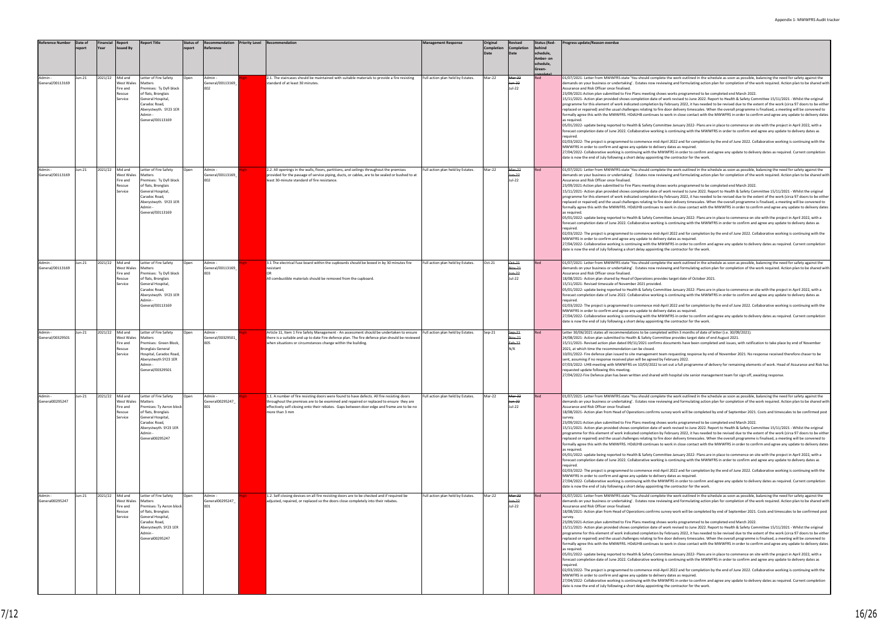ete the work outlined in the schedule as soon as possible, balancing the need for safety against the iewing and formulating action plan for completion of the work required. Action plan to be shared wit

ows works programmed to be completed end March 2022. 15/11/2021- Action plan provided shows completion date of work revised to June 2022. Report to Health & Safety Committee 15/11/2021 - Whilst the original<br>programme for this element of work indicated completion by February replaced or replaced or performation and the usual challenges relationships relationships to be entired to door delivery timescales. When the overall programme is finalised, a meeting will be convened to o work in close contact with the MWWFRS in order to confirm and agree any update to delivery date

05/01/2022- update being reported to Health & Safety Committee January 2022- Plans are in place to commence on site with the project in April 2022, with a<br>forecast completion date of June 2022. Collaborative working is con

April 2022 and for completion by the end of June 2022. Collaborative working is continuing with the ery dates as required.

1WWFRS in order to confirm and agree any update to delivery dates as required. Current completion death is now the end of the work.

ete the work outlined in the schedule as soon as possible, balancing the need for safety against the iewing and formulating action plan for completion of the work required. Action plan to be shared wit

23 yws works programmed to be completed end March 2022.

15/11/2021- Action plan provided shows completion date of work revised to June 2022. Report to Health & Safety Committee 15/11/2021 - Whilst the original programme for this element of the completion by February 2022, it has needed to be revised due to the extent of the work (circa 97 doors to be either replaced or repaired) and the usual challenges relating to fire door delivery timescales. When the overall programme is finalised, a meeting will be convened to<br>formally agree this with the MWWFRS. HDdUHB continues to work

> mittee January 2022- Plans are in place to commence on site with the project in April 2022, with a ng is continuing with the MWWFRS in order to confirm and agree any update to delivery dates as

April 2022 and for completion by the end of June 2022. Collaborative working is continuing with the mward dates as required.

27, 2022- 2023- Collamorative working is continuing with the WWFRS in order to completion<br>WWFRS in order to confirm and agree any update to delivery dates as required. Current completion  $\alpha$  the contractor for the work.

ete the work outlined in the schedule as soon as possible, balancing the need for safety against the viewing and formulating action plan for completion of the work required. Action plan to be shared wit

ides target date of October 2021.

mittee January 2022- Plans are in place to commence on site with the project in April 2022, with a ng is continuing with the MWWFRS in order to confirm and agree any update to delivery dates as

April 2022 and for completion by the end of June 2022. Collaborative working is continuing with the ery dates as required.

1WWFRS in order to confirm and agree any update to delivery dates as required. Current completion date is now the contractor for the work.

eted within 3 months of date of letter (i.e. 30/09/2021). mittee provides target date of end August 2021.

s documents have been completed and issues, with ratification to take place by end of November

eam requesting response by end of November 2021. No response received therefore chaser to be sentiary 2022.<br>I

ny<br>103 set out a full programme of delivery for remaining elements of work. Head of Assurance and Risk has

with hospital site senior management team for sign off, awaiting response.

ete the work outlined in the schedule as soon as possible, balancing the need for safety against the demands on your business or undertaking action plan for completion of the work required. Action plan to be shared with the with reviewing action plan for completion of the work required. Action plan to be shared with

survey work will be completed by end of September 2021. Costs and timescales to be confirmed post

ows works programmed to be completed end March 2022.

15/11/2021- Action plan provided shows completion date of work revised to June 2022. Report to Health & Safety Committee 15/11/2021 - Whilst the original<br>programme for this element of work indicated completion by February replaced or replaced or performation and the usual challenges relationships relationships to be entired to door delivery timescales. When the overall programme is finalised, a meeting will be convened to o work in close contact with the MWWFRS in order to confirm and agree any update to delivery date

> offittee January 2022- Plans are in place to commence on site with the project in April 2022, with a ng is continuing with the MWWFRS in order to confirm and agree any update to delivery dates as

April 2022 and for completion by the end of June 2022. Collaborative working is continuing with the m<br>ery dates as required.

.<br>1077-1009 WWFRS in order to confirm and agree any update to delivery dates as required. Current completion ng the contractor for the work.

ete the work outlined in the schedule as soon as possible, balancing the need for safety against the idemands on your business or undertaking action plan for completion of the work required. Action plan to be shared with

survey work will be completed by end of September 2021. Costs and timescales to be confirmed post

ows works programmed to be completed end March 2022.

116 North programmed to be completed shown that the second shows complete the original shows revised to June 2022. Report to Health & Safety Committee 15/11/2021 - Whilst the original r February 2022, it has needed to be revised due to the extent of the work (circa 97 doors to be either replaced or replaced or between the usual challenges relationships relationships relationships relationships re<br>Let door delivery timescales. When the overall programme is finalised, a meeting will be convened to o work in close contact with the MWWFRS in order to confirm and agree any update to delivery date

mittee January 2022- Plans are in place to commence on site with the project in April 2022, with a ng is continuing with the MWWFRS in order to confirm and agree any update to delivery dates as

April 2022 and for completion by the end of June 2022. Collaborative working is continuing with the messed the reconfirm and agreement to delivery dates as required.

.<br>27-10 WWFRS in order to confirm and agree any update to delivery dates as required. Current completion ng the contractor for the work.

| <b>Reference Number</b>     | Date of<br>report | <b>Financial</b><br>Year | Report<br><b>Issued By</b>                             | <b>Report Title</b>                                                                                                                                                              | <b>Status of</b><br>report | Recommendation<br>Reference        | <b>Priority Level</b> | Recommendation                                                                                                                                                                                                                                                                                       | <b>Management Response</b>        | Original<br><b>Completion</b><br>Date | Revised<br><b>Completion</b><br>Date | <b>Status (Red-</b><br>behind<br>schedule,<br>Amber- on<br>schedule,<br>Green- | Progress update/Reason overdue                                                                                                                                                                                                                                                                                                                                                                                                                                                                                                                                                                                                                                                                                                                                                                                                                                                                                                                                                          |
|-----------------------------|-------------------|--------------------------|--------------------------------------------------------|----------------------------------------------------------------------------------------------------------------------------------------------------------------------------------|----------------------------|------------------------------------|-----------------------|------------------------------------------------------------------------------------------------------------------------------------------------------------------------------------------------------------------------------------------------------------------------------------------------------|-----------------------------------|---------------------------------------|--------------------------------------|--------------------------------------------------------------------------------|-----------------------------------------------------------------------------------------------------------------------------------------------------------------------------------------------------------------------------------------------------------------------------------------------------------------------------------------------------------------------------------------------------------------------------------------------------------------------------------------------------------------------------------------------------------------------------------------------------------------------------------------------------------------------------------------------------------------------------------------------------------------------------------------------------------------------------------------------------------------------------------------------------------------------------------------------------------------------------------------|
| Admin -<br>General/00113169 | Jun-21            | 2021/22                  | Mid and<br>West Wales<br>Fire and<br>Rescue<br>Service | etter of Fire Safety<br>Matters<br>Premises: Ty Dyfi block<br>of flats, Bronglais<br>General Hospital,<br>Caradoc Road,<br>Aberystwyth. SY23 1ER<br>Admin -<br>General/00113169  | Open                       | Admin -<br>General/00113169<br>002 |                       | 2.1. The staircases should be maintained with suitable materials to provide a fire resisting<br>standard of at least 30 minutes.                                                                                                                                                                     | Full action plan held by Estates. | Mar-22                                | Mar-22<br>lun-22<br>Jul-22           | Red                                                                            | 01/07/2021- Letter from MWWFRS state 'You should comple<br>demands on your business or undertaking'. Estates now revi<br>Assurance and Risk Officer once finalised.<br>23/09/2021-Action plan submitted to Fire Plans meeting sho<br>15/11/2021- Action plan provided shows completion date of<br>programme for this element of work indicated completion by<br>replaced or repaired) and the usual challenges relating to fire<br>formally agree this with the MWWFRS. HDdUHB continues to<br>as required.<br>05/01/2022- update being reported to Health & Safety Comn<br>forecast completion date of June 2022. Collaborative working<br>required.<br>02/03/2022- The project is programmed to commence mid-A<br>MWWFRS in order to confirm and agree any update to delive<br>27/04/2022- Collaborative working is continuing with the MV<br>date is now the end of July following a short delay appointing                                                                          |
| Admin -<br>General/00113169 | Jun-21            | 2021/22                  | Mid and<br>West Wales<br>Fire and<br>Rescue<br>Service | Letter of Fire Safety<br>Matters<br>Premises: Ty Dyfi block<br>of flats, Bronglais<br>General Hospital,<br>Caradoc Road,<br>Aberystwyth. SY23 1ER<br>Admin -<br>General/00113169 | Open                       | Admin-<br>General/00113169<br>002  |                       | 2.2. All openings in the walls, floors, partitions, and ceilings throughout the premises<br>provided for the passage of service piping, ducts, or cables, are to be sealed or bushed to at<br>least 30-minute standard of fire resistance.                                                           | Full action plan held by Estates. | Mar-22                                | Mar-22<br>lun-22<br>Jul-22           | Red                                                                            | 01/07/2021- Letter from MWWFRS state 'You should comple<br>demands on your business or undertaking'. Estates now revi<br>Assurance and Risk Officer once finalised.<br>23/09/2021-Action plan submitted to Fire Plans meeting sho<br>15/11/2021- Action plan provided shows completion date of<br>programme for this element of work indicated completion by<br>replaced or repaired) and the usual challenges relating to fire<br>formally agree this with the MWWFRS. HDdUHB continues to<br>as required.<br>05/01/2022- update being reported to Health & Safety Comn<br>forecast completion date of June 2022. Collaborative working<br>required.<br>02/03/2022- The project is programmed to commence mid-A<br>MWWFRS in order to confirm and agree any update to delive<br>27/04/2022- Collaborative working is continuing with the M\<br>date is now the end of July following a short delay appointing                                                                          |
| Admin -<br>General/00113169 | Jun-21            | 2021/22                  | Mid and<br>West Wales<br>Fire and<br>Rescue<br>Service | Letter of Fire Safety<br>Matters<br>Premises: Ty Dyfi block<br>of flats, Bronglais<br>General Hospital,<br>Caradoc Road,<br>Aberystwyth. SY23 1ER<br>Admin -<br>General/00113169 | Open                       | Admin-<br>General/00113169<br>003  |                       | 3.1 The electrical fuse board within the cupboards should be boxed in by 30 minutes fire<br>resistant<br>ΩR<br>All combustible materials should be removed from the cupboard.                                                                                                                        | Full action plan held by Estates. | Oct-21                                | Oct-21<br>Nov-21<br>Jun-22<br>Jul-22 | Red                                                                            | 01/07/2021- Letter from MWWFRS state 'You should comple<br>demands on your business or undertaking'. Estates now revi<br>Assurance and Risk Officer once finalised.<br>18/08/2021- Action plan shared by Head of Operations provi<br>15/11/2021- Revised timescale of November 2021 provided.<br>05/01/2022- update being reported to Health & Safety Comn<br>forecast completion date of June 2022. Collaborative working<br>required.<br>02/03/2022- The project is programmed to commence mid-A<br>MWWFRS in order to confirm and agree any update to delive<br>27/04/2022- Collaborative working is continuing with the MV<br>date is now the end of July following a short delay appointing                                                                                                                                                                                                                                                                                        |
| Admin -<br>General/00329501 | Jun-21            | 2021/22                  | Mid and<br>West Wales<br>Fire and<br>Rescue<br>Service | Letter of Fire Safety<br>Matters<br>Premises: Green Block,<br><b>Bronglais General</b><br>Hospital, Caradoc Road,<br>Aberystwyth SY23 1ER<br>Admin -<br>eneral/00329501          | Open                       | Admin-<br>General/00329501<br>005  |                       | Article 11, Item 1 Fire Safety Management - An assessment should be undertaken to ensure<br>there is a suitable and up to date Fire defence plan. The fire defence plan should be reviewed<br>when situations or circumstances change within the building.                                           | Full action plan held by Estates. | Sep-21                                | $Sep-24$<br>Nov-21<br>Feb-22<br>N/K  | Red                                                                            | Letter 30/06/2021 states all recommendations to be complet<br>24/08/2021- Action plan submitted to Health & Safety Comm<br>15/11/2021- Revised action plan dated 09/11/2021 confirms<br>2021, at which time the recommendation can be closed.<br>10/01/2022- Fire defence plan issued to site management te<br>sent, assuming if no response received plan will be agreed by<br>07/03/2022- UHB meeting with MWWFRS on 10/03/2022 to<br>quested update following this meeting.<br>27/04/2022-Fire Defence plan has been written and shared v                                                                                                                                                                                                                                                                                                                                                                                                                                            |
| Admin -<br>General00295247  | Jun-21            | 2021/22                  | Mid and<br>West Wales<br>Fire and<br>Rescue<br>Service | Letter of Fire Safety<br>Matters<br>Premises: Ty Aeron block<br>of flats, Bronglais<br>General Hospital,<br>Caradoc Road,<br>Aberystwyth. SY23 1ER<br>Admin -<br>General00295247 | Open                       | Admin -<br>General00295247<br>001  |                       | 1.1. A number of fire resisting doors were found to have defects. All fire resisting doors<br>throughout the premises are to be examined and repaired or replaced to ensure they are<br>effectively self-closing onto their rebates. Gaps between door edge and frame are to be no<br>more than 3 mm | Full action plan held by Estates. | Mar-22                                | Mar-22<br>Jun-22<br>Jul-22           | Red                                                                            | 01/07/2021- Letter from MWWFRS state 'You should comple<br>demands on your business or undertaking'. Estates now revi<br>Assurance and Risk Officer once finalised.<br>18/08/2021- Action plan from Head of Operations confirms s<br>survey.<br>23/09/2021-Action plan submitted to Fire Plans meeting sho<br>15/11/2021- Action plan provided shows completion date of<br>programme for this element of work indicated completion by<br>replaced or repaired) and the usual challenges relating to fire<br>formally agree this with the MWWFRS. HDdUHB continues to<br>as required.<br>05/01/2022- update being reported to Health & Safety Comn<br>forecast completion date of June 2022. Collaborative working<br>required.<br>02/03/2022- The project is programmed to commence mid-A<br>MWWFRS in order to confirm and agree any update to delive<br>27/04/2022- Collaborative working is continuing with the M\<br>date is now the end of July following a short delay appointing |
| Admin -<br>General00295247  | Jun-21            | 2021/22                  | Mid and<br>West Wales<br>Fire and<br>Rescue<br>Service | Letter of Fire Safety<br>Matters<br>Premises: Ty Aeron block<br>of flats, Bronglais<br>General Hospital,<br>Caradoc Road,<br>Aberystwyth. SY23 1ER<br>Admin-<br>General00295247  | Open                       | Admin -<br>General00295247<br>001  |                       | 1.2. Self-closing devices on all fire resisting doors are to be checked and if required be<br>adjusted, repaired, or replaced so the doors close completely into their rebates.                                                                                                                      | Full action plan held by Estates. | Mar-22                                | Mar-22<br>Jun-22<br>Jul-22           | Red                                                                            | 01/07/2021- Letter from MWWFRS state 'You should comple<br>demands on your business or undertaking'. Estates now revi<br>Assurance and Risk Officer once finalised.<br>18/08/2021- Action plan from Head of Operations confirms s<br>survev.<br>23/09/2021-Action plan submitted to Fire Plans meeting sho<br>15/11/2021- Action plan provided shows completion date of<br>programme for this element of work indicated completion by<br>replaced or repaired) and the usual challenges relating to fire<br>formally agree this with the MWWFRS. HDdUHB continues to<br>as required.<br>05/01/2022- update being reported to Health & Safety Comn<br>forecast completion date of June 2022. Collaborative working<br>required.<br>02/03/2022- The project is programmed to commence mid-A<br>MWWFRS in order to confirm and agree any update to delive<br>27/04/2022- Collaborative working is continuing with the M\<br>date is now the end of July following a short delay appointing |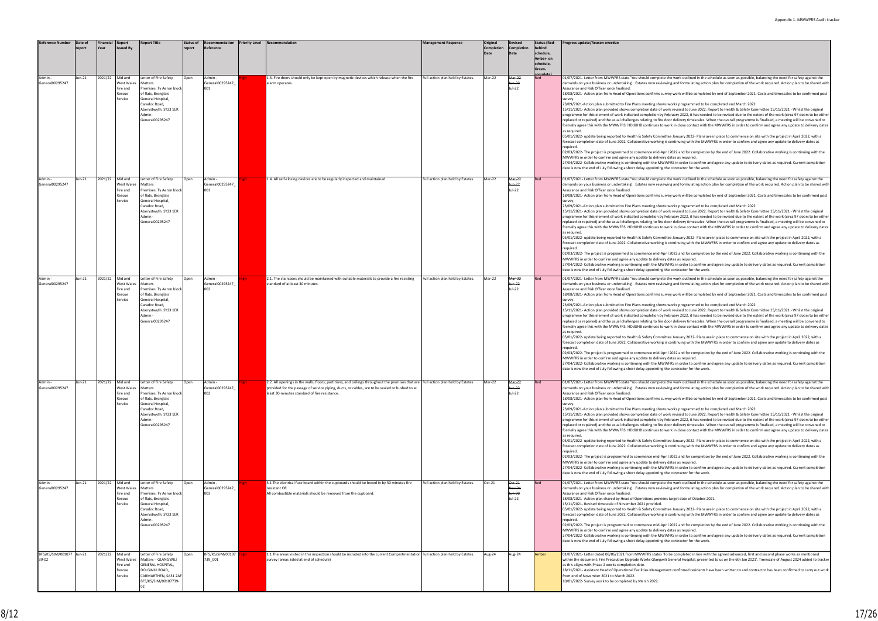| Reference Number                  | Date of<br>report | Financial<br><b>Year</b> | Report<br>ssued By                                           | <b>Report Title</b>                                                                                                                                                              | <b>Status of</b><br>report<br>Reference | Recommendation   | <b>Priority Level Recommendation</b>                                                                                                                                                                                                                 | <b>Management Response</b>        | Original<br>Completion<br>Date | <b>Revised</b><br><b>Completion</b><br>Date | <b>Status (Red-</b><br>oehind<br>schedule,<br>Amber- on<br>chedule,<br>ireen- | Progress update/Reason overdue                                                                                                                                                                                                                                                                                                                                                                                                                                                                                                                                                                                                                                                                                                                                                                                                                                                                                                                                                                                                                                                                                                                                                                                                                                                                                                                                                                                                                                                                                                                                                                                                                                                                                                                                                                                                                                                                                                                                                                                                                                                                                                                                                             |
|-----------------------------------|-------------------|--------------------------|--------------------------------------------------------------|----------------------------------------------------------------------------------------------------------------------------------------------------------------------------------|-----------------------------------------|------------------|------------------------------------------------------------------------------------------------------------------------------------------------------------------------------------------------------------------------------------------------------|-----------------------------------|--------------------------------|---------------------------------------------|-------------------------------------------------------------------------------|--------------------------------------------------------------------------------------------------------------------------------------------------------------------------------------------------------------------------------------------------------------------------------------------------------------------------------------------------------------------------------------------------------------------------------------------------------------------------------------------------------------------------------------------------------------------------------------------------------------------------------------------------------------------------------------------------------------------------------------------------------------------------------------------------------------------------------------------------------------------------------------------------------------------------------------------------------------------------------------------------------------------------------------------------------------------------------------------------------------------------------------------------------------------------------------------------------------------------------------------------------------------------------------------------------------------------------------------------------------------------------------------------------------------------------------------------------------------------------------------------------------------------------------------------------------------------------------------------------------------------------------------------------------------------------------------------------------------------------------------------------------------------------------------------------------------------------------------------------------------------------------------------------------------------------------------------------------------------------------------------------------------------------------------------------------------------------------------------------------------------------------------------------------------------------------------|
| General00295247                   | Jun-21            | 2021/22                  | Mid and<br>West Wales<br>ire and<br>escue?<br>Service        | etter of Fire Safety<br>Matters<br>Premises: Ty Aeron block<br>of flats, Bronglais<br>General Hospital,<br>Caradoc Road,<br>Aberystwyth. SY23 1ER<br>Admin -<br>General00295247  | Admin -<br>Open<br>001                  | General00295247  | 1.3. Fire doors should only be kept open by magnetic devices which release when the fire<br>alarm operates.                                                                                                                                          | Full action plan held by Estates. | Mar-22                         | Mar-22<br>lun-22<br>Jul-22                  | Red                                                                           | 01/07/2021- Letter from MWWFRS state 'You should complete the work outlined in the schedule as soon as possible, balancing the need for safety against the<br>demands on your business or undertaking'. Estates now reviewing and formulating action plan for completion of the work required. Action plan to be shared v<br>Assurance and Risk Officer once finalised<br>18/08/2021- Action plan from Head of Operations confirms survey work will be completed by end of September 2021. Costs and timescales to be confirmed po<br>23/09/2021-Action plan submitted to Fire Plans meeting shows works programmed to be completed end March 2022.<br>15/11/2021- Action plan provided shows completion date of work revised to June 2022. Report to Health & Safety Committee 15/11/2021 - Whilst the original<br>programme for this element of work indicated completion by February 2022, it has needed to be revised due to the extent of the work (circa 97 doors to be eit<br>replaced or repaired) and the usual challenges relating to fire door delivery timescales. When the overall programme is finalised, a meeting will be convened t<br>formally agree this with the MWWFRS. HDdUHB continues to work in close contact with the MWWFRS in order to confirm and agree any update to delivery da<br>as required.<br>05/01/2022- update being reported to Health & Safety Committee January 2022- Plans are in place to commence on site with the project in April 2022, with a<br>forecast completion date of June 2022. Collaborative working is continuing with the MWWFRS in order to confirm and agree any update to delivery dates as<br>required.<br>02/03/2022- The project is programmed to commence mid-April 2022 and for completion by the end of June 2022. Collaborative working is continuing with th<br>MWWFRS in order to confirm and agree any update to delivery dates as required.<br>27/04/2022- Collaborative working is continuing with the MWWFRS in order to confirm and agree any update to delivery dates as required. Current completio<br>date is now the end of July following a short delay appointing the contractor for the work.            |
| Admin -<br>General00295247        | Jun-21            | 2021/22                  | Mid and<br><b>Nest Wales</b><br>ire and<br>escue?<br>Service | Letter of Fire Safety<br>Matters<br>Premises: Ty Aeron block<br>of flats, Bronglais<br>General Hospital,<br>Caradoc Road,<br>Aberystwyth. SY23 1ER<br>Admin -<br>General00295247 | Admin -<br>Open<br>001                  | General00295247  | 1.4. All self-closing devices are to be regularly inspected and maintained                                                                                                                                                                           | Full action plan held by Estates. | Mar-22                         | Mar-22<br>$un-22$<br>Jul-22                 |                                                                               | 01/07/2021- Letter from MWWFRS state 'You should complete the work outlined in the schedule as soon as possible, balancing the need for safety against the<br>demands on your business or undertaking'. Estates now reviewing and formulating action plan for completion of the work required. Action plan to be shared v<br>Assurance and Risk Officer once finalised.<br>18/08/2021- Action plan from Head of Operations confirms survey work will be completed by end of September 2021. Costs and timescales to be confirmed po<br>survey<br>23/09/2021-Action plan submitted to Fire Plans meeting shows works programmed to be completed end March 2022.<br>15/11/2021- Action plan provided shows completion date of work revised to June 2022. Report to Health & Safety Committee 15/11/2021 - Whilst the original<br>programme for this element of work indicated completion by February 2022, it has needed to be revised due to the extent of the work (circa 97 doors to be eit<br>replaced or repaired) and the usual challenges relating to fire door delivery timescales. When the overall programme is finalised, a meeting will be convened t<br>formally agree this with the MWWFRS. HDdUHB continues to work in close contact with the MWWFRS in order to confirm and agree any update to delivery da<br>as required.<br>05/01/2022- update being reported to Health & Safety Committee January 2022- Plans are in place to commence on site with the project in April 2022, with a<br>forecast completion date of June 2022. Collaborative working is continuing with the MWWFRS in order to confirm and agree any update to delivery dates as<br>required.<br>02/03/2022- The project is programmed to commence mid-April 2022 and for completion by the end of June 2022. Collaborative working is continuing with th<br>MWWFRS in order to confirm and agree any update to delivery dates as required.<br>27/04/2022- Collaborative working is continuing with the MWWFRS in order to confirm and agree any update to delivery dates as required. Current completio<br>date is now the end of July following a short delay appointing the contractor for the work. |
| Admin -<br>General00295247        | $un-21$           | 2021/22                  | Mid and<br>West Wales<br>ire and<br>escue?<br>Service        | Letter of Fire Safety<br>Matters<br>Premises: Ty Aeron block<br>of flats, Bronglais<br>General Hospital,<br>Caradoc Road,<br>Aberystwyth. SY23 1ER<br>Admin -<br>General00295247 | Open<br>Admin<br>002                    | General00295247  | 2.1. The staircases should be maintained with suitable materials to provide a fire resisting<br>standard of at least 30 minutes                                                                                                                      | Full action plan held by Estates. | Mar-22                         | Mar-22<br>lun-22<br>Jul-22                  |                                                                               | 01/07/2021- Letter from MWWFRS state 'You should complete the work outlined in the schedule as soon as possible, balancing the need for safety against the<br>demands on your business or undertaking'. Estates now reviewing and formulating action plan for completion of the work required. Action plan to be shared v<br>Assurance and Risk Officer once finalised.<br>18/08/2021- Action plan from Head of Operations confirms survey work will be completed by end of September 2021. Costs and timescales to be confirmed po<br>23/09/2021-Action plan submitted to Fire Plans meeting shows works programmed to be completed end March 2022.<br>15/11/2021- Action plan provided shows completion date of work revised to June 2022. Report to Health & Safety Committee 15/11/2021 - Whilst the original<br>programme for this element of work indicated completion by February 2022, it has needed to be revised due to the extent of the work (circa 97 doors to be eit<br>replaced or repaired) and the usual challenges relating to fire door delivery timescales. When the overall programme is finalised, a meeting will be convened t<br>formally agree this with the MWWFRS. HDdUHB continues to work in close contact with the MWWFRS in order to confirm and agree any update to delivery da<br>as required.<br>05/01/2022- update being reported to Health & Safety Committee January 2022- Plans are in place to commence on site with the project in April 2022, with a<br>forecast completion date of June 2022. Collaborative working is continuing with the MWWFRS in order to confirm and agree any update to delivery dates as<br>required.<br>02/03/2022- The project is programmed to commence mid-April 2022 and for completion by the end of June 2022. Collaborative working is continuing with th<br>MWWFRS in order to confirm and agree any update to delivery dates as required.<br>27/04/2022- Collaborative working is continuing with the MWWFRS in order to confirm and agree any update to delivery dates as required. Current completio<br>date is now the end of July following a short delay appointing the contractor for the work.           |
| Admin -<br>General00295247        | Jun-21            | 2021/22                  | Mid and<br>Nest Wales<br>Fire and<br>escue?<br>Service       | Letter of Fire Safety<br>Matters<br>Premises: Ty Aeron block<br>of flats, Bronglais<br>General Hospital,<br>Caradoc Road,<br>Aberystwyth. SY23 1ER<br>Admin -<br>General00295247 | Admin -<br>Open<br>002                  | General00295247  | 2.2. All openings in the walls, floors, partitions, and ceilings throughout the premises that are<br>provided for the passage of service piping, ducts, or cables, are to be sealed or bushed to at<br>least 30-minutes standard of fire resistance. | Full action plan held by Estates. | Mar-22                         | Mar-22<br>$un-22$<br>Jul-22                 |                                                                               | 01/07/2021- Letter from MWWFRS state 'You should complete the work outlined in the schedule as soon as possible, balancing the need for safety against the<br>demands on your business or undertaking'. Estates now reviewing and formulating action plan for completion of the work required. Action plan to be shared v<br>Assurance and Risk Officer once finalised.<br>18/08/2021- Action plan from Head of Operations confirms survey work will be completed by end of September 2021. Costs and timescales to be confirmed po<br>survey<br>23/09/2021-Action plan submitted to Fire Plans meeting shows works programmed to be completed end March 2022.<br>15/11/2021- Action plan provided shows completion date of work revised to June 2022. Report to Health & Safety Committee 15/11/2021 - Whilst the original<br>programme for this element of work indicated completion by February 2022, it has needed to be revised due to the extent of the work (circa 97 doors to be eit<br>replaced or repaired) and the usual challenges relating to fire door delivery timescales. When the overall programme is finalised, a meeting will be convened t<br>formally agree this with the MWWFRS. HDdUHB continues to work in close contact with the MWWFRS in order to confirm and agree any update to delivery da<br>as required.<br>05/01/2022- update being reported to Health & Safety Committee January 2022- Plans are in place to commence on site with the project in April 2022, with a<br>forecast completion date of June 2022. Collaborative working is continuing with the MWWFRS in order to confirm and agree any update to delivery dates as<br>required.<br>02/03/2022- The project is programmed to commence mid-April 2022 and for completion by the end of June 2022. Collaborative working is continuing with th<br>MWWFRS in order to confirm and agree any update to delivery dates as required.<br>27/04/2022- Collaborative working is continuing with the MWWFRS in order to confirm and agree any update to delivery dates as required. Current completio<br>date is now the end of July following a short delay appointing the contractor for the work. |
| Admin-<br>General00295247         | Jun-21            | 2021/22                  | Mid and<br>West Wales<br>ire and<br><b>Rescue</b><br>Service | Letter of Fire Safety<br>Matters<br>Premises: Ty Aeron block<br>of flats, Bronglais<br>General Hospital,<br>Caradoc Road,<br>Aberystwyth. SY23 1ER<br>Admin -<br>General00295247 | Open<br>Admin -<br>003                  | General00295247  | 3.1 The electrical fuse board within the cupboards should be boxed in by 30 minutes fire<br>resistant OR<br>All combustible materials should be removed from the cupboard.                                                                           | Full action plan held by Estates. | $Oct-21$                       | Oct-21<br>Nov-21<br>Jun-22<br>Jul-22        |                                                                               | 01/07/2021- Letter from MWWFRS state 'You should complete the work outlined in the schedule as soon as possible, balancing the need for safety against the<br>demands on your business or undertaking'. Estates now reviewing and formulating action plan for completion of the work required. Action plan to be shared v<br>Assurance and Risk Officer once finalised.<br>18/08/2021- Action plan shared by Head of Operations provides target date of October 2021.<br>15/11/2021- Revised timescale of November 2021 provided.<br>05/01/2022- update being reported to Health & Safety Committee January 2022- Plans are in place to commence on site with the project in April 2022, with a<br>forecast completion date of June 2022. Collaborative working is continuing with the MWWFRS in order to confirm and agree any update to delivery dates as<br>required.<br>02/03/2022- The project is programmed to commence mid-April 2022 and for completion by the end of June 2022. Collaborative working is continuing with th<br>MWWFRS in order to confirm and agree any update to delivery dates as required.<br>27/04/2022- Collaborative working is continuing with the MWWFRS in order to confirm and agree any update to delivery dates as required. Current completio<br>date is now the end of July following a short delay appointing the contractor for the work.                                                                                                                                                                                                                                                                                                                                                                                                                                                                                                                                                                                                                                                                                                                                                                                                         |
| BFS/KS/SJM/001077 Jun-21<br>39-02 |                   | 2021/22                  | Mid and<br>Vest Wales<br>ire and<br>Rescue<br>service        | Letter of Fire Safety<br>Matters - GLANGWILI<br>GENERAL HOSPITAL,<br>DOLGWILI ROAD,<br>CARMARTHEN, SA31 2AI<br>BFS/KS/SJM/00107739-                                              | Open<br>739 001                         | BFS/KS/SJM/00107 | 1.1 The areas visited in this inspection should be included into the current Compartmentation Full action plan held by Estates.<br>survey (areas listed at end of schedule)                                                                          |                                   | Aug-24                         | Aug-24                                      | Amber                                                                         | 01/07/2021- Letter dated 08/06/2021 from MWWFRS states 'To be completed in line with the agreed advanced, first and second phase works as mentioned<br>within the document: Fire Precaution Upgrade Works Glangwili General Hospital, presented to us on the 6th Jan 2021'. Timescale of August 2024 added to tra<br>as this aligns with Phase 2 works completion date.<br>18/11/2021- Assistant Head of Operational Facilities Management confirmed residents have been written to and contractor has been confirmed to carry out w<br>from end of November 2021 to March 2022.<br>10/01/2022- Survey work to be completed by March 2022.                                                                                                                                                                                                                                                                                                                                                                                                                                                                                                                                                                                                                                                                                                                                                                                                                                                                                                                                                                                                                                                                                                                                                                                                                                                                                                                                                                                                                                                                                                                                                 |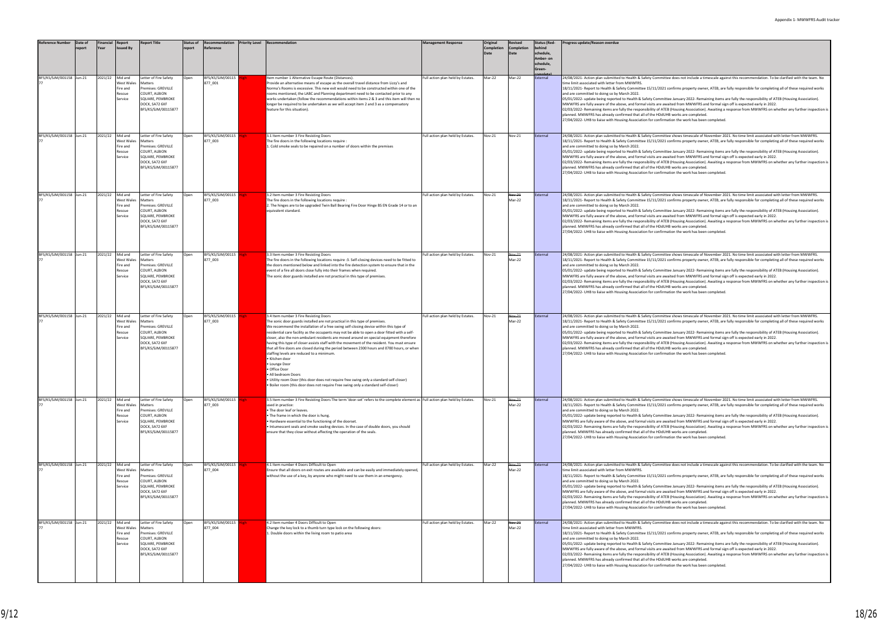| <b>Reference Number</b>  | Date of<br>eport | Financial<br>Report<br>Year                                       | <b>Report Title</b>                                                                                                                  | <b>Status of</b><br>report | Recommendation<br>Reference | Priority Level Recommendation                                                                                                                                                                                                                                                                                                                                                                                                                                                                                                                                                                                                                                                                                                                                                                                                                                                                              | <b>Management Response</b>        | Original<br><b>Completion</b><br>Date | <b>Revised</b><br>Completion | <b>Status (Red-</b><br>ehinc<br>schedule,<br>Amber- on<br>chedule,<br>Green- | Progress update/Reason overdue                                                                                                                                                                                                                                                                                                                                                                                                                                                                                                                                                                                                                                                                                                                                                                                                                                                                                                                                                                                                                                                |
|--------------------------|------------------|-------------------------------------------------------------------|--------------------------------------------------------------------------------------------------------------------------------------|----------------------------|-----------------------------|------------------------------------------------------------------------------------------------------------------------------------------------------------------------------------------------------------------------------------------------------------------------------------------------------------------------------------------------------------------------------------------------------------------------------------------------------------------------------------------------------------------------------------------------------------------------------------------------------------------------------------------------------------------------------------------------------------------------------------------------------------------------------------------------------------------------------------------------------------------------------------------------------------|-----------------------------------|---------------------------------------|------------------------------|------------------------------------------------------------------------------|-------------------------------------------------------------------------------------------------------------------------------------------------------------------------------------------------------------------------------------------------------------------------------------------------------------------------------------------------------------------------------------------------------------------------------------------------------------------------------------------------------------------------------------------------------------------------------------------------------------------------------------------------------------------------------------------------------------------------------------------------------------------------------------------------------------------------------------------------------------------------------------------------------------------------------------------------------------------------------------------------------------------------------------------------------------------------------|
| BFS/KS/SJM/001158 Jun-21 |                  | 2021/22<br>Mid and<br>West Wales<br>Fire and<br>Rescue<br>Service | Letter of Fire Safety<br>Matters<br>Premises: GREVILLE<br>COURT, ALBION<br>SQUARE, PEMBROKE<br>DOCK, SA72 6XF<br>BFS/KS/SJM/00115877 | Open                       | BFS/KS/SJM/00115<br>877_001 | Item number 1 Alternative Escape Route (Distances).<br>Provide an alternative means of escape as the overall travel distance from Lizzy's and<br>Norma's Rooms is excessive. This new exit would need to be constructed within one of the<br>rooms mentioned, the LABC and Planning department need to be contacted prior to any<br>works undertaken (follow the recommendations within items 2 & 3 and this item will then no<br>longer be required to be undertaken as we will accept item 2 and 3 as a compensatory<br>feature for this situation).                                                                                                                                                                                                                                                                                                                                                     | Full action plan held by Estates. | Mar-22                                | Mar-22                       | External                                                                     | 24/08/2021- Action plan submitted to Health & Safety Committee does not include a timescale against this recommendation. To be clarified with the team. No<br>time limit associated with letter from MWWFRS.<br>18/11/2021- Report to Health & Safety Committee 15/11/2021 confirms property owner, ATEB, are fully responsible for completing all of these required works<br>and are committed to doing so by March 2022.<br>05/01/2022- update being reported to Health & Safety Committee January 2022- Remaining items are fully the responsibility of ATEB (Housing Association).<br>MWWFRS are fully aware of the above, and formal visits are awaited from MWWFRS and formal sign off is expected early in 2022.<br>02/03/2022- Remaining items are fully the responsibility of ATEB (Housing Association). Awaiting a response from MWWFRS on whether any further inspection<br>planned. MWWFRS has already confirmed that all of the HDdUHB works are completed.<br>27/04/2022- UHB to liaise with Housing Association for confirmation the work has been completed. |
| BFS/KS/SJM/001158 Jun-21 |                  | 2021/22<br>Mid and<br>West Wales<br>Fire and<br>Rescue<br>Service | Letter of Fire Safety<br>Matters<br>Premises: GREVILLE<br>COURT, ALBION<br>SQUARE, PEMBROKE<br>DOCK, SA72 6XF<br>BFS/KS/SJM/00115877 | Open                       | BFS/KS/SJM/00115<br>877 003 | 3.1 Item number 3 Fire Resisting Doors<br>The fire doors in the following locations require :<br>1. Cold smoke seals to be repaired on a number of doors within the premises                                                                                                                                                                                                                                                                                                                                                                                                                                                                                                                                                                                                                                                                                                                               | Full action plan held by Estates. | Nov-21                                | Nov-21                       | External                                                                     | 24/08/2021- Action plan submitted to Health & Safety Committee shows timescale of November 2021. No time limit associated with letter from MWWFRS.<br>18/11/2021- Report to Health & Safety Committee 15/11/2021 confirms property owner, ATEB, are fully responsible for completing all of these required works<br>and are committed to doing so by March 2022.<br>O5/01/2022- update being reported to Health & Safety Committee January 2022- Remaining items are fully the responsibility of ATEB (Housing Association).<br>MWWFRS are fully aware of the above, and formal visits are awaited from MWWFRS and formal sign off is expected early in 2022.<br>02/03/2022- Remaining items are fully the responsibility of ATEB (Housing Association). Awaiting a response from MWWFRS on whether any further inspectior<br>planned. MWWFRS has already confirmed that all of the HDdUHB works are completed.<br>27/04/2022- UHB to liaise with Housing Association for confirmation the work has been completed.                                                           |
| BFS/KS/SJM/001158 Jun-21 |                  | 2021/22 Mid and<br>West Wales<br>Fire and<br>Rescue<br>Service    | Letter of Fire Safety<br>Matters<br>Premises: GREVILLE<br>COURT, ALBION<br>SQUARE, PEMBROKE<br>DOCK, SA72 6XF<br>BFS/KS/SJM/00115877 | Open                       | BFS/KS/SJM/00115<br>877_003 | 3.2 Item number 3 Fire Resisting Doors<br>The fire doors in the following locations require :<br>2. The hinges are to be upgraded Twin Ball Bearing Fire Door Hinge BS EN Grade 14 or to an<br>equivalent standard.                                                                                                                                                                                                                                                                                                                                                                                                                                                                                                                                                                                                                                                                                        | Full action plan held by Estates. | Nov-21                                | Nov-21<br>Mar-22             | External                                                                     | 24/08/2021- Action plan submitted to Health & Safety Committee shows timescale of November 2021. No time limit associated with letter from MWWFRS.<br>18/11/2021- Report to Health & Safety Committee 15/11/2021 confirms property owner, ATEB, are fully responsible for completing all of these required works<br>and are committed to doing so by March 2022.<br>05/01/2022- update being reported to Health & Safety Committee January 2022- Remaining items are fully the responsibility of ATEB (Housing Association).<br>MWWFRS are fully aware of the above, and formal visits are awaited from MWWFRS and formal sign off is expected early in 2022.<br>02/03/2022- Remaining items are fully the responsibility of ATEB (Housing Association). Awaiting a response from MWWFRS on whether any further inspectior<br>planned. MWWFRS has already confirmed that all of the HDdUHB works are completed.<br>27/04/2022- UHB to liaise with Housing Association for confirmation the work has been completed.                                                           |
| BFS/KS/SJM/001158 Jun-21 |                  | 2021/22<br>Mid and<br>West Wales<br>Fire and<br>Rescue<br>Service | Letter of Fire Safety<br>Matters<br>Premises: GREVILLE<br>COURT, ALBION<br>SQUARE, PEMBROKE<br>DOCK, SA72 6XF<br>BFS/KS/SJM/00115877 | Open                       | BFS/KS/SJM/00115<br>877 003 | 3.3 Item number 3 Fire Resisting Doors<br>The fire doors in the following locations require :3. Self-closing devices need to be fitted to<br>the doors mentioned below and linked into the fire detection system to ensure that in the<br>event of a fire all doors close fully into their frames when required.<br>The sonic door guards installed are not practical in this type of premises.                                                                                                                                                                                                                                                                                                                                                                                                                                                                                                            | Full action plan held by Estates. | Nov-21                                | Nov-21<br>Mar-22             | External                                                                     | 24/08/2021- Action plan submitted to Health & Safety Committee shows timescale of November 2021. No time limit associated with letter from MWWFRS.<br>18/11/2021- Report to Health & Safety Committee 15/11/2021 confirms property owner, ATEB, are fully responsible for completing all of these required works<br>and are committed to doing so by March 2022.<br>05/01/2022- update being reported to Health & Safety Committee January 2022- Remaining items are fully the responsibility of ATEB (Housing Association).<br>MWWFRS are fully aware of the above, and formal visits are awaited from MWWFRS and formal sign off is expected early in 2022.<br>02/03/2022- Remaining items are fully the responsibility of ATEB (Housing Association). Awaiting a response from MWWFRS on whether any further inspectior<br>planned. MWWFRS has already confirmed that all of the HDdUHB works are completed.<br>27/04/2022- UHB to liaise with Housing Association for confirmation the work has been completed.                                                           |
| BFS/KS/SJM/001158 Jun-21 |                  | 2021/22<br>Mid and<br>West Wales<br>Fire and<br>Rescue<br>Service | Letter of Fire Safety<br>Matters<br>Premises: GREVILLE<br>COURT, ALBION<br>SQUARE, PEMBROKE<br>DOCK, SA72 6XF<br>BFS/KS/SJM/00115877 | Open                       | BFS/KS/SJM/00115<br>877_003 | 3.4 Item number 3 Fire Resisting Doors<br>The sonic door guards installed are not practical in this type of premises.<br>We recommend the installation of a free swing self-closing device within this type of<br>residential care facility as the occupants may not be able to open a door fitted with a self-<br>closer, also the non-ambulant residents are moved around on special equipment therefore<br>having this type of closer assists staff with the movement of the resident. You must ensure<br>that all fire doors are closed during the period between 2300 hours and 0700 hours, or when<br>staffing levels are reduced to a minimum.<br>· Kitchen door<br>Lounge Door<br>Office Door<br>All bedroom Doors<br>• Utility room Door (this door does not require free swing only a standard self-closer)<br>. Boiler room (this door does not require Free swing only a standard self-closer) | Full action plan held by Estates. | Nov-21                                | Nov-21<br>Mar-22             | External                                                                     | 24/08/2021- Action plan submitted to Health & Safety Committee shows timescale of November 2021. No time limit associated with letter from MWWFRS.<br>18/11/2021- Report to Health & Safety Committee 15/11/2021 confirms property owner, ATEB, are fully responsible for completing all of these required works<br>and are committed to doing so by March 2022.<br>05/01/2022- update being reported to Health & Safety Committee January 2022- Remaining items are fully the responsibility of ATEB (Housing Association).<br>MWWFRS are fully aware of the above, and formal visits are awaited from MWWFRS and formal sign off is expected early in 2022.<br>02/03/2022- Remaining items are fully the responsibility of ATEB (Housing Association). Awaiting a response from MWWFRS on whether any further inspectior<br>planned. MWWFRS has already confirmed that all of the HDdUHB works are completed.<br>27/04/2022- UHB to liaise with Housing Association for confirmation the work has been completed.                                                           |
| BFS/KS/SJM/001158 Jun-21 |                  | 2021/22<br>Mid and<br>West Wales<br>Fire and<br>Rescue<br>Service | Letter of Fire Safety<br>Matters<br>Premises: GREVILLE<br>COURT, ALBION<br>SQUARE, PEMBROKE<br>DOCK, SA72 6XF<br>BFS/KS/SJM/00115877 | Open                       | BFS/KS/SJM/00115<br>877 003 | 3.5 Item number 3 Fire Resisting Doors The term 'door-set' refers to the complete element as Full action plan held by Estates.<br>used in practice:<br>. The door leaf or leaves.<br>. The frame in which the door is hung.<br>Hardware essential to the functioning of the doorset.<br>Intumescent seals and smoke sealing devices. In the case of double doors, you should<br>ensure that they close without affecting the operation of the seals.                                                                                                                                                                                                                                                                                                                                                                                                                                                       |                                   | Nov-21                                | Nov-21<br>Mar-22             | External                                                                     | 24/08/2021- Action plan submitted to Health & Safety Committee shows timescale of November 2021. No time limit associated with letter from MWWFRS.<br>18/11/2021- Report to Health & Safety Committee 15/11/2021 confirms property owner, ATEB, are fully responsible for completing all of these required works<br>and are committed to doing so by March 2022.<br>05/01/2022- update being reported to Health & Safety Committee January 2022- Remaining items are fully the responsibility of ATEB (Housing Association).<br>MWWFRS are fully aware of the above, and formal visits are awaited from MWWFRS and formal sign off is expected early in 2022.<br>02/03/2022- Remaining items are fully the responsibility of ATEB (Housing Association). Awaiting a response from MWWFRS on whether any further inspection<br>planned. MWWFRS has already confirmed that all of the HDdUHB works are completed.<br>27/04/2022- UHB to liaise with Housing Association for confirmation the work has been completed.                                                           |
| BFS/KS/SJM/001158 Jun-21 |                  | 2021/22 Mid and<br>West Wales<br>Fire and<br>Rescue<br>Service    | Letter of Fire Safety<br>Matters<br>Premises: GREVILLE<br>COURT, ALBION<br>SQUARE, PEMBROKE<br>DOCK, SA72 6XF<br>BFS/KS/SJM/00115877 | Open                       | BFS/KS/SJM/00115<br>877_004 | 4.1 Item number 4 Doors Difficult to Open<br>Ensure that all doors on exit routes are available and can be easily and immediately opened,<br>without the use of a key, by anyone who might need to use them in an emergency.                                                                                                                                                                                                                                                                                                                                                                                                                                                                                                                                                                                                                                                                               | Full action plan held by Estates. | Mar-22                                | Nov-21<br>Mar-22             | External                                                                     | 24/08/2021- Action plan submitted to Health & Safety Committee does not include a timescale against this recommendation. To be clarified with the team. No<br>time limit associated with letter from MWWFRS.<br>18/11/2021- Report to Health & Safety Committee 15/11/2021 confirms property owner, ATEB, are fully responsible for completing all of these required works<br>and are committed to doing so by March 2022.<br>05/01/2022- update being reported to Health & Safety Committee January 2022- Remaining items are fully the responsibility of ATEB (Housing Association).<br>MWWFRS are fully aware of the above, and formal visits are awaited from MWWFRS and formal sign off is expected early in 2022.<br>02/03/2022- Remaining items are fully the responsibility of ATEB (Housing Association). Awaiting a response from MWWFRS on whether any further inspectior<br>planned. MWWFRS has already confirmed that all of the HDdUHB works are completed.<br>27/04/2022- UHB to liaise with Housing Association for confirmation the work has been completed. |
| BFS/KS/SJM/001158 Jun-21 |                  | 2021/22<br>Mid and<br>West Wales<br>Fire and<br>Rescue<br>Service | Letter of Fire Safety<br>Matters<br>Premises: GREVILLE<br>COURT, ALBION<br>SQUARE, PEMBROKE<br>DOCK, SA72 6XF<br>BFS/KS/SJM/00115877 | Open                       | BFS/KS/SJM/00115<br>877_004 | 4.2 Item number 4 Doors Difficult to Open<br>Change the key lock to a thumb turn type lock on the following doors:<br>1. Double doors within the living room to patio area                                                                                                                                                                                                                                                                                                                                                                                                                                                                                                                                                                                                                                                                                                                                 | Full action plan held by Estates. | Mar-22                                | Nov-21<br>Mar-22             | External                                                                     | 24/08/2021- Action plan submitted to Health & Safety Committee does not include a timescale against this recommendation. To be clarified with the team. No<br>time limit associated with letter from MWWFRS.<br>18/11/2021- Report to Health & Safety Committee 15/11/2021 confirms property owner, ATEB, are fully responsible for completing all of these required works<br>and are committed to doing so by March 2022.<br>O5/01/2022- update being reported to Health & Safety Committee January 2022- Remaining items are fully the responsibility of ATEB (Housing Association).<br>MWWFRS are fully aware of the above, and formal visits are awaited from MWWFRS and formal sign off is expected early in 2022.<br>02/03/2022- Remaining items are fully the responsibility of ATEB (Housing Association). Awaiting a response from MWWFRS on whether any further inspectior<br>planned. MWWFRS has already confirmed that all of the HDdUHB works are completed.<br>27/04/2022- UHB to liaise with Housing Association for confirmation the work has been completed. |

| behind<br>schedule,<br>Amber- on<br>schedule,<br>Green- |                                                                                                                                                                                                                                                                                                                                                                                                                                                                                                                                                                                                                                                                                                                                                                                                                                                                                                                                                                                                                                                                                  |
|---------------------------------------------------------|----------------------------------------------------------------------------------------------------------------------------------------------------------------------------------------------------------------------------------------------------------------------------------------------------------------------------------------------------------------------------------------------------------------------------------------------------------------------------------------------------------------------------------------------------------------------------------------------------------------------------------------------------------------------------------------------------------------------------------------------------------------------------------------------------------------------------------------------------------------------------------------------------------------------------------------------------------------------------------------------------------------------------------------------------------------------------------|
| External                                                | 24/08/2021- Action plan submitted to Health & Safety Committee does not include a timescale against this recommendation. To be clarified with the team. No<br>time limit associated with letter from MWWFRS.<br>18/11/2021- Report to Health & Safety Committee 15/11/2021 confirms property owner, ATEB, are fully responsible for completing all of these required works<br>and are committed to doing so by March 2022.<br>05/01/2022- update being reported to Health & Safety Committee January 2022- Remaining items are fully the responsibility of ATEB (Housing Association).<br>MWWFRS are fully aware of the above, and formal visits are awaited from MWWFRS and formal sign off is expected early in 2022.<br>02/03/2022- Remaining items are fully the responsibility of ATEB (Housing Association). Awaiting a response from MWWFRS on whether any further inspection is<br>planned. MWWFRS has already confirmed that all of the HDdUHB works are completed.<br>27/04/2022- UHB to liaise with Housing Association for confirmation the work has been completed. |
| External                                                | 24/08/2021- Action plan submitted to Health & Safety Committee shows timescale of November 2021. No time limit associated with letter from MWWFRS.<br>18/11/2021- Report to Health & Safety Committee 15/11/2021 confirms property owner, ATEB, are fully responsible for completing all of these required works<br>and are committed to doing so by March 2022.<br>05/01/2022- update being reported to Health & Safety Committee January 2022- Remaining items are fully the responsibility of ATEB (Housing Association).<br>MWWFRS are fully aware of the above, and formal visits are awaited from MWWFRS and formal sign off is expected early in 2022.<br>02/03/2022- Remaining items are fully the responsibility of ATEB (Housing Association). Awaiting a response from MWWFRS on whether any further inspection is<br>planned. MWWFRS has already confirmed that all of the HDdUHB works are completed.<br>27/04/2022- UHB to liaise with Housing Association for confirmation the work has been completed.                                                           |
| External                                                | 24/08/2021- Action plan submitted to Health & Safety Committee shows timescale of November 2021. No time limit associated with letter from MWWFRS.<br>18/11/2021- Report to Health & Safety Committee 15/11/2021 confirms property owner, ATEB, are fully responsible for completing all of these required works<br>and are committed to doing so by March 2022.<br>05/01/2022- update being reported to Health & Safety Committee January 2022- Remaining items are fully the responsibility of ATEB (Housing Association).<br>MWWFRS are fully aware of the above, and formal visits are awaited from MWWFRS and formal sign off is expected early in 2022.<br>02/03/2022- Remaining items are fully the responsibility of ATEB (Housing Association). Awaiting a response from MWWFRS on whether any further inspection is<br>planned. MWWFRS has already confirmed that all of the HDdUHB works are completed.<br>27/04/2022- UHB to liaise with Housing Association for confirmation the work has been completed.                                                           |
| External                                                | 24/08/2021- Action plan submitted to Health & Safety Committee shows timescale of November 2021. No time limit associated with letter from MWWFRS.<br>18/11/2021- Report to Health & Safety Committee 15/11/2021 confirms property owner, ATEB, are fully responsible for completing all of these required works<br>and are committed to doing so by March 2022.<br>05/01/2022- update being reported to Health & Safety Committee January 2022- Remaining items are fully the responsibility of ATEB (Housing Association).<br>MWWFRS are fully aware of the above, and formal visits are awaited from MWWFRS and formal sign off is expected early in 2022.<br>02/03/2022- Remaining items are fully the responsibility of ATEB (Housing Association). Awaiting a response from MWWFRS on whether any further inspection is<br>planned. MWWFRS has already confirmed that all of the HDdUHB works are completed.<br>27/04/2022- UHB to liaise with Housing Association for confirmation the work has been completed.                                                           |
| External                                                | 24/08/2021- Action plan submitted to Health & Safety Committee shows timescale of November 2021. No time limit associated with letter from MWWFRS.<br>18/11/2021- Report to Health & Safety Committee 15/11/2021 confirms property owner, ATEB, are fully responsible for completing all of these required works<br>and are committed to doing so by March 2022.<br>05/01/2022- update being reported to Health & Safety Committee January 2022- Remaining items are fully the responsibility of ATEB (Housing Association).<br>MWWFRS are fully aware of the above, and formal visits are awaited from MWWFRS and formal sign off is expected early in 2022.<br>02/03/2022- Remaining items are fully the responsibility of ATEB (Housing Association). Awaiting a response from MWWFRS on whether any further inspection is<br>planned. MWWFRS has already confirmed that all of the HDdUHB works are completed.<br>27/04/2022- UHB to liaise with Housing Association for confirmation the work has been completed.                                                           |
| External                                                | 24/08/2021- Action plan submitted to Health & Safety Committee shows timescale of November 2021. No time limit associated with letter from MWWFRS.<br>18/11/2021- Report to Health & Safety Committee 15/11/2021 confirms property owner, ATEB, are fully responsible for completing all of these required works<br>and are committed to doing so by March 2022.<br>05/01/2022- update being reported to Health & Safety Committee January 2022- Remaining items are fully the responsibility of ATEB (Housing Association).<br>MWWFRS are fully aware of the above, and formal visits are awaited from MWWFRS and formal sign off is expected early in 2022.<br>02/03/2022- Remaining items are fully the responsibility of ATEB (Housing Association). Awaiting a response from MWWFRS on whether any further inspection is<br>planned. MWWFRS has already confirmed that all of the HDdUHB works are completed.<br>27/04/2022- UHB to liaise with Housing Association for confirmation the work has been completed.                                                           |
| External                                                | 24/08/2021- Action plan submitted to Health & Safety Committee does not include a timescale against this recommendation. To be clarified with the team. No<br>time limit associated with letter from MWWFRS.<br>18/11/2021- Report to Health & Safety Committee 15/11/2021 confirms property owner, ATEB, are fully responsible for completing all of these required works<br>and are committed to doing so by March 2022.<br>05/01/2022- update being reported to Health & Safety Committee January 2022- Remaining items are fully the responsibility of ATEB (Housing Association).<br>MWWFRS are fully aware of the above, and formal visits are awaited from MWWFRS and formal sign off is expected early in 2022.<br>02/03/2022- Remaining items are fully the responsibility of ATEB (Housing Association). Awaiting a response from MWWFRS on whether any further inspection is<br>planned. MWWFRS has already confirmed that all of the HDdUHB works are completed.<br>27/04/2022- UHB to liaise with Housing Association for confirmation the work has been completed. |
| External                                                | 24/08/2021- Action plan submitted to Health & Safety Committee does not include a timescale against this recommendation. To be clarified with the team. No<br>time limit associated with letter from MWWFRS.<br>18/11/2021- Report to Health & Safety Committee 15/11/2021 confirms property owner, ATEB, are fully responsible for completing all of these required works<br>and are committed to doing so by March 2022.<br>05/01/2022- update being reported to Health & Safety Committee January 2022- Remaining items are fully the responsibility of ATEB (Housing Association).<br>MWWFRS are fully aware of the above, and formal visits are awaited from MWWFRS and formal sign off is expected early in 2022.<br>02/03/2022- Remaining items are fully the responsibility of ATEB (Housing Association). Awaiting a response from MWWFRS on whether any further inspection is<br>planned. MWWFRS has already confirmed that all of the HDdUHB works are completed.<br>27/04/2022- UHB to liaise with Housing Association for confirmation the work has been completed. |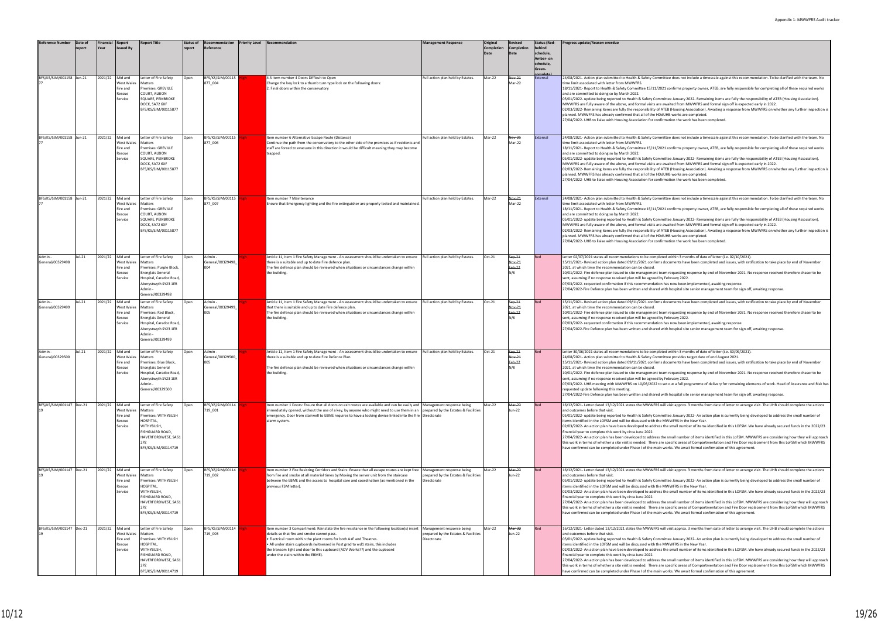mittee does not include a timescale against this recommendation. To be clarified with the team. No 2021 confirms property owner. ATEB, are fully responsible for completing all of these required works mittee January 2022- Remaining items are fully the responsibility of ATEB (Housing Association). e awaited from MWWERS and formal sign off is expected early in 2022. e analice in all interests and formal sign of the diplocation, in EULL.<br>ATEB (Housing Association). Awaiting a response from MWWFRS on whether any further inspection dUHB works are completed. firmation the work has been completed. mittee does not include a timescale against this recommendation. To be clarified with the team. No 2021 confirms property owner, ATEB, are fully responsible for completing all of these required works 05/01/2022- update being reported to Health & Safety Committee January 2022- Remaining items are fully the responsibility of ATEB (Housing Association).<br>MWWFRS are fully aware of the above, and formal visits are awaited fr ATEB (Housing Association). Awaiting a response from MWWFRS on whether any further inspection dUHB works are completed. firmation the work has been completed. mittee does not include a timescale against this recommendation. To be clarified with the team. No .<br>1921 confirms property owner, ATEB, are fully responsible for completing all of these required works nmittee January 2022- Remaining items are fully the responsibility of ATEB (Housing Association). MWWFRS are fully aware of the above, and formal visits are awaited from MWWFRS and formal sign off is expected early in 2022.<br>02/03/2022- Remaining items are fully the responsibility of ATEB (Housing Association). Awaiting pd<br>UHB works are completed. firmation the work has been completed eted within 3 months of date of letter (i.e. 02/10/2021). 15/11/2021<br>15 documents have been completed and issues, with ratification to take place by end of November .<br>10-010 ceam requesting response by end of November 2021. No response received therefore chaser to be by February 2022. on<br>on has now been implemented, awaiting response. with hospital site senior management team for sign off, awaiting response. Is documents have been completed and issues, with ratification to take place by end of November eam requesting response by end of November 2021. No response received therefore chaser to be with hospital site senior management team for sign off, awaiting response. eted within 3 months of date of letter (i.e. 30/09/2021) 24/08/2021- Action plan submitted to Health & Safety Committee provides target date of end August 2021.<br>15/11/2021- Revised action plan dated 09/11/2021 confirms documents have been completed and issues, with ratification .<br>10-0120 requesting response by end of November 2021. No response received therefore chaser to be .<br>by February 2022. o set out a full programme of delivery for remaining elements of work. Head of Assurance and Risk ha with hospital site senior management team for sign off, awaiting response. will visit approx. 3 months from date of letter to arrange visit. The UHB should complete the actions mittee January 2022- An action plan is currently being developed to address the small number of e MWWFRS in the New Year. 20020- An action plan have been developed to an action plan have already secured funds in the 2022/23 and site to address the small number of items identified in this LOFSM. We have already secured funds in the 2022/23 the small number of items identified in this LoFSM. MWWFRS are considering how they will approach this work in terms of whether a site visit is needed. There are specific areas of Compartmentation and Fire Door replacement from this LoFSM which MWWFRS<br>have confirmed can be completed under Phase I of the main works. We will visit approx. 3 months from date of letter to arrange visit. The UHB should complete the actions ntittee January 2022- An action plan is currently being developed to address the small number of e MWWFRS in the New Year. os the small number of items identified in this LOFSM. We have already secured funds in the 2022/23 27/04/2022- An action plan has been developed to address the small number of items identified in this LoFSM. MWWFRS are considering how they will approach<br>this work in terms of whether a site visit is needed. There are spe h works. We await formal confirmation of this agreement. will visit approx. 3 months from date of letter to arrange visit. The UHB should complete the actions nmittee January 2022- An action plan is currently being developed to address the small number of ited sandary 2022 And dentified with the MWWFRS in the New Year. os the small number of items identified in this LOFSM. We have already secured funds in the 2022/23 the small number of items identified in this LoFSM. MWWFRS are considering how they will approach

| <b>Reference Number</b>     | Date of<br>report | Financial<br>Year | <b>Report</b><br><b>Issued By</b>                      | <b>Report Title</b>                                                                                                                                                     | <b>Status of</b><br>report | Recommendation<br>Reference        | <b>Priority Level Recommendation</b>                                                                                                                                                                                                                                                                                                                                                                                      | <b>Management Response</b>                                                       | Original<br><b>Completion</b><br>Date | <b>Revised</b><br>Completion<br>Date | <b>Status (Red-</b><br>behind<br>schedule,<br>Amber- on<br>schedule,<br>Green- | Progress update/Reason overdue                                                                                                                                                                                                                                                                                                                                                                                                                                                                                                                                                                                                                                                                                                                                                                                                                                             |
|-----------------------------|-------------------|-------------------|--------------------------------------------------------|-------------------------------------------------------------------------------------------------------------------------------------------------------------------------|----------------------------|------------------------------------|---------------------------------------------------------------------------------------------------------------------------------------------------------------------------------------------------------------------------------------------------------------------------------------------------------------------------------------------------------------------------------------------------------------------------|----------------------------------------------------------------------------------|---------------------------------------|--------------------------------------|--------------------------------------------------------------------------------|----------------------------------------------------------------------------------------------------------------------------------------------------------------------------------------------------------------------------------------------------------------------------------------------------------------------------------------------------------------------------------------------------------------------------------------------------------------------------------------------------------------------------------------------------------------------------------------------------------------------------------------------------------------------------------------------------------------------------------------------------------------------------------------------------------------------------------------------------------------------------|
| BFS/KS/SJM/001158 Jun-21    |                   | 2021/22           | Mid and<br>West Wale<br>Fire and<br>Rescue<br>Service  | Letter of Fire Safety<br>Matters<br>Premises: GREVILLE<br>COURT, ALBION<br>SQUARE, PEMBROKE<br>DOCK, SA72 6XF<br>BFS/KS/SJM/00115877                                    | Open                       | BFS/KS/SJM/00115<br>877_004        | 4.3 Item number 4 Doors Difficult to Open<br>Change the key lock to a thumb turn type lock on the following doors:<br>2. Final doors within the conservatory                                                                                                                                                                                                                                                              | Full action plan held by Estates.                                                | Mar-22                                | Nov-21<br>Mar-22                     | External                                                                       | 24/08/2021- Action plan submitted to Health & Safety Committee does not include a timescale against this re<br>time limit associated with letter from MWWFRS.<br>18/11/2021- Report to Health & Safety Committee 15/11/2021 confirms property owner, ATEB, are fully resp<br>and are committed to doing so by March 2022.<br>05/01/2022- update being reported to Health & Safety Committee January 2022- Remaining items are fully th<br>MWWFRS are fully aware of the above, and formal visits are awaited from MWWFRS and formal sign off is ex<br>02/03/2022- Remaining items are fully the responsibility of ATEB (Housing Association). Awaiting a response<br>planned. MWWFRS has already confirmed that all of the HDdUHB works are completed.<br>27/04/2022- UHB to liaise with Housing Association for confirmation the work has been completed.                 |
| BFS/KS/SJM/001158 Jun-21    |                   | 2021/22           | Mid and<br>West Wale:<br>Fire and<br>Rescue<br>Service | Letter of Fire Safety<br>Matters<br>Premises: GREVILLE<br>COURT, ALBION<br>SQUARE, PEMBROKE<br>DOCK, SA72 6XF<br>BFS/KS/SJM/00115877                                    | Open                       | BFS/KS/SJM/00115<br>877_006        | Item number 6 Alternative Escape Route (Distance)<br>Continue the path from the conservatory to the other side of the premises as if residents and<br>staff are forced to evacuate in this direction it would be difficult meaning they may become<br>trapped.                                                                                                                                                            | Full action plan held by Estates.                                                | Mar-22                                | Nov-21<br>Mar-22                     | External                                                                       | 24/08/2021- Action plan submitted to Health & Safety Committee does not include a timescale against this re<br>time limit associated with letter from MWWFRS.<br>18/11/2021- Report to Health & Safety Committee 15/11/2021 confirms property owner, ATEB, are fully resp<br>and are committed to doing so by March 2022.<br>05/01/2022- update being reported to Health & Safety Committee January 2022- Remaining items are fully tl<br>MWWFRS are fully aware of the above, and formal visits are awaited from MWWFRS and formal sign off is ex<br>02/03/2022- Remaining items are fully the responsibility of ATEB (Housing Association). Awaiting a response<br>planned. MWWFRS has already confirmed that all of the HDdUHB works are completed.<br>27/04/2022- UHB to liaise with Housing Association for confirmation the work has been completed.                 |
| BFS/KS/SJM/001158 Jun-21    |                   | 2021/22           | Mid and<br>West Wales<br>Fire and<br>Rescue<br>Service | Letter of Fire Safety<br>Matters<br>Premises: GREVILLE<br><b>COURT, ALBION</b><br>SQUARE, PEMBROKE<br>DOCK, SA72 6XF<br>BFS/KS/SJM/00115877                             | )pen                       | BFS/KS/SJM/00115<br>877_007        | Item number 7 Maintenance<br>Ensure that Emergency lighting and the fire extinguisher are properly tested and maintained.                                                                                                                                                                                                                                                                                                 | Full action plan held by Estates.                                                | Mar-22                                | Nov 21<br>Mar-22                     | External                                                                       | 24/08/2021- Action plan submitted to Health & Safety Committee does not include a timescale against this re<br>time limit associated with letter from MWWFRS.<br>18/11/2021- Report to Health & Safety Committee 15/11/2021 confirms property owner, ATEB, are fully resp<br>and are committed to doing so by March 2022.<br>05/01/2022- update being reported to Health & Safety Committee January 2022- Remaining items are fully tl<br>MWWFRS are fully aware of the above, and formal visits are awaited from MWWFRS and formal sign off is ex<br>02/03/2022- Remaining items are fully the responsibility of ATEB (Housing Association). Awaiting a response<br>planned. MWWFRS has already confirmed that all of the HDdUHB works are completed.<br>27/04/2022- UHB to liaise with Housing Association for confirmation the work has been completed.                 |
| Admin -<br>General/00329498 | Jul-21            | 2021/22           | Mid and<br>West Wale:<br>Fire and<br>Rescue<br>Service | Letter of Fire Safety<br>Matters<br>Premises: Purple Block,<br><b>Bronglais General</b><br>Hospital, Caradoc Road,<br>Aberystwyth SY23 1ER<br>Admin<br>General/00329498 | Open                       | Admin ·<br>General/00329498<br>004 | Article 11, Item 1 Fire Safety Management - An assessment should be undertaken to ensure<br>there is a suitable and up to date Fire defence plan.<br>The fire defence plan should be reviewed when situations or circumstances change within<br>the building.                                                                                                                                                             | Full action plan held by Estates.                                                | Oct-21                                | Sep-21<br>Nov-21<br>$Feb-22$<br>N/K  |                                                                                | /Letter 02/07/2021 states all recommendations to be completed within 3 months of date of letter (i.e. 02/10<br>15/11/2021- Revised action plan dated 09/11/2021 confirms documents have been completed and issues, wi<br>2021, at which time the recommendation can be closed.<br>10/01/2022- Fire defence plan issued to site management team requesting response by end of November 20<br>sent, assuming if no response received plan will be agreed by February 2022.<br>07/03/2022- requested confirmation if this recommendation has now been implemented, awaiting response<br>27/04/2022-Fire Defence plan has been written and shared with hospital site senior management team for si                                                                                                                                                                             |
| Admin-<br>General/00329499  | Jul-21            | 2021/22           | Mid and<br>West Wales<br>Fire and<br>Rescue<br>Service | Letter of Fire Safety<br>Matters<br>Premises: Red Block,<br><b>Bronglais General</b><br>Hospital, Caradoc Road,<br>Aberystwyth SY23 1ER<br>Admin<br>General/00329499    | )pen                       | Admin ·<br>General/00329499<br>005 | Article 11, Item 1 Fire Safety Management - An assessment should be undertaken to ensure<br>that there is suitable and up to date Fire defence plan.<br>The fire defence plan should be reviewed when situations or circumstances change within<br>the building                                                                                                                                                           | Full action plan held by Estates.                                                | Oct-21                                | Sep-21<br>Nov-21<br>$Feb-22$<br>N/K  | Red                                                                            | 15/11/2021- Revised action plan dated 09/11/2021 confirms documents have been completed and issues, wi<br>2021, at which time the recommendation can be closed.<br>10/01/2022- Fire defence plan issued to site management team requesting response by end of November 20<br>sent, assuming if no response received plan will be agreed by February 2022.<br>07/03/2022- requested confirmation if this recommendation has now been implemented, awaiting response<br>27/04/2022-Fire Defence plan has been written and shared with hospital site senior management team for si                                                                                                                                                                                                                                                                                            |
| Admin<br>General/00329500   | lul-21            | 2021/22           | Mid and<br>West Wales<br>Fire and<br>Rescue<br>Service | Letter of Fire Safety<br>Matters<br>Premises: Blue Block,<br><b>Bronglais General</b><br>Hospital, Caradoc Road,<br>Aberystwyth SY23 1ER<br>General/00329500            | )pen                       | Admin<br>General/00329500_<br>005  | Article 11, Item 1 Fire Safety Management - An assessment should be undertaken to ensure<br>there is a suitable and up to date Fire Defence Plan.<br>The fire defence plan should be reviewed when situations or circumstances change within<br>the building.                                                                                                                                                             | Full action plan held by Estates.                                                | Oct-21                                | Sep-21<br>Nov 21<br>Feb-22<br>N/K    |                                                                                | /Letter 30/06/2021 states all recommendations to be completed within 3 months of date of letter (i.e. 30/09<br>24/08/2021- Action plan submitted to Health & Safety Committee provides target date of end August 2021.<br>15/11/2021- Revised action plan dated 09/11/2021 confirms documents have been completed and issues, wi<br>2021, at which time the recommendation can be closed.<br>10/01/2022- Fire defence plan issued to site management team requesting response by end of November 20<br>sent, assuming if no response received plan will be agreed by February 2022.<br>07/03/2022- UHB meeting with MWWFRS on 10/03/2022 to set out a full programme of delivery for remaini<br>requested update following this meeting.<br>27/04/2022-Fire Defence plan has been written and shared with hospital site senior management team for si                      |
| BFS/KS/SJM/001147 Dec-21    |                   | 2021/22           | Mid and<br>West Wale<br>Fire and<br>Rescue<br>Service  | Letter of Fire Safety<br>Matters<br>Premises: WITHYBUSH<br>HOSPITAL,<br>WITHYBUSH,<br>FISHGUARD ROAD,<br>HAVERFORDWEST, SA61<br>2P7<br>BFS/KS/SJM/00114719              | Open                       | BFS/KS/SJM/00114<br>719 001        | Item number 1 Doors: Ensure that all doors on exit routes are available and can be easily and Management response being<br>immediately opened, without the use of a key, by anyone who might need to use them in an<br>emergency. Door from stairwell to EBME requires to have a locking device linked into the fire Directorate<br>alarm system.                                                                         | prepared by the Estates & Facilities                                             | Mar-22                                | Mar-22<br>Jun-22                     |                                                                                | 16/12/2021- Letter dated 13/12/2021 states the MWWFRS will visit approx. 3 months from date of letter to a<br>and outcomes before that visit.<br>05/01/2022- update being reported to Health & Safety Committee January 2022- An action plan is currently t<br>items identified in the LOFSM and will be discussed with the MWWFRS in the New Year.<br>02/03/2022- An action plan have been developed to address the small number of items identified in this LOF<br>financial year to complete this work by circa June 2022.<br>27/04/2022- An action plan has been developed to address the small number of items identified in this LoFSN<br>this work in terms of whether a site visit is needed. There are specific areas of Compartmentation and Fire D<br>have confirmed can be completed under Phase I of the main works. We await formal confirmation of this agr |
| BFS/KS/SJM/001147 Dec-21    |                   | 2021/22           | Mid and<br>West Wale:<br>Fire and<br>Rescue<br>Service | Letter of Fire Safety<br>Matters<br>Premises: WITHYBUSH<br>HOSPITAL,<br>WITHYBUSH,<br>FISHGUARD ROAD,<br>HAVERFORDWEST, SA61<br>BFS/KS/SJM/00114719                     | Open                       | BFS/KS/SJM/00114<br>719 002        | Item number 2 Fire Resisting Corridors and Stairs: Ensure that all escape routes are kept free   Management response being<br>from fire and smoke at all material times by Moving the server unit from the staircase<br>between the EBME and the access to hospital care and coordination (as mentioned in the<br>previous FSM letter).                                                                                   | prepared by the Estates & Facilities<br>Directorate                              | Mar-22                                | Mar-22<br>Jun-22                     | Red                                                                            | 16/12/2021- Letter dated 13/12/2021 states the MWWFRS will visit approx. 3 months from date of letter to a<br>and outcomes before that visit.<br>05/01/2022- update being reported to Health & Safety Committee January 2022- An action plan is currently t<br>items identified in the LOFSM and will be discussed with the MWWFRS in the New Year.<br>02/03/2022- An action plan have been developed to address the small number of items identified in this LOF<br>financial year to complete this work by circa June 2022.<br>27/04/2022- An action plan has been developed to address the small number of items identified in this LoFSN<br>this work in terms of whether a site visit is needed. There are specific areas of Compartmentation and Fire D<br>have confirmed can be completed under Phase I of the main works. We await formal confirmation of this agr |
| BFS/KS/SJM/001147 Dec-21    |                   | 2021/22           | Mid and<br>West Wale:<br>Fire and<br>Rescue<br>Service | Letter of Fire Safety<br>Matters<br>Premises: WITHYBUSH<br>HOSPITAL,<br>WITHYBUSH,<br>FISHGUARD ROAD,<br>HAVERFORDWEST, SA61<br>BFS/KS/SJM/00114719                     | Open                       | BFS/KS/SJM/00114<br>719 003        | Item number 3 Compartment: Reinstate the fire resistance in the following location(s) insert<br>details so that fire and smoke cannot pass.<br>Electrical room within the plant rooms for both A+E and Theatres.<br>• All under stairs cupboards (witnessed in Post grad to wd1 stairs, this includes<br>the transom light and door to this cupboard (ADV Works??) and the cupboard<br>under the stairs within the EBME). | Management response being<br>prepared by the Estates & Facilities<br>Directorate | Mar-22                                | Mar-22<br>Jun-22                     | Red                                                                            | 16/12/2021- Letter dated 13/12/2021 states the MWWFRS will visit approx. 3 months from date of letter to a<br>and outcomes before that visit.<br>05/01/2022- update being reported to Health & Safety Committee January 2022- An action plan is currently t<br>items identified in the LOFSM and will be discussed with the MWWFRS in the New Year.<br>02/03/2022- An action plan have been developed to address the small number of items identified in this LOF<br>financial year to complete this work by circa June 2022.<br>27/04/2022- An action plan has been developed to address the small number of items identified in this LoFSN<br>this work in terms of whether a site visit is needed. There are specific areas of Compartmentation and Fire D<br>have confirmed can be completed under Phase I of the main works. We await formal confirmation of this agr |

are specific areas of Compartmentation and Fire Door replacement from this LoFSM which MWWFRS have confirmed can be completed under Phase I of the main works. We await formal confirmation of this agreement.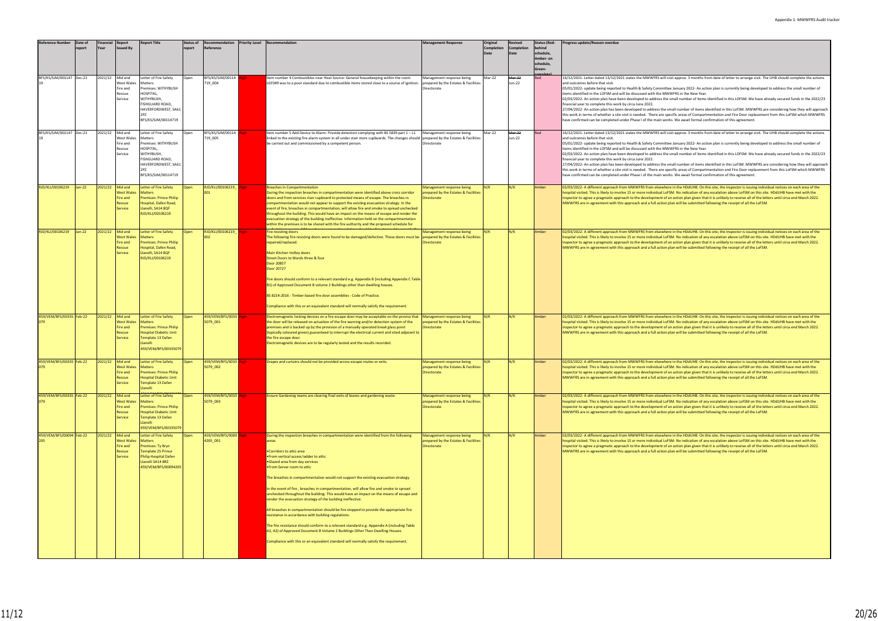| Reference Number                | Date of<br>eport | inancia<br>Yeaı | Report<br><b>Issued By</b>                                    | <b>Report Title</b>                                                                                                                                                    | <b>Status of</b><br>report | Recommendation<br>Reference       | <b>Priority Level Recommendation</b>                                                                                                                                                                                                                                                                                                                                                                                                                                                                                                                                                                                                                                                                                                                                                                                                                                                                                                                                                                         | <b>Management Response</b>                                                              | Original<br>Completior | Revised<br>Completion<br>Date | <b>Status (Red-</b><br>ehind<br>chedule,<br>Amber- on<br>schedule,<br>Green- | Progress update/Reason overdue                                                                                                                                                                                                                                                                                                                                                                                                                                                                                                                                                                                                                                                                                                                                                                                                                                                                                                                                                                                                                                                                                     |
|---------------------------------|------------------|-----------------|---------------------------------------------------------------|------------------------------------------------------------------------------------------------------------------------------------------------------------------------|----------------------------|-----------------------------------|--------------------------------------------------------------------------------------------------------------------------------------------------------------------------------------------------------------------------------------------------------------------------------------------------------------------------------------------------------------------------------------------------------------------------------------------------------------------------------------------------------------------------------------------------------------------------------------------------------------------------------------------------------------------------------------------------------------------------------------------------------------------------------------------------------------------------------------------------------------------------------------------------------------------------------------------------------------------------------------------------------------|-----------------------------------------------------------------------------------------|------------------------|-------------------------------|------------------------------------------------------------------------------|--------------------------------------------------------------------------------------------------------------------------------------------------------------------------------------------------------------------------------------------------------------------------------------------------------------------------------------------------------------------------------------------------------------------------------------------------------------------------------------------------------------------------------------------------------------------------------------------------------------------------------------------------------------------------------------------------------------------------------------------------------------------------------------------------------------------------------------------------------------------------------------------------------------------------------------------------------------------------------------------------------------------------------------------------------------------------------------------------------------------|
| BFS/KS/SJM/001147 Dec-21        |                  | 2021/22         | Mid and<br>West Wales<br>Fire and<br>Rescue<br>Service        | etter of Fire Safety<br>Matters<br>Premises: WITHYBUSH<br>HOSPITAL,<br>WITHYBUSH,<br>FISHGUARD ROAD,<br>HAVERFORDWEST, SA61<br>BFS/KS/SJM/00114719                     | Open                       | BFS/KS/SJM/00114<br>719_004       | Item number 4 Combustibles near Heat Source: General housekeeping within the room<br>LGF049 was to a poor standard due to combustible items stored close to a source of ignition.                                                                                                                                                                                                                                                                                                                                                                                                                                                                                                                                                                                                                                                                                                                                                                                                                            | Management response being<br>prepared by the Estates & Facilities<br>Directorate        | Mar-22                 | Mar-22<br>Jun-22              | Red                                                                          | 16/12/2021- Letter dated 13/12/2021 states the MWWFRS will visit approx. 3 months from date of letter to arrange visit. The UHB should complete the actional<br>and outcomes before that visit.<br>05/01/2022- update being reported to Health & Safety Committee January 2022- An action plan is currently being developed to address the small number of<br>items identified in the LOFSM and will be discussed with the MWWFRS in the New Year.<br>02/03/2022- An action plan have been developed to address the small number of items identified in this LOFSM. We have already secured funds in the 2022<br>financial year to complete this work by circa June 2022.<br>27/04/2022- An action plan has been developed to address the small number of items identified in this LoFSM. MWWFRS are considering how they will appr<br>this work in terms of whether a site visit is needed. There are specific areas of Compartmentation and Fire Door replacement from this LoFSM which MWWI<br>have confirmed can be completed under Phase I of the main works. We await formal confirmation of this agreement. |
| BFS/KS/SJM/001147 Dec-21        |                  | 2021/22         | Mid and<br>West Wales<br>Fire and<br>Rescue<br>Service        | Letter of Fire Safety<br>Matters<br>Premises: WITHYBUSH<br>HOSPITAL,<br>WITHYBUSH,<br>FISHGUARD ROAD,<br>HAVERFORDWEST, SA61<br>BFS/KS/SJM/00114719                    | Open                       | BFS/KS/SJM/00114<br>719_005       | Item number 5 Add Device to Alarm: Provide detection complying with BS 5839 part 1 - L1<br>linked to the existing fire alarm system in all under stair store cupboards. The changes should prepared by the Estates & Facilities<br>be carried out and commissioned by a competent person.                                                                                                                                                                                                                                                                                                                                                                                                                                                                                                                                                                                                                                                                                                                    | Management response being<br>Directorate                                                | Mar-22                 | Mar-22<br>Jun-22              | Red                                                                          | 16/12/2021- Letter dated 13/12/2021 states the MWWFRS will visit approx. 3 months from date of letter to arrange visit. The UHB should complete the actional<br>and outcomes before that visit.<br>05/01/2022- update being reported to Health & Safety Committee January 2022- An action plan is currently being developed to address the small number of<br>items identified in the LOFSM and will be discussed with the MWWFRS in the New Year.<br>02/03/2022- An action plan have been developed to address the small number of items identified in this LOFSM. We have already secured funds in the 2022<br>financial year to complete this work by circa June 2022.<br>27/04/2022- An action plan has been developed to address the small number of items identified in this LoFSM. MWWFRS are considering how they will appr<br>this work in terms of whether a site visit is needed. There are specific areas of Compartmentation and Fire Door replacement from this LoFSM which MWWI<br>have confirmed can be completed under Phase I of the main works. We await formal confirmation of this agreement. |
| RJD/KLI/00106219                | $Jan-22$         | 2021/22         | Mid and<br><b>Vest Wales</b><br>Fire and<br>Rescue<br>Service | <b>Letter of Fire Safety</b><br><b>Matters</b><br><b>Premises: Prince Philip</b><br>Hospital, Dafen Road,<br>Llanelli, SA14 8QF<br>RJD/KLI/00106219                    | Open                       | RJD/KLI/00106219                  | <b>Breaches in Compartmentation</b><br>During the inspection breaches in compartmentation were identified above cross corridor<br>doors and from services riser cupboard to protected means of escape. The breaches in<br>compartmentation would not appear to support the existing evacuation strategy. In the<br>event of fire, breaches in compartmentation, will allow fire and smoke to spread unchecked<br>throughout the building. This would have an impact on the means of escape and render the<br>evacuation strategy of the building ineffective. Information held on the compartmentation<br>within the premises is to be shared with the fire authority and the proposed schedule for                                                                                                                                                                                                                                                                                                          | Management response being<br>prepared by the Estates & Facilities<br>Directorate        | N/K                    | N/K                           | Amber                                                                        | 02/03/2022- A different approach from MWWFRS from elsewhere in the HDdUHB. On this site, the inspector is issuing individual notices on each area of the<br>hospital visited. This is likely to involve 15 or more individual LoFSM. No indication of any escalation above LoFSM on this site. HDdUHB have met with the<br>inspector to agree a pragmatic approach to the development of an action plan given that it is unlikely to receive all of the letters until circa end March 2022.<br>MWWFRS are in agreement with this approach and a full action plan will be submitted following the receipt of all the LoFSM.                                                                                                                                                                                                                                                                                                                                                                                                                                                                                         |
| RJD/KLI/00106219                | $Jan-22$         | 2021/22         | Mid and<br><b>Nest Wales</b><br>Fire and<br>Rescue<br>Service | <b>Letter of Fire Safety</b><br><b>Matters</b><br><b>Premises: Prince Philip</b><br>Hospital, Dafen Road,<br>Llanelli, SA14 8QF<br>RJD/KLI/00106219                    | Open                       | RJD/KLI/00106219                  | <b>Fire resisting doors</b><br>The following fire resisting doors were found to be damaged/defective. These doors must be<br>repaired/replaced.<br>Main Kitchen trolley doors<br>Street Doors to Wards three & four<br>Door 20857<br>Door 20727<br>Fire doors should conform to a relevant standard e.g. Appendix B (including Appendix C Table<br>B1) of Approved Document B volume 2 Buildings other than dwelling houses.<br>BS 8214:2016 - Timber-based fire door assemblies - Code of Practice.<br>Compliance with this or an equivalent standard will normally satisfy the requirement.                                                                                                                                                                                                                                                                                                                                                                                                                | Management response being<br>prepared by the Estates & Facilities<br>irectorate         | N/K                    | N/K                           | Amber                                                                        | 02/03/2022- A different approach from MWWFRS from elsewhere in the HDdUHB. On this site, the inspector is issuing individual notices on each area of the<br>hospital visited. This is likely to involve 15 or more individual LoFSM. No indication of any escalation above LoFSM on this site. HDdUHB have met with the<br>inspector to agree a pragmatic approach to the development of an action plan given that it is unlikely to receive all of the letters until circa end March 2022.<br>MWWFRS are in agreement with this approach and a full action plan will be submitted following the receipt of all the LoFSM.                                                                                                                                                                                                                                                                                                                                                                                                                                                                                         |
| 459/VEM/BFS/00335 Feb-22        |                  | 2021/22         | Mid and<br>West Wales<br>Fire and<br>Rescue<br>Service        | Letter of Fire Safety<br><b>Matters</b><br><b>Premises: Prince Philip</b><br><b>Hospital Diabetic Unit</b><br>Template 13 Dafen<br>lanelli<br>459/VEM/BFS/00335079     | Open                       | 459/VEM/BFS/0033 High<br>5079_001 | Electromagnetic locking devices on a fire escape door may be acceptable on the proviso that<br>the door will be released on actuation of the fire warning and/or detection system of the<br>premises and is backed up by the provision of a manually operated break glass point<br>(typically coloured green) guaranteed to interrupt the electrical current and sited adjacent to<br>the fire escape door.<br>Electromagnetic devices are to be regularly tested and the results recorded.                                                                                                                                                                                                                                                                                                                                                                                                                                                                                                                  | Management response being<br>prepared by the Estates & Facilities<br>Directorate        | N/K                    | N/K                           | Amber                                                                        | 02/03/2022- A different approach from MWWFRS from elsewhere in the HDdUHB. On this site, the inspector is issuing individual notices on each area of the<br>hospital visited. This is likely to involve 15 or more individual LoFSM. No indication of any escalation above LoFSM on this site. HDdUHB have met with the<br>inspector to agree a pragmatic approach to the development of an action plan given that it is unlikely to receive all of the letters until circa end March 2022.<br>MWWFRS are in agreement with this approach and a full action plan will be submitted following the receipt of all the LoFSM.                                                                                                                                                                                                                                                                                                                                                                                                                                                                                         |
| 459/VEM/BFS/00335 Feb-22<br>079 |                  | 2021/22         | Mid and<br>West Wales<br>ire and<br>Rescue<br>Service         | <b>Letter of Fire Safety</b><br><b>Matters</b><br><b>Premises: Prince Philip</b><br><b>Hospital Diabetic Unit</b><br>Template 13 Dafen<br>Llanelli                     | Open                       | 459/VEM/BFS/0033<br>5079 002      | Drapes and curtains should not be provided across escape routes or exits.                                                                                                                                                                                                                                                                                                                                                                                                                                                                                                                                                                                                                                                                                                                                                                                                                                                                                                                                    | Management response being<br>prepared by the Estates & Facilities<br>Directorate        | N/K                    | N/K                           | Amber                                                                        | 02/03/2022- A different approach from MWWFRS from elsewhere in the HDdUHB. On this site, the inspector is issuing individual notices on each area of the<br>hospital visited. This is likely to involve 15 or more individual LoFSM. No indication of any escalation above LoFSM on this site. HDdUHB have met with the<br>inspector to agree a pragmatic approach to the development of an action plan given that it is unlikely to receive all of the letters until circa end March 2022.<br>MWWFRS are in agreement with this approach and a full action plan will be submitted following the receipt of all the LoFSM.                                                                                                                                                                                                                                                                                                                                                                                                                                                                                         |
| 459/VEM/BFS/00335 Feb-22        |                  | 2021/22         | Mid and<br><b>West Wales</b><br>Fire and<br>Rescue<br>Service | etter of Fire Safety<br><b>Matters</b><br><b>Premises: Prince Philip</b><br><b>Hospital Diabetic Unit</b><br>Template 13 Dafen<br>Llanelli<br>459/VEM/BFS/0033507      |                            | 459/VEM/BFS/0033 Hi<br>5079_003   | Ensure Gardening teams are clearing final exits of leaves and gardening waste.                                                                                                                                                                                                                                                                                                                                                                                                                                                                                                                                                                                                                                                                                                                                                                                                                                                                                                                               | Management response being<br>prepared by the Estates & Facilities<br>Directorate        | N/K                    | N/K                           | Amber                                                                        | 02/03/2022- A different approach from MWWFRS from elsewhere in the HDdUHB. On this site, the inspector is issuing individual notices on each area of the<br>hospital visited. This is likely to involve 15 or more individual LoFSM. No indication of any escalation above LoFSM on this site. HDdUHB have met with the<br>inspector to agree a pragmatic approach to the development of an action plan given that it is unlikely to receive all of the letters until circa end March 2022.<br>MWWFRS are in agreement with this approach and a full action plan will be submitted following the receipt of all the LoFSM.                                                                                                                                                                                                                                                                                                                                                                                                                                                                                         |
| 459/VEM/BFS/00094 Feb-22        |                  | 2021/22         | Mid and<br><b>West Wales</b><br>Fire and<br>Rescue<br>Service | Letter of Fire Safety<br><b>Matters</b><br>Premises: Ty Bryn<br><b>Template 25 Prince</b><br><b>Philip Hospital Dafen</b><br>Llanelli SA14 8RZ<br>459/VEM/BFS/00094205 | Open                       | 459/VEM/BFS/0009<br>4205_001      | During the inspection breaches in compartmentation were identified from the following<br>areas<br>•Corridors to attic area<br>• From vertical access ladder to attic<br>.Glazed area from day services<br>. From Server room to attic<br>The breaches in compartmentation would not support the existing evacuation strategy.<br>In the event of fire, breaches in compartmentation, will allow fire and smoke to spread<br>unchecked throughout the building. This would have an impact on the means of escape and<br>render the evacuation strategy of the building ineffective.<br>All breaches in compartmentation should be fire stopped to provide the appropriate fire<br>resistance in accordance with building regulations.<br>The fire resistance should conform to a relevant standard e.g. Appendix A (including Table<br>A1, A2) of Approved Document B Volume 2 Buildings Other Than Dwelling Houses.<br>Compliance with this or an equivalent standard will normally satisfy the requirement. | Management response being<br>prepared by the Estates & Facilities<br><b>Directorate</b> | N/K                    | N/K                           | Amber                                                                        | 02/03/2022- A different approach from MWWFRS from elsewhere in the HDdUHB. On this site, the inspector is issuing individual notices on each area of the<br>hospital visited. This is likely to involve 15 or more individual LoFSM. No indication of any escalation above LoFSM on this site. HDdUHB have met with the<br>inspector to agree a pragmatic approach to the development of an action plan given that it is unlikely to receive all of the letters until circa end March 2022.<br>MWWFRS are in agreement with this approach and a full action plan will be submitted following the receipt of all the LoFSM.                                                                                                                                                                                                                                                                                                                                                                                                                                                                                         |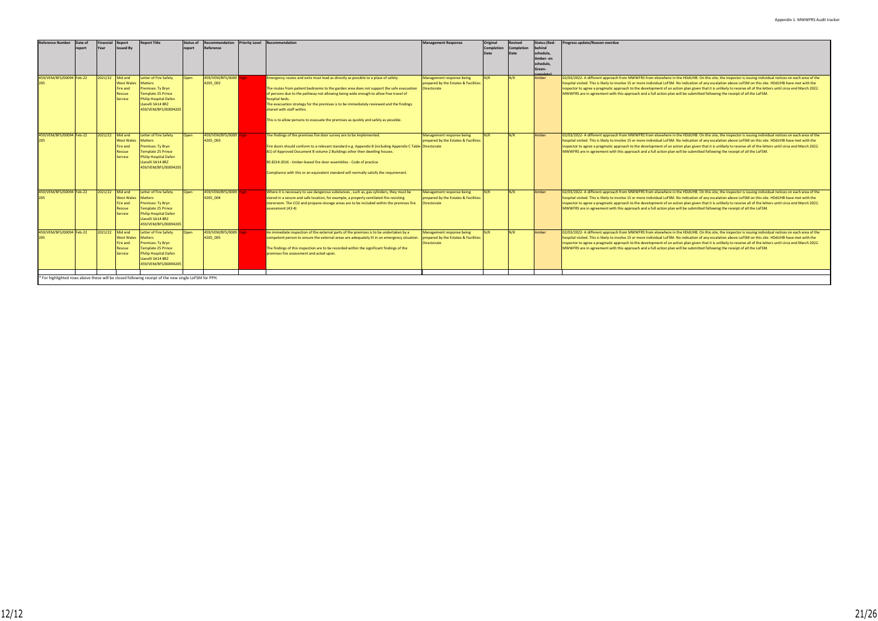| <b>Reference Number</b>  | Date of | <b>Financial</b> | Report                                                               | <b>Report Title</b>                                                                                                                                                           | <b>Status of</b> | Recommendation               | <b>Priority Level Recommendation</b>                                                                                                                                                                                                                                                                                                                                                                                                                                                                     | <b>Management Response</b>                                                              | Original          | Revised    | <b>Status (Red-</b> | Progress update/Reason overdue                                                                                                                                                                                                                                                                                                                                                                                                                                                                                                                                                                                             |
|--------------------------|---------|------------------|----------------------------------------------------------------------|-------------------------------------------------------------------------------------------------------------------------------------------------------------------------------|------------------|------------------------------|----------------------------------------------------------------------------------------------------------------------------------------------------------------------------------------------------------------------------------------------------------------------------------------------------------------------------------------------------------------------------------------------------------------------------------------------------------------------------------------------------------|-----------------------------------------------------------------------------------------|-------------------|------------|---------------------|----------------------------------------------------------------------------------------------------------------------------------------------------------------------------------------------------------------------------------------------------------------------------------------------------------------------------------------------------------------------------------------------------------------------------------------------------------------------------------------------------------------------------------------------------------------------------------------------------------------------------|
|                          | report  | Year             | <b>Issued By</b>                                                     |                                                                                                                                                                               | report           | Reference                    |                                                                                                                                                                                                                                                                                                                                                                                                                                                                                                          |                                                                                         | <b>Completion</b> | Completion | behind              |                                                                                                                                                                                                                                                                                                                                                                                                                                                                                                                                                                                                                            |
|                          |         |                  |                                                                      |                                                                                                                                                                               |                  |                              |                                                                                                                                                                                                                                                                                                                                                                                                                                                                                                          |                                                                                         |                   | Date       | schedule,           |                                                                                                                                                                                                                                                                                                                                                                                                                                                                                                                                                                                                                            |
|                          |         |                  |                                                                      |                                                                                                                                                                               |                  |                              |                                                                                                                                                                                                                                                                                                                                                                                                                                                                                                          |                                                                                         |                   |            | Amber- on           |                                                                                                                                                                                                                                                                                                                                                                                                                                                                                                                                                                                                                            |
|                          |         |                  |                                                                      |                                                                                                                                                                               |                  |                              |                                                                                                                                                                                                                                                                                                                                                                                                                                                                                                          |                                                                                         |                   |            | schedule,           |                                                                                                                                                                                                                                                                                                                                                                                                                                                                                                                                                                                                                            |
|                          |         |                  |                                                                      |                                                                                                                                                                               |                  |                              |                                                                                                                                                                                                                                                                                                                                                                                                                                                                                                          |                                                                                         |                   |            | Green-              |                                                                                                                                                                                                                                                                                                                                                                                                                                                                                                                                                                                                                            |
|                          |         |                  |                                                                      |                                                                                                                                                                               |                  |                              |                                                                                                                                                                                                                                                                                                                                                                                                                                                                                                          |                                                                                         |                   |            |                     |                                                                                                                                                                                                                                                                                                                                                                                                                                                                                                                                                                                                                            |
| 459/VEM/BFS/00094 Feb-22 |         | 2021/22          | Mid and<br>West Wales<br>Fire and<br><b>Rescue</b><br><b>Service</b> | <b>Letter of Fire Safety</b><br><b>Matters</b><br>Premises: Ty Bryn<br><b>Template 25 Prince</b><br><b>Philip Hospital Dafen</b><br>Llanelli SA14 8RZ<br>459/VEM/BFS/00094205 | <b>Open</b>      | 459/VEM/BFS/0009<br>4205 002 | Emergency routes and exits must lead as directly as possible to a place of safety.<br>The routes from patient bedrooms to the garden area does not support the safe evacuation<br>of persons due to the pathway not allowing being wide enough to allow free travel of<br>hospital beds.<br>The evacuation strategy for the premises is to be immediately reviewed and the findings<br>shared with staff within.<br>This is to allow persons to evacuate the premises as quickly and safely as possible. | Management response being<br>prepared by the Estates & Facilities<br>Directorate        | N/K               | N/K        | Amber               | 02/03/2022- A different approach from MWWFRS from elsewhere in the HDdUHB. On this site, the inspector is issuing individual notices on each area of the<br>hospital visited. This is likely to involve 15 or more individual LoFSM. No indication of any escalation above LoFSM on this site. HDdUHB have met with the<br>inspector to agree a pragmatic approach to the development of an action plan given that it is unlikely to receive all of the letters until circa end March 2022.<br>MWWFRS are in agreement with this approach and a full action plan will be submitted following the receipt of all the LoFSM. |
| 459/VEM/BFS/00094 Feb-22 |         | 2021/22          | Mid and<br>West Wales<br>Fire and<br>Rescue<br>Service               | Letter of Fire Safety<br><b>Matters</b><br>Premises: Ty Bryn<br><b>Template 25 Prince</b><br><b>Philip Hospital Dafen</b><br>Llanelli SA14 8RZ<br>459/VEM/BFS/00094205        | <b>Open</b>      | 459/VEM/BFS/0009<br>4205 003 | The findings of the premises fire door survey are to be implemented.<br>Fire doors should conform to a relevant standard e.g. Appendix B (including Appendix C Table Directorate<br>B1) of Approved Document B volume 2 Buildings other then dwelling houses.<br>BS 8214:2016 - timber-based fire door assemblies - Code of practice<br>Compliance with this or an equivalent standard will normally satisfy the requirement.                                                                            | Management response being<br>prepared by the Estates & Facilities                       | N/K               | N/K        | Amber               | 02/03/2022- A different approach from MWWFRS from elsewhere in the HDdUHB. On this site, the inspector is issuing individual notices on each area of the<br>hospital visited. This is likely to involve 15 or more individual LoFSM. No indication of any escalation above LoFSM on this site. HDdUHB have met with the<br>inspector to agree a pragmatic approach to the development of an action plan given that it is unlikely to receive all of the letters until circa end March 2022.<br>MWWFRS are in agreement with this approach and a full action plan will be submitted following the receipt of all the LoFSM. |
| 459/VEM/BFS/00094 Feb-22 |         | 2021/22          | Mid and<br><b>West Wales</b><br>Fire and<br>Rescue<br>Service        | <b>Letter of Fire Safety</b><br><b>Matters</b><br>Premises: Ty Bryn<br><b>Template 25 Prince</b><br><b>Philip Hospital Dafen</b><br>Llanelli SA14 8RZ<br>459/VEM/BFS/00094205 | <b>Open</b>      | 459/VEM/BFS/0009<br>4205 004 | Where it is necessary to use dangerous substances, such as, gas cylinders, they must be<br>stored in a secure and safe location, for example, a properly ventilated fire-resisting<br>storeroom. The CO2 and propane storage areas are to be included within the premises fire<br>assessment (A3.4)                                                                                                                                                                                                      | Management response being<br>prepared by the Estates & Facilities<br>Directorate        | N/K               | N/K        | Amber               | 02/03/2022- A different approach from MWWFRS from elsewhere in the HDdUHB. On this site, the inspector is issuing individual notices on each area of the<br>hospital visited. This is likely to involve 15 or more individual LoFSM. No indication of any escalation above LoFSM on this site. HDdUHB have met with the<br>inspector to agree a pragmatic approach to the development of an action plan given that it is unlikely to receive all of the letters until circa end March 2022.<br>MWWFRS are in agreement with this approach and a full action plan will be submitted following the receipt of all the LoFSM. |
| 459/VEM/BFS/00094 Feb-22 |         | 2021/22          | Mid and<br><b>West Wales</b><br>Fire and<br>Rescue<br>Service        | Letter of Fire Safety<br><b>Matters</b><br>Premises: Ty Bryn<br><b>Template 25 Prince</b><br><b>Philip Hospital Dafen</b><br>Llanelli SA14 8RZ<br>459/VEM/BFS/00094205        | Open             | 459/VEM/BFS/0009<br>4205 005 | An immediate inspection of the external parts of the premises is to be undertaken by a<br>competent person to ensure the external areas are adequately lit in an emergency situation<br>The findings of this inspection are to be recorded within the significant findings of the<br>premises fire assessment and acted upon.                                                                                                                                                                            | Management response being<br>prepared by the Estates & Facilities<br><b>Directorate</b> | N/K               | N/K        | Amber               | 02/03/2022- A different approach from MWWFRS from elsewhere in the HDdUHB. On this site, the inspector is issuing individual notices on each area of the<br>hospital visited. This is likely to involve 15 or more individual LoFSM. No indication of any escalation above LoFSM on this site. HDdUHB have met with the<br>inspector to agree a pragmatic approach to the development of an action plan given that it is unlikely to receive all of the letters until circa end March 2022.<br>MWWFRS are in agreement with this approach and a full action plan will be submitted following the receipt of all the LoFSM. |
|                          |         |                  |                                                                      | * For highlighted rows above these will be closed following receipt of the new single LoFSM for PPH.                                                                          |                  |                              |                                                                                                                                                                                                                                                                                                                                                                                                                                                                                                          |                                                                                         |                   |            |                     |                                                                                                                                                                                                                                                                                                                                                                                                                                                                                                                                                                                                                            |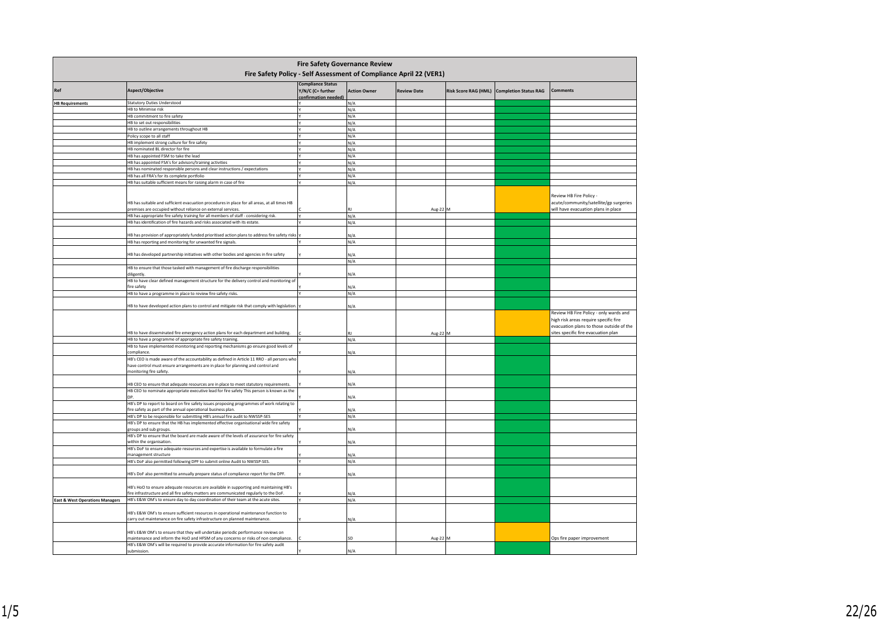| <b>Fire Safety Governance Review</b><br>Fire Safety Policy - Self Assessment of Compliance April 22 (VER1)<br><b>Compliance Status</b> |                                                                                                                                                                                                           |                                         |                     |                    |  |                                            |                                                                                                                                                                    |  |  |  |  |  |  |
|----------------------------------------------------------------------------------------------------------------------------------------|-----------------------------------------------------------------------------------------------------------------------------------------------------------------------------------------------------------|-----------------------------------------|---------------------|--------------------|--|--------------------------------------------|--------------------------------------------------------------------------------------------------------------------------------------------------------------------|--|--|--|--|--|--|
| Ref                                                                                                                                    | Aspect/Objective                                                                                                                                                                                          | Y/N/C (C= further<br>onfirmation needed | <b>Action Owner</b> | <b>Review Date</b> |  | Risk Score RAG (HML) Completion Status RAG | <b>Comments</b>                                                                                                                                                    |  |  |  |  |  |  |
| <b>HB Requirements</b>                                                                                                                 | <b>Statutory Duties Understood</b>                                                                                                                                                                        |                                         | N/A                 |                    |  |                                            |                                                                                                                                                                    |  |  |  |  |  |  |
|                                                                                                                                        | HB to Minimise risk                                                                                                                                                                                       |                                         | N/A                 |                    |  |                                            |                                                                                                                                                                    |  |  |  |  |  |  |
|                                                                                                                                        | HB commitment to fire safety                                                                                                                                                                              |                                         | N/A                 |                    |  |                                            |                                                                                                                                                                    |  |  |  |  |  |  |
|                                                                                                                                        | HB to set out responsibilities                                                                                                                                                                            |                                         | N/A                 |                    |  |                                            |                                                                                                                                                                    |  |  |  |  |  |  |
|                                                                                                                                        | HB to outline arrangements throughout HB                                                                                                                                                                  |                                         | N/A                 |                    |  |                                            |                                                                                                                                                                    |  |  |  |  |  |  |
|                                                                                                                                        | Policy scope to all staff                                                                                                                                                                                 |                                         | N/A                 |                    |  |                                            |                                                                                                                                                                    |  |  |  |  |  |  |
|                                                                                                                                        | HB implement strong culture for fire safety                                                                                                                                                               |                                         | N/A                 |                    |  |                                            |                                                                                                                                                                    |  |  |  |  |  |  |
|                                                                                                                                        | HB nominated BL director for fire                                                                                                                                                                         |                                         |                     |                    |  |                                            |                                                                                                                                                                    |  |  |  |  |  |  |
|                                                                                                                                        |                                                                                                                                                                                                           |                                         | N/A                 |                    |  |                                            |                                                                                                                                                                    |  |  |  |  |  |  |
|                                                                                                                                        | HB has appointed FSM to take the lead                                                                                                                                                                     |                                         | N/A                 |                    |  |                                            |                                                                                                                                                                    |  |  |  |  |  |  |
|                                                                                                                                        | HB has appointed FSA's for advisors/training activities                                                                                                                                                   |                                         | N/A                 |                    |  |                                            |                                                                                                                                                                    |  |  |  |  |  |  |
|                                                                                                                                        | HB has nominated responsible persons and clear instructions / expectations                                                                                                                                |                                         | N/A                 |                    |  |                                            |                                                                                                                                                                    |  |  |  |  |  |  |
|                                                                                                                                        | HB has all FRA's for its complete portfolio                                                                                                                                                               |                                         | N/A                 |                    |  |                                            |                                                                                                                                                                    |  |  |  |  |  |  |
|                                                                                                                                        | HB has suitable sufficient means for raising alarm in case of fire                                                                                                                                        |                                         | N/A                 |                    |  |                                            |                                                                                                                                                                    |  |  |  |  |  |  |
|                                                                                                                                        | HB has suitable and sufficient evacuation procedures in place for all areas, at all times HB<br>premises are occupied without reliance on external services.                                              |                                         |                     | Aug-22 M           |  |                                            | Review HB Fire Policy -<br>acute/community/satellite/gp surgeries<br>will have evacuation plans in place                                                           |  |  |  |  |  |  |
|                                                                                                                                        | HB has appropriate fire safety training for all members of staff - considering risk.                                                                                                                      |                                         | N/A                 |                    |  |                                            |                                                                                                                                                                    |  |  |  |  |  |  |
|                                                                                                                                        | HB has identification of fire hazards and risks associated with its estate.                                                                                                                               |                                         | N/A                 |                    |  |                                            |                                                                                                                                                                    |  |  |  |  |  |  |
|                                                                                                                                        |                                                                                                                                                                                                           |                                         |                     |                    |  |                                            |                                                                                                                                                                    |  |  |  |  |  |  |
|                                                                                                                                        | HB has provision of appropriately funded prioritised action plans to address fire safety risks                                                                                                            |                                         | N/A                 |                    |  |                                            |                                                                                                                                                                    |  |  |  |  |  |  |
|                                                                                                                                        | HB has reporting and monitoring for unwanted fire signals.                                                                                                                                                |                                         | N/A                 |                    |  |                                            |                                                                                                                                                                    |  |  |  |  |  |  |
|                                                                                                                                        |                                                                                                                                                                                                           |                                         |                     |                    |  |                                            |                                                                                                                                                                    |  |  |  |  |  |  |
|                                                                                                                                        |                                                                                                                                                                                                           |                                         | N/A                 |                    |  |                                            |                                                                                                                                                                    |  |  |  |  |  |  |
|                                                                                                                                        | HB has developed partnership initiatives with other bodies and agencies in fire safety                                                                                                                    |                                         | N/A                 |                    |  |                                            |                                                                                                                                                                    |  |  |  |  |  |  |
|                                                                                                                                        | HB to ensure that those tasked with management of fire discharge responsibilities<br>diligently.                                                                                                          |                                         | N/A                 |                    |  |                                            |                                                                                                                                                                    |  |  |  |  |  |  |
|                                                                                                                                        | HB to have clear defined management structure for the delivery control and monitoring of                                                                                                                  |                                         |                     |                    |  |                                            |                                                                                                                                                                    |  |  |  |  |  |  |
|                                                                                                                                        | fire safety                                                                                                                                                                                               |                                         | N/A                 |                    |  |                                            |                                                                                                                                                                    |  |  |  |  |  |  |
|                                                                                                                                        | HB to have a programme in place to review fire safety risks.                                                                                                                                              |                                         | N/A                 |                    |  |                                            |                                                                                                                                                                    |  |  |  |  |  |  |
|                                                                                                                                        |                                                                                                                                                                                                           |                                         |                     |                    |  |                                            |                                                                                                                                                                    |  |  |  |  |  |  |
|                                                                                                                                        | HB to have developed action plans to control and mitigate risk that comply with legislation.                                                                                                              |                                         | N/A                 |                    |  |                                            |                                                                                                                                                                    |  |  |  |  |  |  |
|                                                                                                                                        | HB to have disseminated fire emergency action plans for each department and building.                                                                                                                     |                                         |                     | Aug-22             |  |                                            | Review HB Fire Policy - only wards and<br>high risk areas require specific fire<br>evacuation plans to those outside of the<br>sites specific fire evacuation plan |  |  |  |  |  |  |
|                                                                                                                                        | HB to have a programme of appropriate fire safety training.                                                                                                                                               |                                         | N/A                 |                    |  |                                            |                                                                                                                                                                    |  |  |  |  |  |  |
|                                                                                                                                        | HB to have implemented monitoring and reporting mechanisms go ensure good levels of                                                                                                                       |                                         |                     |                    |  |                                            |                                                                                                                                                                    |  |  |  |  |  |  |
|                                                                                                                                        | compliance                                                                                                                                                                                                |                                         | N/A                 |                    |  |                                            |                                                                                                                                                                    |  |  |  |  |  |  |
|                                                                                                                                        | HB's CEO is made aware of the accountability as defined in Article 11 RRO - all persons who<br>have control must ensure arrangements are in place for planning and control and<br>monitoring fire safety. |                                         | N/A                 |                    |  |                                            |                                                                                                                                                                    |  |  |  |  |  |  |
|                                                                                                                                        |                                                                                                                                                                                                           |                                         |                     |                    |  |                                            |                                                                                                                                                                    |  |  |  |  |  |  |
|                                                                                                                                        | HB CEO to ensure that adequate resources are in place to meet statutory requirements.                                                                                                                     |                                         | N/A                 |                    |  |                                            |                                                                                                                                                                    |  |  |  |  |  |  |
|                                                                                                                                        | HB CEO to nominate appropriate executive lead for fire safety This person is known as the                                                                                                                 |                                         | N/A                 |                    |  |                                            |                                                                                                                                                                    |  |  |  |  |  |  |
|                                                                                                                                        | HB's DP to report to board on fire safety issues proposing programmes of work relating to<br>fire safety as part of the annual operational business plan.                                                 |                                         | V/A                 |                    |  |                                            |                                                                                                                                                                    |  |  |  |  |  |  |
|                                                                                                                                        | HB's DP to be responsible for submitting HB's annual fire audit to NWSSP-SES                                                                                                                              |                                         | N/A                 |                    |  |                                            |                                                                                                                                                                    |  |  |  |  |  |  |
|                                                                                                                                        | HB's DP to ensure that the HB has implemented effective organisational wide fire safety<br>groups and sub groups.                                                                                         |                                         | N/A                 |                    |  |                                            |                                                                                                                                                                    |  |  |  |  |  |  |
|                                                                                                                                        | HB's DP to ensure that the board are made aware of the levels of assurance for fire safety<br>within the organisation.                                                                                    |                                         | N/A                 |                    |  |                                            |                                                                                                                                                                    |  |  |  |  |  |  |
|                                                                                                                                        | HB's DoF to ensure adequate resources and expertise is available to formulate a fire                                                                                                                      |                                         |                     |                    |  |                                            |                                                                                                                                                                    |  |  |  |  |  |  |
|                                                                                                                                        | management structure                                                                                                                                                                                      |                                         | N/A                 |                    |  |                                            |                                                                                                                                                                    |  |  |  |  |  |  |
|                                                                                                                                        | HB's DoF also permitted following DPF to submit online Audit to NWSSP-SES.                                                                                                                                |                                         | N/A                 |                    |  |                                            |                                                                                                                                                                    |  |  |  |  |  |  |
|                                                                                                                                        | HB's DoF also permitted to annually prepare status of compliance report for the DPF.                                                                                                                      |                                         | N/A                 |                    |  |                                            |                                                                                                                                                                    |  |  |  |  |  |  |
|                                                                                                                                        |                                                                                                                                                                                                           |                                         |                     |                    |  |                                            |                                                                                                                                                                    |  |  |  |  |  |  |
|                                                                                                                                        | HB's HoO to ensure adequate resources are available in supporting and maintaining HB's                                                                                                                    |                                         |                     |                    |  |                                            |                                                                                                                                                                    |  |  |  |  |  |  |
|                                                                                                                                        | fire infrastructure and all fire safety matters are communicated regularly to the DoF.                                                                                                                    |                                         | N/A                 |                    |  |                                            |                                                                                                                                                                    |  |  |  |  |  |  |
| <b>East &amp; West Operations Managers</b>                                                                                             | HB's E&W OM's to ensure day to day coordination of their team at the acute sites.                                                                                                                         |                                         | N/A                 |                    |  |                                            |                                                                                                                                                                    |  |  |  |  |  |  |
|                                                                                                                                        | HB's E&W OM's to ensure sufficient resources in operational maintenance function to<br>carry out maintenance on fire safety infrastructure on planned maintenance.                                        |                                         | N/A                 |                    |  |                                            |                                                                                                                                                                    |  |  |  |  |  |  |
|                                                                                                                                        | HB's E&W OM's to ensure that they will undertake periodic performance reviews on<br>maintenance and inform the HoO and HFSM of any concerns or risks of non compliance.                                   |                                         | SD                  |                    |  |                                            | Ops fire paper improvement                                                                                                                                         |  |  |  |  |  |  |
|                                                                                                                                        | HB's E&W OM's will be required to provide accurate information for fire safety audit                                                                                                                      |                                         |                     | Aug-22 M           |  |                                            |                                                                                                                                                                    |  |  |  |  |  |  |
|                                                                                                                                        | submission.                                                                                                                                                                                               |                                         | N/A                 |                    |  |                                            |                                                                                                                                                                    |  |  |  |  |  |  |
|                                                                                                                                        |                                                                                                                                                                                                           |                                         |                     |                    |  |                                            |                                                                                                                                                                    |  |  |  |  |  |  |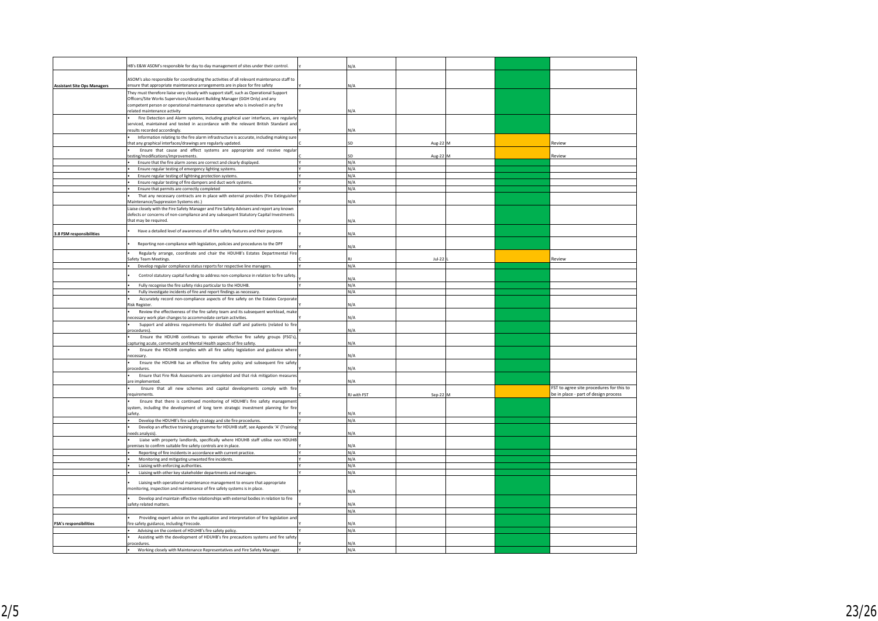|                                    | HB's E&W ASOM's responsible for day to day management of sites under their control.                                                                                                                          | N/A         |          |  |                                          |
|------------------------------------|--------------------------------------------------------------------------------------------------------------------------------------------------------------------------------------------------------------|-------------|----------|--|------------------------------------------|
|                                    | ASOM's also responsible for coordinating the activities of all relevant maintenance staff to                                                                                                                 |             |          |  |                                          |
| <b>Assistant Site Ops Managers</b> | ensure that appropriate maintenance arrangements are in place for fire safety                                                                                                                                | N/A         |          |  |                                          |
|                                    | They must therefore liaise very closely with support staff, such as Operational Support                                                                                                                      |             |          |  |                                          |
|                                    | Officers/Site Works Supervisors/Assistant Building Manager (GGH Only) and any<br>competent person or operational maintenance operative who is involved in any fire                                           |             |          |  |                                          |
|                                    | related maintenance activity                                                                                                                                                                                 | N/A         |          |  |                                          |
|                                    | Fire Detection and Alarm systems, including graphical user interfaces, are regularly<br>serviced, maintained and tested in accordance with the relevant British Standard and                                 |             |          |  |                                          |
|                                    | esults recorded accordingly.                                                                                                                                                                                 | N/A         |          |  |                                          |
|                                    | Information relating to the fire alarm infrastructure is accurate, including making sure<br>that any graphical interfaces/drawings are regularly updated.                                                    | SD          | Aug-22   |  | Review                                   |
|                                    | Ensure that cause and effect systems are appropriate and receive regular                                                                                                                                     |             |          |  |                                          |
|                                    | testing/modifications/improvements.<br>Ensure that the fire alarm zones are correct and clearly displayed.                                                                                                   | SD<br>N/A   | Aug-22   |  | Review                                   |
|                                    | Ensure regular testing of emergency lighting systems.                                                                                                                                                        | N/A         |          |  |                                          |
|                                    | Ensure regular testing of lightning protection systems.                                                                                                                                                      | N/A         |          |  |                                          |
|                                    | Ensure regular testing of fire dampers and duct work systems.                                                                                                                                                | N/A         |          |  |                                          |
|                                    | Ensure that permits are correctly completed                                                                                                                                                                  | N/A         |          |  |                                          |
|                                    | That any necessary contracts are in place with external providers (Fire Extinguisher                                                                                                                         |             |          |  |                                          |
|                                    | Maintenance/Suppression Systems etc.)                                                                                                                                                                        | N/A         |          |  |                                          |
|                                    | Liaise closely with the Fire Safety Manager and Fire Safety Advisers and report any known<br>defects or concerns of non-compliance and any subsequent Statutory Capital Investments<br>that may be required. | N/A         |          |  |                                          |
| 3.8 FSM responsibilities           | Have a detailed level of awareness of all fire safety features and their purpose.                                                                                                                            | N/A         |          |  |                                          |
|                                    | Reporting non-compliance with legislation, policies and procedures to the DPF                                                                                                                                | N/A         |          |  |                                          |
|                                    | Regularly arrange, coordinate and chair the HDUHB's Estates Departmental Fire                                                                                                                                |             |          |  |                                          |
|                                    | afety Team Meetings.                                                                                                                                                                                         | R1<br>N/A   | $Jul-22$ |  | Review                                   |
|                                    | Develop regular compliance status reports for respective line managers                                                                                                                                       |             |          |  |                                          |
|                                    | Control statutory capital funding to address non-compliance in relation to fire safety.                                                                                                                      | N/A         |          |  |                                          |
|                                    | Fully recognise the fire safety risks particular to the HDUHB.                                                                                                                                               | N/A         |          |  |                                          |
|                                    | Fully investigate incidents of fire and report findings as necessary.                                                                                                                                        | N/A         |          |  |                                          |
|                                    | Accurately record non-compliance aspects of fire safety on the Estates Corporate<br>Risk Register.                                                                                                           | N/A         |          |  |                                          |
|                                    | Review the effectiveness of the fire safety team and its subsequent workload, make<br>necessary work plan changes to accommodate certain activities.                                                         | N/A         |          |  |                                          |
|                                    | Support and address requirements for disabled staff and patients (related to fire<br>procedures).                                                                                                            | N/A         |          |  |                                          |
|                                    | Ensure the HDUHB continues to operate effective fire safety groups (FSG's),                                                                                                                                  |             |          |  |                                          |
|                                    | capturing acute, community and Mental Health aspects of fire safety<br>Ensure the HDUHB complies with all fire safety legislation and guidance where                                                         | N/A         |          |  |                                          |
|                                    | necessary                                                                                                                                                                                                    | N/A         |          |  |                                          |
|                                    | Ensure the HDUHB has an effective fire safety policy and subsequent fire safety<br>procedures                                                                                                                | N/A         |          |  |                                          |
|                                    | Ensure that Fire Risk Assessments are completed and that risk mitigation measures<br>are implemented.                                                                                                        | N/A         |          |  |                                          |
|                                    | Ensure that all new schemes and capital developments comply with fire<br>requirements.                                                                                                                       |             |          |  | FST to agree site procedures for this to |
|                                    | Ensure that there is continued monitoring of HDUHB's fire safety management                                                                                                                                  | RJ with FST | Sep-22   |  | be in place - part of design process     |
|                                    | system, including the development of long term strategic investment planning for fire<br>afety.                                                                                                              | <b>V/A</b>  |          |  |                                          |
|                                    | Develop the HDUHB's fire safety strategy and site fire procedures.                                                                                                                                           | N/A         |          |  |                                          |
|                                    | Develop an effective training programme for HDUHB staff, see Appendix 'A' (Training                                                                                                                          |             |          |  |                                          |
|                                    | eeds analysis)                                                                                                                                                                                               | N/A         |          |  |                                          |
|                                    | Liaise with property landlords, specifically where HDUHB staff utilise non HDUHB<br>premises to confirm suitable fire safety controls are in place.                                                          | N/A         |          |  |                                          |
|                                    | Reporting of fire incidents in accordance with current practice.                                                                                                                                             | N/A         |          |  |                                          |
|                                    | Monitoring and mitigating unwanted fire incidents.                                                                                                                                                           | N/A<br>N/A  |          |  |                                          |
|                                    | Liaising with enforcing authorities.<br>Liaising with other key stakeholder departments and managers.                                                                                                        | N/A         |          |  |                                          |
|                                    |                                                                                                                                                                                                              |             |          |  |                                          |
|                                    | Liaising with operational maintenance management to ensure that appropriate<br>monitoring, inspection and maintenance of fire safety systems is in place.                                                    | N/A         |          |  |                                          |
|                                    | Develop and maintain effective relationships with external bodies in relation to fire<br>safety related matters.                                                                                             | N/A         |          |  |                                          |
|                                    |                                                                                                                                                                                                              | N/A         |          |  |                                          |
|                                    | Providing expert advice on the application and interpretation of fire legislation and                                                                                                                        |             |          |  |                                          |
| <b>FSA's responsibilities</b>      | fire safety guidance, including Firecode.<br>Advising on the content of HDUHB's fire safety policy.                                                                                                          | N/A<br>N/A  |          |  |                                          |
|                                    | Assisting with the development of HDUHB's fire precautions systems and fire safety                                                                                                                           |             |          |  |                                          |
|                                    | ocedures.                                                                                                                                                                                                    | N/A         |          |  |                                          |
|                                    | Working closely with Maintenance Representatives and Fire Safety Manager.                                                                                                                                    | N/A         |          |  |                                          |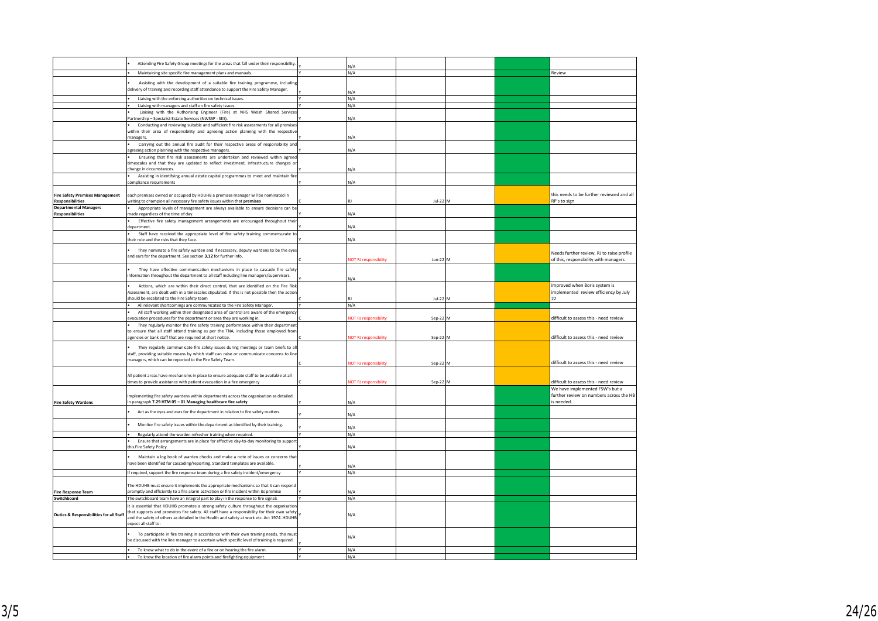|                                                                   | Attending Fire Safety Group meetings for the areas that fall under their responsibility.                                                                                                                                                                                                                                                                                    | $\sqrt{4}$                   |            |  |                                                                                          |
|-------------------------------------------------------------------|-----------------------------------------------------------------------------------------------------------------------------------------------------------------------------------------------------------------------------------------------------------------------------------------------------------------------------------------------------------------------------|------------------------------|------------|--|------------------------------------------------------------------------------------------|
|                                                                   | Maintaining site specific fire management plans and manuals.                                                                                                                                                                                                                                                                                                                | N/A                          |            |  | Review                                                                                   |
|                                                                   | Assisting with the development of a suitable fire training programme, including<br>delivery of training and recording staff attendance to support the Fire Safety Manager.                                                                                                                                                                                                  | V/A                          |            |  |                                                                                          |
|                                                                   | Liaising with the enforcing authorities on technical issues.                                                                                                                                                                                                                                                                                                                | N/A                          |            |  |                                                                                          |
|                                                                   | Liaising with managers and staff on fire safety issues.                                                                                                                                                                                                                                                                                                                     | N/A                          |            |  |                                                                                          |
|                                                                   | Liaising with the Authorising Engineer (Fire) at NHS Welsh Shared Service:<br>artnership - Specialist Estate Services (NWSSP - SES).                                                                                                                                                                                                                                        | N/A                          |            |  |                                                                                          |
|                                                                   | Conducting and reviewing suitable and sufficient fire risk assessments for all premise<br>within their area of responsibility and agreeing action planning with the respective<br>managers.                                                                                                                                                                                 | V/A                          |            |  |                                                                                          |
|                                                                   | Carrying out the annual fire audit for their respective areas of responsibility and<br>agreeing action planning with the respective managers.                                                                                                                                                                                                                               | N/A                          |            |  |                                                                                          |
|                                                                   | Ensuring that fire risk assessments are undertaken and reviewed within agreed<br>timescales and that they are updated to reflect investment, infrastructure changes or<br>change in circumstances.                                                                                                                                                                          | N/A                          |            |  |                                                                                          |
|                                                                   | Assisting in identifying annual estate capital programmes to meet and maintain fire<br>compliance requirements                                                                                                                                                                                                                                                              | V/A                          |            |  |                                                                                          |
| <b>Fire Safety Premises Management</b><br><b>Responsibilities</b> | each premises owned or occupied by HDUHB a premises manager will be nominated in<br>writing to champion all necessary fire safety issues within that premises                                                                                                                                                                                                               |                              | $1ul-22$ M |  | this needs to be further reviewed and all<br>RP's to sign                                |
| <b>Departmental Managers</b>                                      | Appropriate levels of management are always available to ensure decisions can be                                                                                                                                                                                                                                                                                            |                              |            |  |                                                                                          |
| <b>Responsibilities</b>                                           | made regardless of the time of day.<br>Effective fire safety management arrangements are encouraged throughout thei                                                                                                                                                                                                                                                         | N/A                          |            |  |                                                                                          |
|                                                                   | denartment                                                                                                                                                                                                                                                                                                                                                                  | N/A                          |            |  |                                                                                          |
|                                                                   | Staff have received the appropriate level of fire safety training commensurate to<br>their role and the risks that they face.                                                                                                                                                                                                                                               | N/A                          |            |  |                                                                                          |
|                                                                   | They nominate a fire safety warden and if necessary, deputy wardens to be the eyes<br>and ears for the department. See section 3.12 for further info.                                                                                                                                                                                                                       | OT RJ responsibility         | $Jun-22$   |  | Needs further review, RJ to raise profile<br>of this, responsibility with managers       |
|                                                                   | They have effective communication mechanisms in place to cascade fire safety<br>information throughout the department to all staff including line managers/supervisors.                                                                                                                                                                                                     | I/A                          |            |  |                                                                                          |
|                                                                   | Actions, which are within their direct control, that are identified on the Fire Risk<br>Assessment, are dealt with in a timescales stipulated. If this is not possible then the action<br>should be escalated to the Fire Safety team                                                                                                                                       |                              | $1ul-22$ M |  | improved when Boris system is<br>implemented review efficiency by July<br>22             |
|                                                                   | All relevant shortcomings are communicated to the Fire Safety Manager.                                                                                                                                                                                                                                                                                                      | N/A                          |            |  |                                                                                          |
|                                                                   | All staff working within their designated area of control are aware of the emergency<br>evacuation procedures for the department or area they are working in.                                                                                                                                                                                                               | OT RJ responsibility         | Sep-22 M   |  | difficult to assess this - need review                                                   |
|                                                                   | They regularly monitor the fire safety training performance within their departmer<br>to ensure that all staff attend training as per the TNA, including those employed from<br>agencies or bank staff that are required at short notice.                                                                                                                                   | OT RJ rest                   | Sep-22     |  | difficult to assess this - need review                                                   |
|                                                                   | They regularly communicate fire safety issues during meetings or team briefs to al<br>staff, providing suitable means by which staff can raise or communicate concerns to line<br>managers, which can be reported to the Fire Safety Team.                                                                                                                                  |                              |            |  | difficult to assess this - need review                                                   |
|                                                                   |                                                                                                                                                                                                                                                                                                                                                                             | <b>IOT RJ responsibility</b> | Sep-22 M   |  |                                                                                          |
|                                                                   | All patient areas have mechanisms in place to ensure adequate staff to be available at all<br>times to provide assistance with patient evacuation in a fire emergency                                                                                                                                                                                                       | OT RJ responsibility         | Sep-22     |  | difficult to assess this - need review                                                   |
| <b>Fire Safety Wardens</b>                                        | implementing fire safety wardens within departments across the organisation as detailed<br>in paragraph 7.29 HTM 05 - 01 Managing healthcare fire safety                                                                                                                                                                                                                    | N/A                          |            |  | We have implemented FSW's but a<br>further review on numbers across the HB<br>is needed. |
|                                                                   | Act as the eves and ears for the department in relation to fire safety matters.                                                                                                                                                                                                                                                                                             | V/A                          |            |  |                                                                                          |
|                                                                   | Monitor fire safety issues within the department as identified by their training.                                                                                                                                                                                                                                                                                           | N/A                          |            |  |                                                                                          |
|                                                                   | Regularly attend the warden refresher training when required.                                                                                                                                                                                                                                                                                                               | N/A                          |            |  |                                                                                          |
|                                                                   | Ensure that arrangements are in place for effective day-to-day monitoring to suppor<br>his Fire Safety Policy                                                                                                                                                                                                                                                               | N/A                          |            |  |                                                                                          |
|                                                                   | Maintain a log book of warden checks and make a note of issues or concerns that<br>have been identified for cascading/reporting. Standard templates are available.                                                                                                                                                                                                          | N/A                          |            |  |                                                                                          |
|                                                                   | If required, support the fire response team during a fire safety incident/emergency                                                                                                                                                                                                                                                                                         | N/A                          |            |  |                                                                                          |
|                                                                   | The HDUHB must ensure it implements the appropriate mechanisms so that it can respond                                                                                                                                                                                                                                                                                       |                              |            |  |                                                                                          |
| <b>Fire Response Team</b>                                         | promptly and efficiently to a fire alarm activation or fire incident within its premise                                                                                                                                                                                                                                                                                     | N/A                          |            |  |                                                                                          |
| Switchboard<br><b>Duties &amp; Responsibilities for all Staff</b> | The switchboard team have an integral part to play in the response to fire signals<br>It is essential that HDUHB promotes a strong safety culture throughout the organisation<br>that supports and promotes fire safety. All staff have a responsibility for their own safety<br>and the safety of others as detailed in the Health and safety at work etc. Act 1974. HDUHB | N/A<br>N/A                   |            |  |                                                                                          |
|                                                                   | expect all staff to:<br>To participate in fire training in accordance with their own training needs, this must<br>be discussed with the line manager to ascertain which specific level of training is required.                                                                                                                                                             | N/A                          |            |  |                                                                                          |
|                                                                   | To know what to do in the event of a fire or on hearing the fire alarm.                                                                                                                                                                                                                                                                                                     | N/A                          |            |  |                                                                                          |
|                                                                   | To know the location of fire alarm points and firefighting equipment.                                                                                                                                                                                                                                                                                                       | N/A                          |            |  |                                                                                          |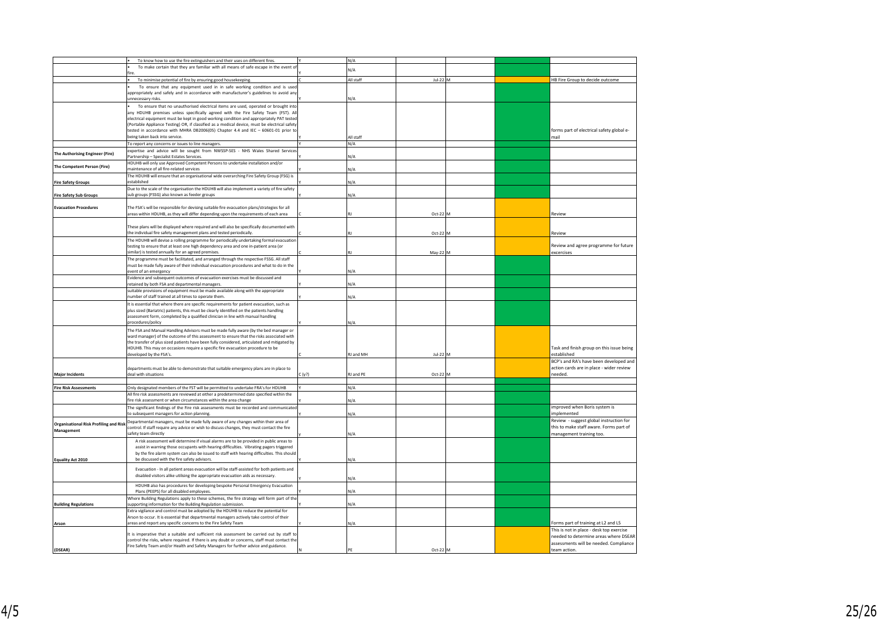|                                               | To know how to use the fire extinguishers and their uses on different fires.                                                                |      | N/A       |          |  |                                           |
|-----------------------------------------------|---------------------------------------------------------------------------------------------------------------------------------------------|------|-----------|----------|--|-------------------------------------------|
|                                               | To make certain that they are familiar with all means of safe escape in the event of                                                        |      |           |          |  |                                           |
|                                               |                                                                                                                                             |      | N/A       |          |  |                                           |
|                                               | To minimise potential of fire by ensuring good housekeeping.                                                                                |      | All staff | Jul-22 M |  | HB Fire Group to decide outcome           |
|                                               | To ensure that any equipment used in in safe working condition and is used                                                                  |      |           |          |  |                                           |
|                                               |                                                                                                                                             |      |           |          |  |                                           |
|                                               | appropriately and safely and in accordance with manufacturer's guidelines to avoid any<br><b>Innecessary risks</b>                          |      | N/A       |          |  |                                           |
|                                               |                                                                                                                                             |      |           |          |  |                                           |
|                                               | To ensure that no unauthorised electrical items are used, operated or brought into                                                          |      |           |          |  |                                           |
|                                               | any HDUHB premises unless specifically agreed with the Fire Safety Team (FST). All                                                          |      |           |          |  |                                           |
|                                               | electrical equipment must be kept in good working condition and appropriately PAT tested                                                    |      |           |          |  |                                           |
|                                               | (Portable Appliance Testing) OR, if classified as a medical device, must be electrical safety                                               |      |           |          |  |                                           |
|                                               | tested in accordance with MHRA DB2006(05) Chapter 4.4 and IEC - 60601-01 prior to                                                           |      |           |          |  | forms part of electrical safety global e- |
|                                               | being taken back into service.                                                                                                              |      | ll staff  |          |  | mail                                      |
|                                               | To report any concerns or issues to line managers.                                                                                          |      | N/A       |          |  |                                           |
|                                               | expertise and advice will be sought from NWSSP-SES - NHS Wales Shared Services                                                              |      |           |          |  |                                           |
| The Authorising Engineer (Fire)               | Partnership - Specialist Estates Services.                                                                                                  |      | ١/A       |          |  |                                           |
|                                               |                                                                                                                                             |      |           |          |  |                                           |
| he Competent Person (Fire)                    | HDUHB will only use Approved Competent Persons to undertake installation and/or                                                             |      |           |          |  |                                           |
|                                               | maintenance of all fire-related services                                                                                                    |      | ۷/A       |          |  |                                           |
|                                               | The HDUHB will ensure that an organisational wide overarching Fire Safety Group (FSG) is                                                    |      |           |          |  |                                           |
| <b>Fire Safety Groups</b>                     | established                                                                                                                                 |      | N/A       |          |  |                                           |
|                                               | Due to the scale of the organisation the HDUHB will also implement a variety of fire safety                                                 |      |           |          |  |                                           |
| <b>Fire Safety Sub Groups</b>                 | sub groups (FSSG) also known as feeder groups                                                                                               |      | N/A       |          |  |                                           |
|                                               |                                                                                                                                             |      |           |          |  |                                           |
| <b>Evacuation Procedures</b>                  | The FSA's will be responsible for devising suitable fire evacuation plans/strategies for all                                                |      |           |          |  |                                           |
|                                               | areas within HDUHB, as they will differ depending upon the requirements of each area                                                        |      |           | Oct-22 M |  | Review                                    |
|                                               |                                                                                                                                             |      |           |          |  |                                           |
|                                               | These plans will be displayed where required and will also be specifically documented with                                                  |      |           |          |  |                                           |
|                                               | the individual fire safety management plans and tested periodically                                                                         |      |           | Oct-22 P |  | Review                                    |
|                                               |                                                                                                                                             |      |           |          |  |                                           |
|                                               | The HDUHB will devise a rolling programme for periodically undertaking formal evacuation                                                    |      |           |          |  |                                           |
|                                               | testing to ensure that at least one high dependency area and one in-patient area (or<br>similar) is tested annually for an agreed premises. |      |           |          |  | Review and agree programme for future     |
|                                               |                                                                                                                                             |      |           | May-22 M |  | excercises                                |
|                                               | The programme must be facilitated, and arranged through the respective FSSG. All staff                                                      |      |           |          |  |                                           |
|                                               | must be made fully aware of their individual evacuation procedures and what to do in the                                                    |      |           |          |  |                                           |
|                                               | event of an emergency                                                                                                                       |      | N/A       |          |  |                                           |
|                                               | Evidence and subsequent outcomes of evacuation exercises must be discussed and                                                              |      |           |          |  |                                           |
|                                               | retained by both FSA and departmental managers.                                                                                             |      | N/A       |          |  |                                           |
|                                               | suitable provisions of equipment must be made available along with the appropriate                                                          |      |           |          |  |                                           |
|                                               | umber of staff trained at all times to operate them.                                                                                        |      | ١/A       |          |  |                                           |
|                                               | It is essential that where there are specific requirements for patient evacuation, such as                                                  |      |           |          |  |                                           |
|                                               | plus sized (Bariatric) patients, this must be clearly identified on the patients handling                                                   |      |           |          |  |                                           |
|                                               | assessment form, completed by a qualified clinician in line with manual handling                                                            |      |           |          |  |                                           |
|                                               | procedures/policy                                                                                                                           |      | N/A       |          |  |                                           |
|                                               |                                                                                                                                             |      |           |          |  |                                           |
|                                               | The FSA and Manual Handling Advisors must be made fully aware (by the bed manager or                                                        |      |           |          |  |                                           |
|                                               | ward manager) of the outcome of this assessment to ensure that the risks associated with                                                    |      |           |          |  |                                           |
|                                               | the transfer of plus sized patients have been fully considered, articulated and mitigated by                                                |      |           |          |  |                                           |
|                                               | HDUHB. This may on occasions require a specific fire evacuation procedure to be                                                             |      |           |          |  | Task and finish group on this issue being |
|                                               | developed by the FSA's.                                                                                                                     |      | RJ and MH | Jul-22 M |  | established                               |
|                                               |                                                                                                                                             |      |           |          |  | BCP's and RA's have been developed and    |
|                                               | departments must be able to demonstrate that suitable emergency plans are in place to                                                       |      |           |          |  | action cards are in place - wider review  |
| <b>Major Incidents</b>                        | deal with situations                                                                                                                        | (y?) | U and PE  | Oct-22 M |  | needed.                                   |
|                                               |                                                                                                                                             |      |           |          |  |                                           |
|                                               |                                                                                                                                             |      |           |          |  |                                           |
| <b>Fire Risk Assessments</b>                  | Only designated members of the FST will be permitted to undertake FRA's for HDUHB                                                           |      | N/A       |          |  |                                           |
|                                               | All fire risk assessments are reviewed at either a predetermined date specified within the                                                  |      |           |          |  |                                           |
|                                               | fire risk assessment or when circumstances within the area change                                                                           |      | ٧/A       |          |  |                                           |
|                                               | The significant findings of the Fire risk assessments must be recorded and communicated                                                     |      |           |          |  | improved when Boris system is             |
|                                               | to subsequent managers for action planning.                                                                                                 |      | <b>VA</b> |          |  | implemented                               |
|                                               | Departmental managers, must be made fully aware of any changes within their area of                                                         |      |           |          |  | Review - suggest global instruction for   |
| <b>Organisational Risk Profiling and Risk</b> | control. If staff require any advice or wish to discuss changes, they must contact the fire                                                 |      |           |          |  | this to make staff aware. Forms part of   |
| Management                                    | safety team directly                                                                                                                        |      | <b>VA</b> |          |  | management training too.                  |
|                                               | A risk assessment will determine if visual alarms are to be provided in public areas to                                                     |      |           |          |  |                                           |
|                                               | assist in warning those occupants with hearing difficulties. Vibrating pagers triggered                                                     |      |           |          |  |                                           |
|                                               | by the fire alarm system can also be issued to staff with hearing difficulties. This should                                                 |      |           |          |  |                                           |
|                                               | be discussed with the fire safety advisors.                                                                                                 |      | N/A       |          |  |                                           |
| <b>Equality Act 2010</b>                      |                                                                                                                                             |      |           |          |  |                                           |
|                                               | Evacuation - In all patient areas evacuation will be staff-assisted for both patients and                                                   |      |           |          |  |                                           |
|                                               | disabled visitors alike utilising the appropriate evacuation aids as necessary.                                                             |      |           |          |  |                                           |
|                                               |                                                                                                                                             |      | N/A       |          |  |                                           |
|                                               | HDUHB also has procedures for developing bespoke Personal Emergency Evacuation                                                              |      |           |          |  |                                           |
|                                               | Plans (PEEPS) for all disabled employees.                                                                                                   |      | N/A       |          |  |                                           |
|                                               | Where Building Regulations apply to these schemes, the fire strategy will form part of the                                                  |      |           |          |  |                                           |
| <b>Building Regulations</b>                   | supporting information for the Building Regulation submission.                                                                              |      | ٧/A       |          |  |                                           |
|                                               | Extra vigilance and control must be adopted by the HDUHB to reduce the potential for                                                        |      |           |          |  |                                           |
|                                               | Arson to occur. It is essential that departmental managers actively take control of their                                                   |      |           |          |  |                                           |
| Arson                                         | areas and report any specific concerns to the Fire Safety Team                                                                              |      | N/A       |          |  | Forms part of training at L2 and L5       |
|                                               |                                                                                                                                             |      |           |          |  | This is not in place - desk top exercise  |
|                                               | It is imperative that a suitable and sufficient risk assessment be carried out by staff to                                                  |      |           |          |  |                                           |
|                                               | control the risks, where required. If there is any doubt or concerns, staff must contact the                                                |      |           |          |  | needed to determine areas where DSEAR     |
|                                               | Fire Safety Team and/or Health and Safety Managers for further advice and guidance.                                                         |      |           |          |  | assessments will be needed. Compliance    |
| (DSEAR)                                       |                                                                                                                                             |      | PF        | Oct-22 M |  | team action.                              |